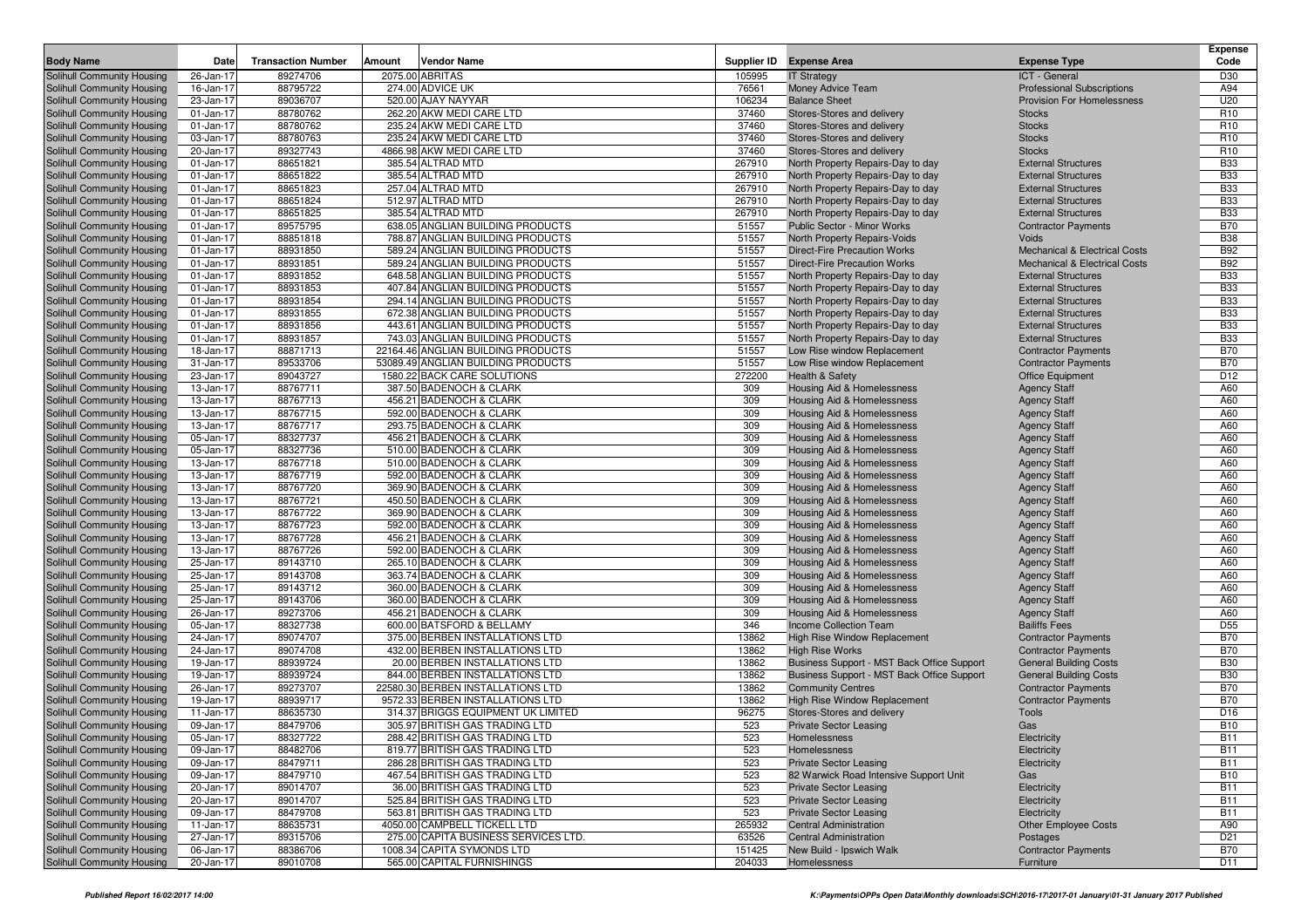| <b>Body Name</b>                                         | Date      | <b>Transaction Number</b> | Amount | <b>Vendor Name</b>                                                 | Supplier ID  | <b>Expense Area</b>                                      | <b>Expense Type</b>                         | <b>Expense</b><br>Code   |
|----------------------------------------------------------|-----------|---------------------------|--------|--------------------------------------------------------------------|--------------|----------------------------------------------------------|---------------------------------------------|--------------------------|
| Solihull Community Housing                               | 26-Jan-17 | 89274706                  |        | 2075.00 ABRITAS                                                    | 105995       | <b>IT Strategy</b>                                       | ICT - General                               | D30                      |
| Solihull Community Housing                               | 16-Jan-17 | 88795722                  |        | 274.00 ADVICE UK                                                   | 76561        | Money Advice Team                                        | <b>Professional Subscriptions</b>           | A94                      |
| Solihull Community Housing                               | 23-Jan-17 | 89036707                  |        | 520.00 AJAY NAYYAR                                                 | 106234       | <b>Balance Sheet</b>                                     | Provision For Homelessness                  | U20                      |
| Solihull Community Housing                               | 01-Jan-17 | 88780762                  |        | 262.20 AKW MEDI CARE LTD                                           | 37460        | Stores-Stores and delivery                               | <b>Stocks</b>                               | R <sub>10</sub>          |
| Solihull Community Housing                               | 01-Jan-17 | 88780762                  |        | 235.24 AKW MEDI CARE LTD                                           | 37460        | Stores-Stores and delivery                               | <b>Stocks</b>                               | R <sub>10</sub>          |
| Solihull Community Housing                               | 03-Jan-17 | 88780763                  |        | 235.24 AKW MEDI CARE LTD                                           | 37460        | Stores-Stores and delivery                               | <b>Stocks</b>                               | R <sub>10</sub>          |
| Solihull Community Housing                               | 20-Jan-17 | 89327743                  |        | 4866.98 AKW MEDI CARE LTD                                          | 37460        | Stores-Stores and delivery                               | <b>Stocks</b>                               | R <sub>10</sub>          |
| Solihull Community Housing                               | 01-Jan-17 | 88651821                  |        | 385.54 ALTRAD MTD                                                  | 267910       | North Property Repairs-Day to day                        | <b>External Structures</b>                  | <b>B33</b>               |
| Solihull Community Housing                               | 01-Jan-17 | 88651822                  |        | 385.54 ALTRAD MTD                                                  | 267910       | North Property Repairs-Day to day                        | <b>External Structures</b>                  | <b>B33</b>               |
| Solihull Community Housing                               | 01-Jan-17 | 88651823                  |        | 257.04 ALTRAD MTD                                                  | 267910       | North Property Repairs-Day to day                        | <b>External Structures</b>                  | <b>B33</b>               |
| Solihull Community Housing                               | 01-Jan-17 | 88651824                  |        | 512.97 ALTRAD MTD                                                  | 267910       | North Property Repairs-Day to day                        | <b>External Structures</b>                  | <b>B33</b>               |
| Solihull Community Housing                               | 01-Jan-17 | 88651825                  |        | 385.54 ALTRAD MTD                                                  | 267910       | North Property Repairs-Day to day                        | <b>External Structures</b>                  | <b>B33</b>               |
| Solihull Community Housing                               | 01-Jan-17 | 89575795                  |        | 638.05 ANGLIAN BUILDING PRODUCTS                                   | 51557        | <b>Public Sector - Minor Works</b>                       | <b>Contractor Payments</b>                  | <b>B70</b>               |
| Solihull Community Housing                               | 01-Jan-17 | 88851818                  |        | 788.87 ANGLIAN BUILDING PRODUCTS                                   | 51557        | North Property Repairs-Voids                             | <b>Voids</b>                                | <b>B38</b>               |
| Solihull Community Housing                               | 01-Jan-17 | 88931850                  |        | 589.24 ANGLIAN BUILDING PRODUCTS                                   | 51557        | <b>Direct-Fire Precaution Works</b>                      | <b>Mechanical &amp; Electrical Costs</b>    | <b>B92</b>               |
| Solihull Community Housing                               | 01-Jan-17 | 88931851                  |        | 589.24 ANGLIAN BUILDING PRODUCTS                                   | 51557        | <b>Direct-Fire Precaution Works</b>                      | <b>Mechanical &amp; Electrical Costs</b>    | <b>B92</b>               |
| Solihull Community Housing                               | 01-Jan-17 | 88931852                  |        | 648.58 ANGLIAN BUILDING PRODUCTS                                   | 51557        | North Property Repairs-Day to day                        | <b>External Structures</b>                  | <b>B33</b>               |
| Solihull Community Housing                               | 01-Jan-17 | 88931853                  |        | 407.84 ANGLIAN BUILDING PRODUCTS                                   | 51557        | North Property Repairs-Day to day                        | <b>External Structures</b>                  | <b>B33</b>               |
| Solihull Community Housing                               | 01-Jan-17 | 88931854                  |        | 294.14 ANGLIAN BUILDING PRODUCTS                                   | 51557        | North Property Repairs-Day to day                        | <b>External Structures</b>                  | <b>B33</b>               |
| Solihull Community Housing                               | 01-Jan-17 | 88931855                  |        | 672.38 ANGLIAN BUILDING PRODUCTS                                   | 51557        | North Property Repairs-Day to day                        | <b>External Structures</b>                  | <b>B33</b>               |
| Solihull Community Housing                               | 01-Jan-17 | 88931856                  |        | 443.61 ANGLIAN BUILDING PRODUCTS                                   | 51557        | North Property Repairs-Day to day                        | <b>External Structures</b>                  | <b>B33</b>               |
| Solihull Community Housing                               | 01-Jan-17 | 88931857                  |        | 743.03 ANGLIAN BUILDING PRODUCTS                                   | 51557        | North Property Repairs-Day to day                        | <b>External Structures</b>                  | <b>B33</b>               |
| Solihull Community Housing                               | 18-Jan-17 | 88871713                  |        | 22164.46 ANGLIAN BUILDING PRODUCTS                                 | 51557        | Low Rise window Replacement                              | <b>Contractor Payments</b>                  | <b>B70</b>               |
|                                                          | 31-Jan-17 | 89533706                  |        | 53089.49 ANGLIAN BUILDING PRODUCTS                                 | 51557        | Low Rise window Replacement                              | <b>Contractor Payments</b>                  | <b>B70</b>               |
| Solihull Community Housing<br>Solihull Community Housing | 23-Jan-17 | 89043727                  |        | 1580.22 BACK CARE SOLUTIONS                                        | 272200       | <b>Health &amp; Safety</b>                               |                                             | D12                      |
|                                                          |           |                           |        | 387.50 BADENOCH & CLARK                                            | 309          |                                                          | <b>Office Equipment</b>                     | A60                      |
| Solihull Community Housing                               | 13-Jan-17 | 88767711<br>88767713      |        | 456.21 BADENOCH & CLARK                                            | 309          | Housing Aid & Homelessness                               | <b>Agency Staff</b>                         | A60                      |
| Solihull Community Housing                               | 13-Jan-17 |                           |        |                                                                    |              | Housing Aid & Homelessness                               | <b>Agency Staff</b>                         | A60                      |
| Solihull Community Housing                               | 13-Jan-17 | 88767715                  |        | 592.00 BADENOCH & CLARK<br>293.75 BADENOCH & CLARK                 | 309<br>309   | Housing Aid & Homelessness                               | <b>Agency Staff</b>                         | A60                      |
| Solihull Community Housing                               | 13-Jan-17 | 88767717<br>88327737      |        | 456.21 BADENOCH & CLARK                                            | 309          | Housing Aid & Homelessness                               | <b>Agency Staff</b>                         | A60                      |
| Solihull Community Housing                               | 05-Jan-17 |                           |        |                                                                    |              | Housing Aid & Homelessness                               | <b>Agency Staff</b>                         | A60                      |
| Solihull Community Housing                               | 05-Jan-17 | 88327736                  |        | 510.00 BADENOCH & CLARK<br>510.00 BADENOCH & CLARK                 | 309<br>309   | Housing Aid & Homelessness<br>Housing Aid & Homelessness | <b>Agency Staff</b>                         | A60                      |
| Solihull Community Housing                               | 13-Jan-17 | 88767718                  |        | 592.00 BADENOCH & CLARK                                            | 309          |                                                          | <b>Agency Staff</b>                         | A60                      |
| Solihull Community Housing                               | 13-Jan-17 | 88767719                  |        |                                                                    | 309          | Housing Aid & Homelessness                               | <b>Agency Staff</b>                         | A60                      |
| Solihull Community Housing                               | 13-Jan-17 | 88767720                  |        | 369.90 BADENOCH & CLARK                                            |              | <b>Housing Aid &amp; Homelessness</b>                    | <b>Agency Staff</b>                         |                          |
| Solihull Community Housing                               | 13-Jan-17 | 88767721                  |        | 450.50 BADENOCH & CLARK                                            | 309<br>309   | Housing Aid & Homelessness                               | <b>Agency Staff</b>                         | A60                      |
| Solihull Community Housing                               | 13-Jan-17 | 88767722                  |        | 369.90 BADENOCH & CLARK                                            |              | Housing Aid & Homelessness                               | <b>Agency Staff</b>                         | A60                      |
| Solihull Community Housing                               | 13-Jan-17 | 88767723                  |        | 592.00 BADENOCH & CLARK                                            | 309          | Housing Aid & Homelessness                               | <b>Agency Staff</b>                         | A60                      |
| Solihull Community Housing                               | 13-Jan-17 | 88767728                  |        | 456.21 BADENOCH & CLARK                                            | 309          | Housing Aid & Homelessness                               | <b>Agency Staff</b>                         | A60                      |
| Solihull Community Housing                               | 13-Jan-17 | 88767726                  |        | 592.00 BADENOCH & CLARK                                            | 309<br>309   | Housing Aid & Homelessness                               | <b>Agency Staff</b>                         | A60<br>A60               |
| Solihull Community Housing                               | 25-Jan-17 | 89143710<br>89143708      |        | 265.10 BADENOCH & CLARK<br>363.74 BADENOCH & CLARK                 | 309          | Housing Aid & Homelessness                               | <b>Agency Staff</b>                         | A60                      |
| Solihull Community Housing                               | 25-Jan-17 |                           |        |                                                                    | 309          | Housing Aid & Homelessness                               | <b>Agency Staff</b>                         | A60                      |
| Solihull Community Housing                               | 25-Jan-17 | 89143712                  |        | 360.00 BADENOCH & CLARK                                            | 309          | Housing Aid & Homelessness                               | <b>Agency Staff</b>                         | A60                      |
| Solihull Community Housing                               | 25-Jan-17 | 89143706                  |        | 360.00 BADENOCH & CLARK                                            |              | Housing Aid & Homelessness                               | <b>Agency Staff</b>                         | A60                      |
| Solihull Community Housing                               | 26-Jan-17 | 89273706                  |        | 456.21 BADENOCH & CLARK                                            | 309<br>346   | Housing Aid & Homelessness                               | <b>Agency Staff</b><br><b>Bailiffs Fees</b> | D <sub>55</sub>          |
| Solihull Community Housing                               | 05-Jan-17 | 88327738                  |        | 600.00 BATSFORD & BELLAMY                                          |              | Income Collection Team                                   |                                             |                          |
| Solihull Community Housing                               | 24-Jan-17 | 89074707<br>89074708      |        | 375.00 BERBEN INSTALLATIONS LTD<br>432.00 BERBEN INSTALLATIONS LTD | 13862        | High Rise Window Replacement                             | <b>Contractor Payments</b>                  | <b>B70</b><br><b>B70</b> |
| Solihull Community Housing                               | 24-Jan-17 |                           |        | 20.00 BERBEN INSTALLATIONS LTD                                     | 13862        | <b>High Rise Works</b>                                   | <b>Contractor Payments</b>                  |                          |
| Solihull Community Housing                               | 19-Jan-17 | 88939724                  |        |                                                                    | 13862        | Business Support - MST Back Office Support               | <b>General Building Costs</b>               | <b>B30</b>               |
| Solihull Community Housing                               | 19-Jan-17 | 88939724                  |        | 844.00 BERBEN INSTALLATIONS LTD                                    | 13862        | Business Support - MST Back Office Support               | <b>General Building Costs</b>               | <b>B30</b><br><b>B70</b> |
| Solihull Community Housing                               | 26-Jan-17 | 89273707                  |        | 22580.30 BERBEN INSTALLATIONS LTD                                  | 13862        | <b>Community Centres</b><br>High Rise Window Replacement | <b>Contractor Payments</b>                  | <b>B70</b>               |
| Solihull Community Housing                               | 19-Jan-17 | 88939717                  |        | 9572.33 BERBEN INSTALLATIONS LTD                                   | 13862        |                                                          | <b>Contractor Payments</b>                  | D <sub>16</sub>          |
| Solihull Community Housing                               | 11-Jan-17 | 88635730                  |        | 314.37 BRIGGS EQUIPMENT UK LIMITED                                 | 96275<br>523 | Stores-Stores and delivery                               | Tools                                       | <b>B10</b>               |
| Solihull Community Housing                               | 09-Jan-17 | 88479706                  |        | 305.97 BRITISH GAS TRADING LTD                                     | 523          | <b>Private Sector Leasing</b>                            | Gas                                         | <b>B11</b>               |
| Solihull Community Housing                               | 05-Jan-17 | 88327722                  |        | 288.42 BRITISH GAS TRADING LTD                                     |              | Homelessness                                             | Electricity                                 |                          |
| Solihull Community Housing                               | 09-Jan-17 | 88482706                  |        | 819.77 BRITISH GAS TRADING LTD                                     | 523          | Homelessness                                             | Electricity                                 | <b>B11</b>               |
| Solihull Community Housing                               | 09-Jan-17 | 88479711                  |        | 286.28 BRITISH GAS TRADING LTD                                     | 523          | <b>Private Sector Leasing</b>                            | Electricity                                 | <b>B11</b>               |
| Solihull Community Housing                               | 09-Jan-17 | 88479710                  |        | 467.54 BRITISH GAS TRADING LTD                                     | 523          | 82 Warwick Road Intensive Support Unit                   | Gas                                         | <b>B10</b>               |
| Solihull Community Housing                               | 20-Jan-17 | 89014707                  |        | 36.00 BRITISH GAS TRADING LTD                                      | 523          | <b>Private Sector Leasing</b>                            | Electricity                                 | <b>B11</b>               |
| Solihull Community Housing                               | 20-Jan-17 | 89014707                  |        | 525.84 BRITISH GAS TRADING LTD                                     | 523          | <b>Private Sector Leasing</b>                            | Electricity                                 | <b>B11</b>               |
| Solihull Community Housing                               | 09-Jan-17 | 88479708                  |        | 563.81 BRITISH GAS TRADING LTD                                     | 523          | <b>Private Sector Leasing</b>                            | Electricity                                 | <b>B11</b>               |
| Solihull Community Housing                               | 11-Jan-17 | 88635731                  |        | 4050.00 CAMPBELL TICKELL LTD                                       | 265932       | <b>Central Administration</b>                            | <b>Other Employee Costs</b>                 | A90                      |
| Solihull Community Housing                               | 27-Jan-17 | 89315706                  |        | 275.00 CAPITA BUSINESS SERVICES LTD.                               | 63526        | <b>Central Administration</b>                            | Postages                                    | D <sub>21</sub>          |
| Solihull Community Housing                               | 06-Jan-17 | 88386706                  |        | 1008.34 CAPITA SYMONDS LTD                                         | 151425       | New Build - Ipswich Walk                                 | <b>Contractor Payments</b>                  | <b>B70</b>               |
| Solihull Community Housing                               | 20-Jan-17 | 89010708                  |        | 565.00 CAPITAL FURNISHINGS                                         | 204033       | Homelessness                                             | Furniture                                   | D11                      |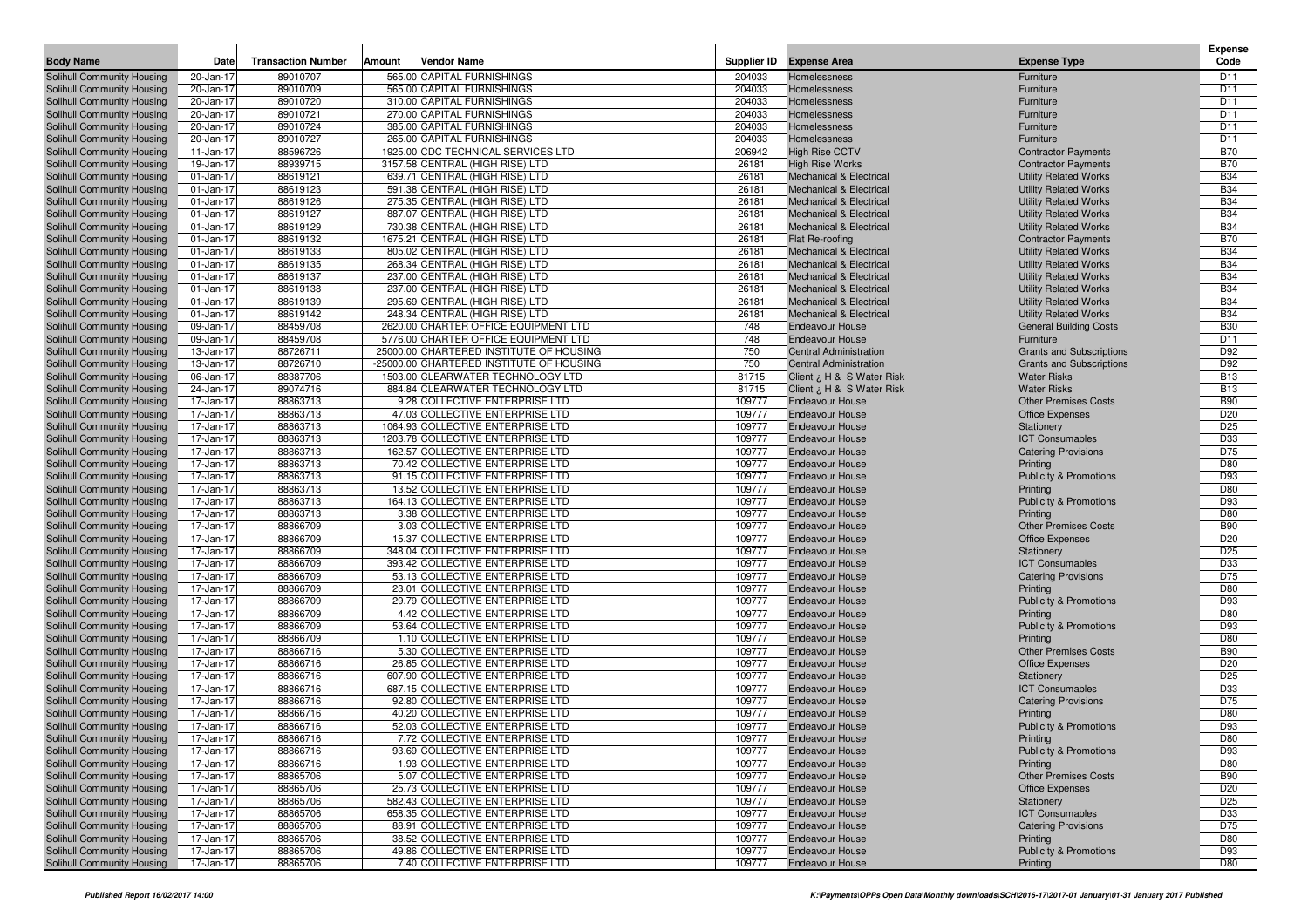| <b>Body Name</b>                                         | Date                   | <b>Transaction Number</b> | Amount<br><b>Vendor Name</b>                                       |                  | Supplier ID Expense Area                                                 | <b>Expense Type</b>                                          | <b>Expense</b><br>Code        |
|----------------------------------------------------------|------------------------|---------------------------|--------------------------------------------------------------------|------------------|--------------------------------------------------------------------------|--------------------------------------------------------------|-------------------------------|
| <b>Solihull Community Housing</b>                        | 20-Jan-17              | 89010707                  | 565.00 CAPITAL FURNISHINGS                                         | 204033           | Homelessness                                                             | Furniture                                                    | D <sub>11</sub>               |
| Solihull Community Housing                               | 20-Jan-17              | 89010709                  | 565.00 CAPITAL FURNISHINGS                                         | 204033           | Homelessness                                                             | Furniture                                                    | D11                           |
| Solihull Community Housing                               | 20-Jan-17              | 89010720                  | 310.00 CAPITAL FURNISHINGS                                         | 204033           | Homelessness                                                             | Furniture                                                    | D11                           |
| Solihull Community Housing                               | 20-Jan-17              | 89010721                  | 270.00 CAPITAL FURNISHINGS                                         | 204033           | Homelessness                                                             | Furniture                                                    | D11                           |
| Solihull Community Housing                               | 20-Jan-17              | 89010724                  | 385.00 CAPITAL FURNISHINGS                                         | 204033           | Homelessness                                                             | Furniture                                                    | D11                           |
| Solihull Community Housing                               | 20-Jan-17              | 89010727                  | 265.00 CAPITAL FURNISHINGS                                         | 204033           | Homelessness                                                             | Furniture                                                    | D11                           |
| Solihull Community Housing                               | 11-Jan-17              | 88596726                  | 1925.00 CDC TECHNICAL SERVICES LTD                                 | 206942           | <b>High Rise CCTV</b>                                                    | <b>Contractor Payments</b>                                   | <b>B70</b>                    |
| Solihull Community Housing                               | 19-Jan-17              | 88939715                  | 3157.58 CENTRAL (HIGH RISE) LTD                                    | 26181            | <b>High Rise Works</b>                                                   | <b>Contractor Payments</b>                                   | <b>B70</b>                    |
| Solihull Community Housing                               | 01-Jan-17              | 88619121                  | 639.71 CENTRAL (HIGH RISE) LTD                                     | 26181            | <b>Mechanical &amp; Electrical</b>                                       | <b>Utility Related Works</b>                                 | <b>B34</b>                    |
| Solihull Community Housing                               | 01-Jan-17              | 88619123                  | 591.38 CENTRAL (HIGH RISE) LTD<br>275.35 CENTRAL (HIGH RISE) LTD   | 26181            | <b>Mechanical &amp; Electrical</b>                                       | <b>Utility Related Works</b>                                 | <b>B34</b>                    |
| Solihull Community Housing                               | 01-Jan-17              | 88619126                  |                                                                    | 26181<br>26181   | <b>Mechanical &amp; Electrical</b><br><b>Mechanical &amp; Electrical</b> | <b>Utility Related Works</b><br><b>Utility Related Works</b> | <b>B34</b><br><b>B34</b>      |
| Solihull Community Housing<br>Solihull Community Housing | 01-Jan-17<br>01-Jan-17 | 88619127<br>88619129      | 887.07 CENTRAL (HIGH RISE) LTD<br>730.38 CENTRAL (HIGH RISE) LTD   | 26181            | <b>Mechanical &amp; Electrical</b>                                       | <b>Utility Related Works</b>                                 | <b>B34</b>                    |
| Solihull Community Housing                               | 01-Jan-17              | 88619132                  | 1675.21 CENTRAL (HIGH RISE) LTD                                    | 26181            | Flat Re-roofing                                                          | <b>Contractor Payments</b>                                   | <b>B70</b>                    |
| Solihull Community Housing                               | 01-Jan-17              | 88619133                  | 805.02 CENTRAL (HIGH RISE) LTD                                     | 26181            | <b>Mechanical &amp; Electrical</b>                                       | <b>Utility Related Works</b>                                 | <b>B34</b>                    |
| Solihull Community Housing                               | 01-Jan-17              | 88619135                  | 268.34 CENTRAL (HIGH RISE) LTD                                     | 26181            | <b>Mechanical &amp; Electrical</b>                                       | <b>Utility Related Works</b>                                 | <b>B34</b>                    |
| Solihull Community Housing                               | 01-Jan-17              | 88619137                  | 237.00 CENTRAL (HIGH RISE) LTD                                     | 26181            | <b>Mechanical &amp; Electrical</b>                                       | <b>Utility Related Works</b>                                 | <b>B34</b>                    |
| Solihull Community Housing                               | 01-Jan-17              | 88619138                  | 237.00 CENTRAL (HIGH RISE) LTD                                     | 26181            | <b>Mechanical &amp; Electrical</b>                                       | <b>Utility Related Works</b>                                 | <b>B34</b>                    |
| Solihull Community Housing                               | 01-Jan-17              | 88619139                  | 295.69 CENTRAL (HIGH RISE) LTD                                     | 26181            | <b>Mechanical &amp; Electrical</b>                                       | <b>Utility Related Works</b>                                 | <b>B34</b>                    |
| Solihull Community Housing                               | 01-Jan-17              | 88619142                  | 248.34 CENTRAL (HIGH RISE) LTD                                     | 26181            | <b>Mechanical &amp; Electrical</b>                                       | <b>Utility Related Works</b>                                 | <b>B34</b>                    |
| Solihull Community Housing                               | 09-Jan-17              | 88459708                  | 2620.00 CHARTER OFFICE EQUIPMENT LTD                               | 748              | <b>Endeavour House</b>                                                   | <b>General Building Costs</b>                                | <b>B30</b>                    |
| Solihull Community Housing                               | 09-Jan-17              | 88459708                  | 5776.00 CHARTER OFFICE EQUIPMENT LTD                               | 748              | <b>Endeavour House</b>                                                   | Furniture                                                    | D11                           |
| Solihull Community Housing                               | 13-Jan-17              | 88726711                  | 25000.00 CHARTERED INSTITUTE OF HOUSING                            | 750              | <b>Central Administration</b>                                            | <b>Grants and Subscriptions</b>                              | D92                           |
| Solihull Community Housing                               | 13-Jan-17              | 88726710                  | -25000.00 CHARTERED INSTITUTE OF HOUSING                           | 750              | <b>Central Administration</b>                                            | <b>Grants and Subscriptions</b>                              | D92                           |
| Solihull Community Housing                               | 06-Jan-17              | 88387706                  | 1503.00 CLEARWATER TECHNOLOGY LTD                                  | 81715            | Client ¿ H & S Water Risk                                                | <b>Water Risks</b>                                           | <b>B13</b>                    |
| Solihull Community Housing                               | 24-Jan-17              | 89074716                  | 884.84 CLEARWATER TECHNOLOGY LTD                                   | 81715            | Client ¿ H & S Water Risk                                                | <b>Water Risks</b>                                           | <b>B13</b>                    |
| Solihull Community Housing                               | 17-Jan-17              | 88863713                  | 9.28 COLLECTIVE ENTERPRISE LTD                                     | 109777           | <b>Endeavour House</b>                                                   | <b>Other Premises Costs</b>                                  | <b>B90</b>                    |
| Solihull Community Housing                               | 17-Jan-17              | 88863713                  | 47.03 COLLECTIVE ENTERPRISE LTD                                    | 109777           | <b>Endeavour House</b>                                                   | <b>Office Expenses</b>                                       | D <sub>20</sub>               |
| Solihull Community Housing                               | 17-Jan-17              | 88863713                  | 1064.93 COLLECTIVE ENTERPRISE LTD                                  | 109777           | <b>Endeavour House</b>                                                   | Stationery                                                   | D <sub>25</sub>               |
| Solihull Community Housing                               | 17-Jan-17              | 88863713                  | 1203.78 COLLECTIVE ENTERPRISE LTD                                  | 109777           | <b>Endeavour House</b>                                                   | <b>ICT Consumables</b>                                       | D33                           |
| Solihull Community Housing                               | 17-Jan-17              | 88863713                  | 162.57 COLLECTIVE ENTERPRISE LTD                                   | 109777           | <b>Endeavour House</b>                                                   | <b>Catering Provisions</b>                                   | D75                           |
| Solihull Community Housing                               | 17-Jan-17              | 88863713                  | 70.42 COLLECTIVE ENTERPRISE LTD                                    | 109777           | <b>Endeavour House</b>                                                   | Printing                                                     | D80                           |
| Solihull Community Housing                               | 17-Jan-17              | 88863713                  | 91.15 COLLECTIVE ENTERPRISE LTD                                    | 109777           | <b>Endeavour House</b>                                                   | <b>Publicity &amp; Promotions</b>                            | D93                           |
| Solihull Community Housing                               | 17-Jan-17              | 88863713                  | 13.52 COLLECTIVE ENTERPRISE LTD                                    | 109777           | <b>Endeavour House</b>                                                   | Printing                                                     | D80<br>D93                    |
| Solihull Community Housing                               | 17-Jan-17<br>17-Jan-17 | 88863713<br>88863713      | 164.13 COLLECTIVE ENTERPRISE LTD<br>3.38 COLLECTIVE ENTERPRISE LTD | 109777<br>109777 | <b>Endeavour House</b><br><b>Endeavour House</b>                         | <b>Publicity &amp; Promotions</b><br>Printing                | D80                           |
| Solihull Community Housing<br>Solihull Community Housing | 17-Jan-17              | 88866709                  | 3.03 COLLECTIVE ENTERPRISE LTD                                     | 109777           | <b>Endeavour House</b>                                                   | <b>Other Premises Costs</b>                                  | <b>B90</b>                    |
| Solihull Community Housing                               | 17-Jan-17              | 88866709                  | 15.37 COLLECTIVE ENTERPRISE LTD                                    | 109777           | <b>Endeavour House</b>                                                   | <b>Office Expenses</b>                                       | D <sub>20</sub>               |
| Solihull Community Housing                               | 17-Jan-17              | 88866709                  | 348.04 COLLECTIVE ENTERPRISE LTD                                   | 109777           | <b>Endeavour House</b>                                                   | Stationery                                                   | D <sub>25</sub>               |
| Solihull Community Housing                               | 17-Jan-17              | 88866709                  | 393.42 COLLECTIVE ENTERPRISE LTD                                   | 109777           | <b>Endeavour House</b>                                                   | <b>ICT Consumables</b>                                       | D33                           |
| Solihull Community Housing                               | 17-Jan-17              | 88866709                  | 53.13 COLLECTIVE ENTERPRISE LTD                                    | 109777           | <b>Endeavour House</b>                                                   | <b>Catering Provisions</b>                                   | D75                           |
| Solihull Community Housing                               | 17-Jan-17              | 88866709                  | 23.01 COLLECTIVE ENTERPRISE LTD                                    | 109777           | <b>Endeavour House</b>                                                   | Printing                                                     | D80                           |
| Solihull Community Housing                               | 17-Jan-17              | 88866709                  | 29.79 COLLECTIVE ENTERPRISE LTD                                    | 109777           | <b>Endeavour House</b>                                                   | <b>Publicity &amp; Promotions</b>                            | D93                           |
| Solihull Community Housing                               | 17-Jan-17              | 88866709                  | 4.42 COLLECTIVE ENTERPRISE LTD                                     | 109777           | <b>Endeavour House</b>                                                   | Printing                                                     | D80                           |
| Solihull Community Housing                               | 17-Jan-17              | 88866709                  | 53.64 COLLECTIVE ENTERPRISE LTD                                    | 109777           | <b>Endeavour House</b>                                                   | <b>Publicity &amp; Promotions</b>                            | D93                           |
| Solihull Community Housing                               | 17-Jan-17              | 88866709                  | 1.10 COLLECTIVE ENTERPRISE LTD                                     | 109777           | <b>Endeavour House</b>                                                   | Printing                                                     | D80                           |
| Solihull Community Housing                               | 17-Jan-17              | 88866716                  | 5.30 COLLECTIVE ENTERPRISE LTD                                     | 109777           | <b>Endeavour House</b>                                                   | <b>Other Premises Costs</b>                                  | <b>B90</b>                    |
| Solihull Community Housing                               | 17-Jan-17              | 88866716                  | 26.85 COLLECTIVE ENTERPRISE LTD                                    | 109777           | <b>Endeavour House</b>                                                   | <b>Office Expenses</b>                                       | D <sub>20</sub>               |
| Solihull Community Housing                               | 17-Jan-17              | 88866716                  | 607.90 COLLECTIVE ENTERPRISE LTD                                   | 109777           | <b>Endeavour House</b>                                                   | Stationery                                                   | D <sub>25</sub>               |
| Solihull Community Housing                               | 17-Jan-17              | 88866716                  | 687.15 COLLECTIVE ENTERPRISE LTD                                   | 109777           | <b>Endeavour House</b>                                                   | <b>ICT Consumables</b>                                       | D33                           |
| Solihull Community Housing                               | 17-Jan-17              | 88866716                  | 92.80 COLLECTIVE ENTERPRISE LTD                                    | 109777           | <b>Endeavour House</b>                                                   | <b>Catering Provisions</b>                                   | D75                           |
| Solihull Community Housing                               | 17-Jan-17              | 88866716                  | 40.20 COLLECTIVE ENTERPRISE LTD                                    | 109777           | <b>Endeavour House</b>                                                   | Printing                                                     | D80                           |
| Solihull Community Housing                               | 17-Jan-17              | 88866716                  | 52.03 COLLECTIVE ENTERPRISE LTD                                    | 109777           | <b>Endeavour House</b>                                                   | <b>Publicity &amp; Promotions</b>                            | D93                           |
| Solihull Community Housing                               | 17-Jan-17              | 88866716                  | 7.72 COLLECTIVE ENTERPRISE LTD                                     | 109777           | <b>Endeavour House</b>                                                   | Printing                                                     | D80                           |
| Solihull Community Housing                               | 17-Jan-17              | 88866716                  | 93.69 COLLECTIVE ENTERPRISE LTD                                    | 109777           | <b>Endeavour House</b>                                                   | <b>Publicity &amp; Promotions</b>                            | D93                           |
| Solihull Community Housing                               | 17-Jan-17              | 88866716                  | 1.93 COLLECTIVE ENTERPRISE LTD                                     | 109777           | <b>Endeavour House</b>                                                   | Printing                                                     | D80                           |
| Solihull Community Housing<br>Solihull Community Housing | 17-Jan-17              | 88865706                  | 5.07 COLLECTIVE ENTERPRISE LTD<br>25.73 COLLECTIVE ENTERPRISE LTD  | 109777<br>109777 | <b>Endeavour House</b><br><b>Endeavour House</b>                         | <b>Other Premises Costs</b>                                  | <b>B90</b><br>D <sub>20</sub> |
| Solihull Community Housing                               | 17-Jan-17<br>17-Jan-17 | 88865706<br>88865706      | 582.43 COLLECTIVE ENTERPRISE LTD                                   | 109777           | <b>Endeavour House</b>                                                   | <b>Office Expenses</b>                                       | D <sub>25</sub>               |
| Solihull Community Housing                               | 17-Jan-17              | 88865706                  | 658.35 COLLECTIVE ENTERPRISE LTD                                   | 109777           | <b>Endeavour House</b>                                                   | Stationery<br><b>ICT Consumables</b>                         | D33                           |
| Solihull Community Housing                               | 17-Jan-17              | 88865706                  | 88.91 COLLECTIVE ENTERPRISE LTD                                    | 109777           | <b>Endeavour House</b>                                                   | <b>Catering Provisions</b>                                   | D75                           |
| Solihull Community Housing                               | 17-Jan-17              | 88865706                  | 38.52 COLLECTIVE ENTERPRISE LTD                                    | 109777           | <b>Endeavour House</b>                                                   | Printing                                                     | D80                           |
| Solihull Community Housing                               | 17-Jan-17              | 88865706                  | 49.86 COLLECTIVE ENTERPRISE LTD                                    | 109777           | <b>Endeavour House</b>                                                   | <b>Publicity &amp; Promotions</b>                            | D93                           |
| Solihull Community Housing                               | 17-Jan-17              | 88865706                  | 7.40 COLLECTIVE ENTERPRISE LTD                                     | 109777           | <b>Endeavour House</b>                                                   | Printing                                                     | D80                           |
|                                                          |                        |                           |                                                                    |                  |                                                                          |                                                              |                               |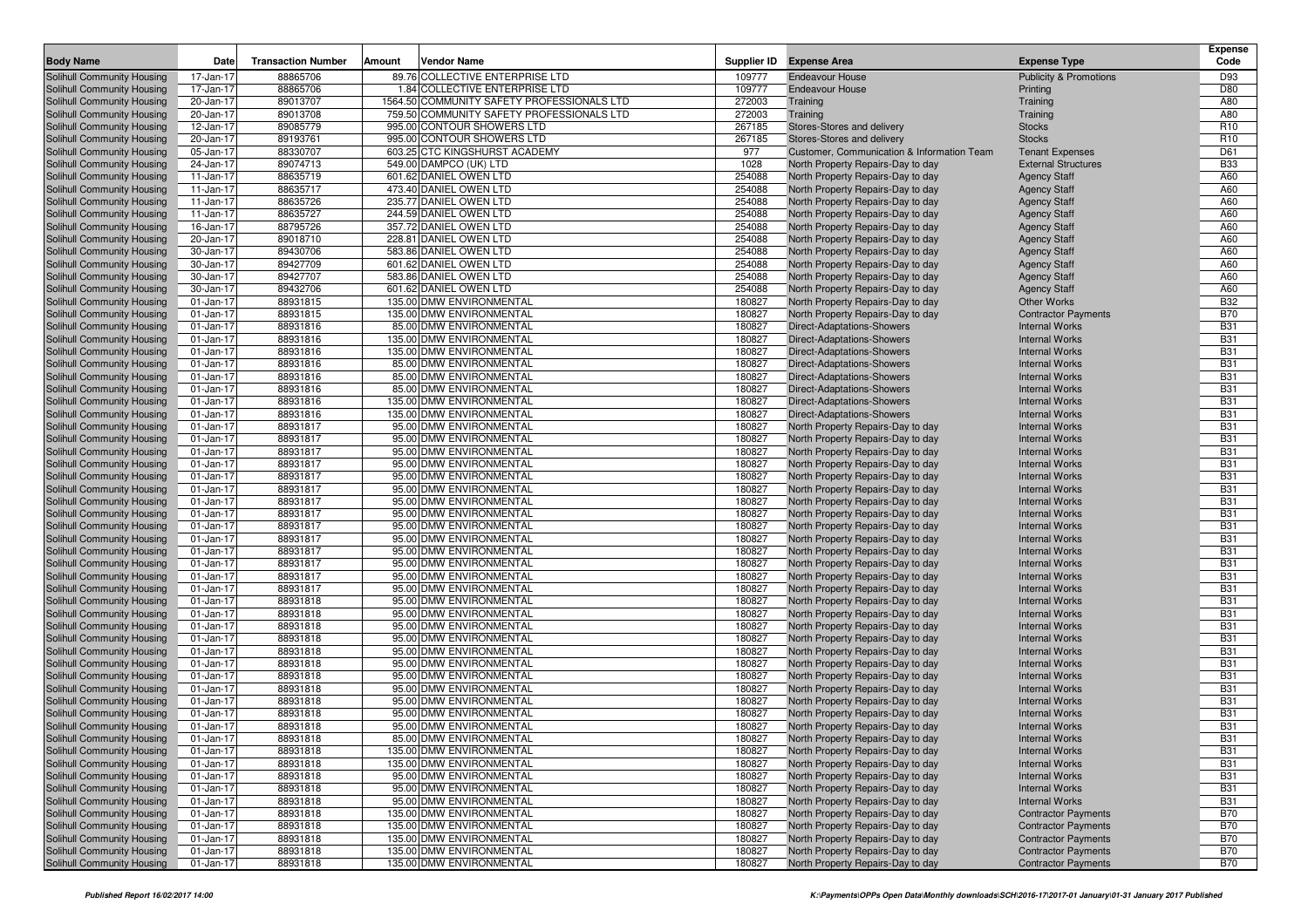|                                                          |                        |                           |        |                                                     |                  |                                                                        |                                                | <b>Expense</b>           |
|----------------------------------------------------------|------------------------|---------------------------|--------|-----------------------------------------------------|------------------|------------------------------------------------------------------------|------------------------------------------------|--------------------------|
| <b>Body Name</b>                                         | Date                   | <b>Transaction Number</b> | Amount | Vendor Name                                         |                  | Supplier ID Expense Area                                               | <b>Expense Type</b>                            | Code                     |
| Solihull Community Housing                               | 17-Jan-17              | 88865706                  |        | 89.76 COLLECTIVE ENTERPRISE LTD                     | 109777           | <b>Endeavour House</b>                                                 | <b>Publicity &amp; Promotions</b>              | D93                      |
| Solihull Community Housing                               | 17-Jan-17              | 88865706                  |        | 1.84 COLLECTIVE ENTERPRISE LTD                      | 109777           | <b>Endeavour House</b>                                                 | Printing                                       | D80                      |
| Solihull Community Housing                               | 20-Jan-17              | 89013707                  |        | 1564.50 COMMUNITY SAFETY PROFESSIONALS LTD          | 272003           | Training                                                               | Training                                       | A80                      |
| Solihull Community Housing                               | 20-Jan-17              | 89013708                  |        | 759.50 COMMUNITY SAFETY PROFESSIONALS LTD           | 272003           | Training                                                               | Training                                       | A80                      |
| Solihull Community Housing                               | 12-Jan-17              | 89085779                  |        | 995.00 CONTOUR SHOWERS LTD                          | 267185           | Stores-Stores and delivery                                             | <b>Stocks</b>                                  | R <sub>10</sub>          |
| Solihull Community Housing                               | 20-Jan-17              | 89193761                  |        | 995.00 CONTOUR SHOWERS LTD                          | 267185           | Stores-Stores and delivery                                             | <b>Stocks</b>                                  | R <sub>10</sub>          |
| Solihull Community Housing                               | 05-Jan-17              | 88330707                  |        | 603.25 CTC KINGSHURST ACADEMY                       | 977              | Customer, Communication & Information Team                             | <b>Tenant Expenses</b>                         | D61                      |
| Solihull Community Housing                               | 24-Jan-17              | 89074713                  |        | 549.00 DAMPCO (UK) LTD                              | 1028             | North Property Repairs-Day to day                                      | <b>External Structures</b>                     | <b>B33</b>               |
| Solihull Community Housing                               | 11-Jan-17              | 88635719                  |        | 601.62 DANIEL OWEN LTD                              | 254088           | North Property Repairs-Day to day                                      | <b>Agency Staff</b>                            | A60                      |
| Solihull Community Housing                               | 11-Jan-17              | 88635717                  |        | 473.40 DANIEL OWEN LTD                              | 254088           | North Property Repairs-Day to day                                      | <b>Agency Staff</b>                            | A60                      |
| Solihull Community Housing                               | 11-Jan-17              | 88635726                  |        | 235.77 DANIEL OWEN LTD                              | 254088           | North Property Repairs-Day to day                                      | <b>Agency Staff</b>                            | A60                      |
| Solihull Community Housing                               | 11-Jan-17              | 88635727                  |        | 244.59 DANIEL OWEN LTD                              | 254088           | North Property Repairs-Day to day                                      | <b>Agency Staff</b>                            | A60                      |
| Solihull Community Housing                               | 16-Jan-17              | 88795726                  |        | 357.72 DANIEL OWEN LTD                              | 254088           | North Property Repairs-Day to day                                      | <b>Agency Staff</b>                            | A60                      |
| Solihull Community Housing                               | 20-Jan-17              | 89018710                  |        | 228.81 DANIEL OWEN LTD                              | 254088           | North Property Repairs-Day to day                                      | <b>Agency Staff</b>                            | A60                      |
| Solihull Community Housing                               | 30-Jan-17              | 89430706                  |        | 583.86 DANIEL OWEN LTD                              | 254088           | North Property Repairs-Day to day                                      | <b>Agency Staff</b>                            | A60                      |
| Solihull Community Housing                               | 30-Jan-17              | 89427709                  |        | 601.62 DANIEL OWEN LTD                              | 254088           | North Property Repairs-Day to day                                      | <b>Agency Staff</b>                            | A60                      |
| Solihull Community Housing                               | 30-Jan-17              | 89427707                  |        | 583.86 DANIEL OWEN LTD                              | 254088           | North Property Repairs-Day to day                                      | <b>Agency Staff</b>                            | A60                      |
| Solihull Community Housing                               | 30-Jan-17              | 89432706                  |        | 601.62 DANIEL OWEN LTD                              | 254088           | North Property Repairs-Day to day                                      | <b>Agency Staff</b>                            | A60                      |
| Solihull Community Housing                               | 01-Jan-17              | 88931815                  |        | 135.00 DMW ENVIRONMENTAL                            | 180827           | North Property Repairs-Day to day                                      | <b>Other Works</b>                             | <b>B32</b>               |
| Solihull Community Housing                               | 01-Jan-17              | 88931815                  |        | 135.00 DMW ENVIRONMENTAL                            | 180827           | North Property Repairs-Day to day                                      | <b>Contractor Payments</b>                     | <b>B70</b>               |
| Solihull Community Housing                               | 01-Jan-17              | 88931816                  |        | 85.00 DMW ENVIRONMENTAL                             | 180827           | Direct-Adaptations-Showers                                             | <b>Internal Works</b>                          | <b>B31</b>               |
| Solihull Community Housing                               | 01-Jan-17              | 88931816                  |        | 135.00 DMW ENVIRONMENTAL                            | 180827           | Direct-Adaptations-Showers                                             | <b>Internal Works</b>                          | <b>B31</b>               |
| Solihull Community Housing                               | 01-Jan-17              | 88931816                  |        | 135.00 DMW ENVIRONMENTAL                            | 180827           | Direct-Adaptations-Showers                                             | <b>Internal Works</b>                          | <b>B31</b><br><b>B31</b> |
| Solihull Community Housing                               | 01-Jan-17              | 88931816                  |        | 85.00 DMW ENVIRONMENTAL<br>85.00 DMW ENVIRONMENTAL  | 180827           | Direct-Adaptations-Showers                                             | <b>Internal Works</b>                          |                          |
| Solihull Community Housing                               | 01-Jan-17              | 88931816<br>88931816      |        |                                                     | 180827<br>180827 | Direct-Adaptations-Showers                                             | <b>Internal Works</b><br><b>Internal Works</b> | <b>B31</b><br><b>B31</b> |
| Solihull Community Housing                               | 01-Jan-17              | 88931816                  |        | 85.00 DMW ENVIRONMENTAL<br>135.00 DMW ENVIRONMENTAL | 180827           | Direct-Adaptations-Showers                                             | <b>Internal Works</b>                          | <b>B31</b>               |
| Solihull Community Housing<br>Solihull Community Housing | 01-Jan-17<br>01-Jan-17 | 88931816                  |        | 135.00 DMW ENVIRONMENTAL                            | 180827           | Direct-Adaptations-Showers<br>Direct-Adaptations-Showers               | <b>Internal Works</b>                          | <b>B31</b>               |
|                                                          |                        | 88931817                  |        | 95.00 DMW ENVIRONMENTAL                             | 180827           |                                                                        | <b>Internal Works</b>                          | <b>B31</b>               |
| Solihull Community Housing<br>Solihull Community Housing | 01-Jan-17<br>01-Jan-17 | 88931817                  |        | 95.00 DMW ENVIRONMENTAL                             | 180827           | North Property Repairs-Day to day<br>North Property Repairs-Day to day | <b>Internal Works</b>                          | <b>B31</b>               |
| Solihull Community Housing                               | 01-Jan-17              | 88931817                  |        | 95.00 DMW ENVIRONMENTAL                             | 180827           | North Property Repairs-Day to day                                      | <b>Internal Works</b>                          | <b>B31</b>               |
| Solihull Community Housing                               | 01-Jan-17              | 88931817                  |        | 95.00 DMW ENVIRONMENTAL                             | 180827           | North Property Repairs-Day to day                                      | <b>Internal Works</b>                          | <b>B31</b>               |
| Solihull Community Housing                               | 01-Jan-17              | 88931817                  |        | 95.00 DMW ENVIRONMENTAL                             | 180827           | North Property Repairs-Day to day                                      | <b>Internal Works</b>                          | <b>B31</b>               |
| Solihull Community Housing                               | 01-Jan-17              | 88931817                  |        | 95.00 DMW ENVIRONMENTAL                             | 180827           | North Property Repairs-Day to day                                      | <b>Internal Works</b>                          | <b>B31</b>               |
| Solihull Community Housing                               | 01-Jan-17              | 88931817                  |        | 95.00 DMW ENVIRONMENTAL                             | 180827           | North Property Repairs-Day to day                                      | <b>Internal Works</b>                          | <b>B31</b>               |
| Solihull Community Housing                               | 01-Jan-17              | 88931817                  |        | 95.00 DMW ENVIRONMENTAL                             | 180827           | North Property Repairs-Day to day                                      | <b>Internal Works</b>                          | <b>B31</b>               |
| Solihull Community Housing                               | 01-Jan-17              | 88931817                  |        | 95.00 DMW ENVIRONMENTAL                             | 180827           | North Property Repairs-Day to day                                      | <b>Internal Works</b>                          | <b>B31</b>               |
| Solihull Community Housing                               | 01-Jan-17              | 88931817                  |        | 95.00 DMW ENVIRONMENTAL                             | 180827           | North Property Repairs-Day to day                                      | <b>Internal Works</b>                          | <b>B31</b>               |
| Solihull Community Housing                               | 01-Jan-17              | 88931817                  |        | 95.00 DMW ENVIRONMENTAL                             | 180827           | North Property Repairs-Day to day                                      | <b>Internal Works</b>                          | <b>B31</b>               |
| Solihull Community Housing                               | 01-Jan-17              | 88931817                  |        | 95.00 DMW ENVIRONMENTAL                             | 180827           | North Property Repairs-Day to day                                      | <b>Internal Works</b>                          | <b>B31</b>               |
| Solihull Community Housing                               | $01 - Jan - 17$        | 88931817                  |        | 95.00 DMW ENVIRONMENTAL                             | 180827           | North Property Repairs-Day to day                                      | <b>Internal Works</b>                          | <b>B31</b>               |
| Solihull Community Housing                               | 01-Jan-17              | 88931817                  |        | 95.00 DMW ENVIRONMENTAL                             | 180827           | North Property Repairs-Day to day                                      | <b>Internal Works</b>                          | <b>B31</b>               |
| Solihull Community Housing                               | 01-Jan-17              | 88931818                  |        | 95.00 DMW ENVIRONMENTAL                             | 180827           | North Property Repairs-Day to day                                      | <b>Internal Works</b>                          | <b>B31</b>               |
| Solihull Community Housing                               | 01-Jan-17              | 88931818                  |        | 95.00 DMW ENVIRONMENTAL                             | 180827           | North Property Repairs-Day to day                                      | <b>Internal Works</b>                          | <b>B31</b>               |
| Solihull Community Housing                               | 01-Jan-17              | 88931818                  |        | 95.00 DMW ENVIRONMENTAL                             | 180827           | North Property Repairs-Day to day                                      | <b>Internal Works</b>                          | <b>B31</b>               |
| Solihull Community Housing                               | 01-Jan-17              | 88931818                  |        | 95.00 DMW ENVIRONMENTAL                             | 180827           | North Property Repairs-Day to day                                      | <b>Internal Works</b>                          | <b>B31</b>               |
| Solihull Community Housing                               | 01-Jan-17              | 88931818                  |        | 95.00 DMW ENVIRONMENTAL                             | 180827           | North Property Repairs-Day to day                                      | <b>Internal Works</b>                          | <b>B31</b>               |
| Solihull Community Housing                               | 01-Jan-17              | 88931818                  |        | 95.00 DMW ENVIRONMENTAL                             | 180827           | North Property Repairs-Day to day                                      | <b>Internal Works</b>                          | <b>B31</b>               |
| Solihull Community Housing                               | 01-Jan-17              | 88931818                  |        | 95.00 DMW ENVIRONMENTAL                             | 180827           | North Property Repairs-Day to day                                      | <b>Internal Works</b>                          | <b>B31</b>               |
| Solihull Community Housing                               | 01-Jan-17              | 88931818                  |        | 95.00 DMW ENVIRONMENTAL                             | 180827           | North Property Repairs-Day to day                                      | <b>Internal Works</b>                          | <b>B31</b>               |
| Solihull Community Housing                               | 01-Jan-17              | 88931818                  |        | 95.00 DMW ENVIRONMENTAL                             | 180827           | North Property Repairs-Day to day                                      | <b>Internal Works</b>                          | <b>B31</b>               |
| Solihull Community Housing                               | 01-Jan-17              | 88931818                  |        | 95.00 DMW ENVIRONMENTAL                             | 180827           | North Property Repairs-Day to day                                      | <b>Internal Works</b>                          | <b>B31</b>               |
| Solihull Community Housing                               | 01-Jan-17              | 88931818                  |        | 95.00 DMW ENVIRONMENTAL                             | 180827           | North Property Repairs-Day to day                                      | <b>Internal Works</b>                          | <b>B31</b>               |
| Solihull Community Housing                               | 01-Jan-17              | 88931818                  |        | 85.00 DMW ENVIRONMENTAL                             | 180827           | North Property Repairs-Day to day                                      | <b>Internal Works</b>                          | <b>B31</b>               |
| Solihull Community Housing                               | 01-Jan-17              | 88931818                  |        | 135.00 DMW ENVIRONMENTAL                            | 180827           | North Property Repairs-Day to day                                      | <b>Internal Works</b>                          | <b>B31</b>               |
| Solihull Community Housing                               | $01$ -Jan-17           | 88931818                  |        | 135.00 DMW ENVIRONMENTAL                            | 180827           | North Property Repairs-Day to day                                      | <b>Internal Works</b>                          | <b>B31</b>               |
| Solihull Community Housing                               | 01-Jan-17              | 88931818                  |        | 95.00 DMW ENVIRONMENTAL                             | 180827           | North Property Repairs-Day to day                                      | <b>Internal Works</b>                          | <b>B31</b>               |
| Solihull Community Housing                               | 01-Jan-17              | 88931818                  |        | 95.00 DMW ENVIRONMENTAL                             | 180827           | North Property Repairs-Day to day                                      | <b>Internal Works</b>                          | <b>B31</b>               |
| Solihull Community Housing                               | 01-Jan-17              | 88931818                  |        | 95.00 DMW ENVIRONMENTAL                             | 180827           | North Property Repairs-Day to day                                      | <b>Internal Works</b>                          | <b>B31</b>               |
| Solihull Community Housing                               | 01-Jan-17              | 88931818                  |        | 135.00 DMW ENVIRONMENTAL                            | 180827           | North Property Repairs-Day to day                                      | <b>Contractor Payments</b>                     | <b>B70</b>               |
| Solihull Community Housing                               | 01-Jan-17              | 88931818                  |        | 135.00 DMW ENVIRONMENTAL                            | 180827           | North Property Repairs-Day to day                                      | <b>Contractor Payments</b>                     | <b>B70</b>               |
| Solihull Community Housing                               | 01-Jan-17              | 88931818                  |        | 135.00 DMW ENVIRONMENTAL                            | 180827           | North Property Repairs-Day to day                                      | <b>Contractor Payments</b>                     | B70                      |
| Solihull Community Housing                               | 01-Jan-17              | 88931818                  |        | 135.00 DMW ENVIRONMENTAL                            | 180827           | North Property Repairs-Day to day                                      | <b>Contractor Payments</b>                     | <b>B70</b>               |
| Solihull Community Housing                               | 01-Jan-17              | 88931818                  |        | 135.00 DMW ENVIRONMENTAL                            | 180827           | North Property Repairs-Day to day                                      | <b>Contractor Payments</b>                     | <b>B70</b>               |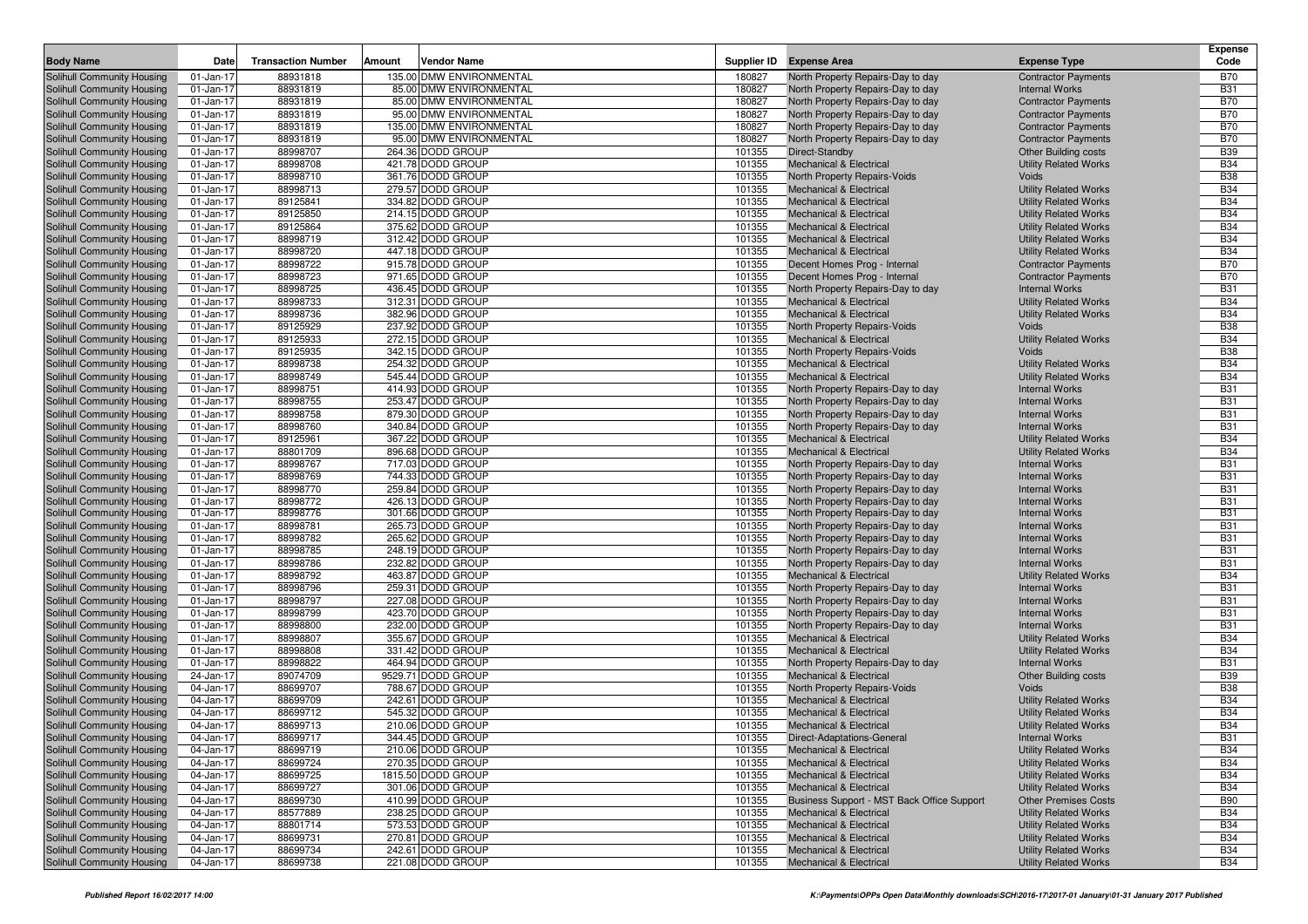| <b>Body Name</b>           | Date      | <b>Transaction Number</b> | Amount | Vendor Name              |        | Supplier ID Expense Area                   | <b>Expense Type</b>          | <b>Expense</b><br>Code |
|----------------------------|-----------|---------------------------|--------|--------------------------|--------|--------------------------------------------|------------------------------|------------------------|
| Solihull Community Housing | 01-Jan-17 | 88931818                  |        | 135.00 DMW ENVIRONMENTAL | 180827 | North Property Repairs-Day to day          | <b>Contractor Payments</b>   | <b>B70</b>             |
| Solihull Community Housing | 01-Jan-17 | 88931819                  |        | 85.00 DMW ENVIRONMENTAL  | 180827 | North Property Repairs-Day to day          | <b>Internal Works</b>        | <b>B31</b>             |
| Solihull Community Housing | 01-Jan-17 | 88931819                  |        | 85.00 DMW ENVIRONMENTAL  | 180827 | North Property Repairs-Day to day          | <b>Contractor Payments</b>   | <b>B70</b>             |
| Solihull Community Housing | 01-Jan-17 | 88931819                  |        | 95.00 DMW ENVIRONMENTAL  | 180827 | North Property Repairs-Day to day          | <b>Contractor Payments</b>   | <b>B70</b>             |
| Solihull Community Housing | 01-Jan-17 | 88931819                  |        | 135.00 DMW ENVIRONMENTAL | 180827 | North Property Repairs-Day to day          | <b>Contractor Payments</b>   | <b>B70</b>             |
| Solihull Community Housing | 01-Jan-17 | 88931819                  |        | 95.00 DMW ENVIRONMENTAL  | 180827 | North Property Repairs-Day to day          | <b>Contractor Payments</b>   | <b>B70</b>             |
| Solihull Community Housing | 01-Jan-17 | 88998707                  |        | 264.36 DODD GROUP        | 101355 | Direct-Standby                             | <b>Other Building costs</b>  | <b>B39</b>             |
| Solihull Community Housing | 01-Jan-17 | 88998708                  |        | 421.78 DODD GROUP        | 101355 | <b>Mechanical &amp; Electrical</b>         | <b>Utility Related Works</b> | <b>B34</b>             |
| Solihull Community Housing | 01-Jan-17 | 88998710                  |        | 361.76 DODD GROUP        | 101355 | North Property Repairs-Voids               | Voids                        | <b>B38</b>             |
| Solihull Community Housing | 01-Jan-17 | 88998713                  |        | 279.57 DODD GROUP        | 101355 | Mechanical & Electrical                    | <b>Utility Related Works</b> | <b>B34</b>             |
| Solihull Community Housing | 01-Jan-17 | 89125841                  |        | 334.82 DODD GROUP        | 101355 | <b>Mechanical &amp; Electrical</b>         | <b>Utility Related Works</b> | <b>B34</b>             |
| Solihull Community Housing | 01-Jan-17 | 89125850                  |        | 214.15 DODD GROUP        | 101355 | <b>Mechanical &amp; Electrical</b>         | <b>Utility Related Works</b> | <b>B34</b>             |
| Solihull Community Housing | 01-Jan-17 | 89125864                  |        | 375.62 DODD GROUP        | 101355 | <b>Mechanical &amp; Electrical</b>         | <b>Utility Related Works</b> | <b>B34</b>             |
| Solihull Community Housing | 01-Jan-17 | 88998719                  |        | 312.42 DODD GROUP        | 101355 | <b>Mechanical &amp; Electrical</b>         | <b>Utility Related Works</b> | <b>B34</b>             |
| Solihull Community Housing | 01-Jan-17 | 88998720                  |        | 447.18 DODD GROUP        | 101355 | <b>Mechanical &amp; Electrical</b>         | <b>Utility Related Works</b> | <b>B34</b>             |
| Solihull Community Housing | 01-Jan-17 | 88998722                  |        | 915.78 DODD GROUP        | 101355 | Decent Homes Prog - Internal               | <b>Contractor Payments</b>   | <b>B70</b>             |
| Solihull Community Housing | 01-Jan-17 | 88998723                  |        | 971.65 DODD GROUP        | 101355 | Decent Homes Prog - Internal               | <b>Contractor Payments</b>   | <b>B70</b>             |
| Solihull Community Housing | 01-Jan-17 | 88998725                  |        | 436.45 DODD GROUP        | 101355 | North Property Repairs-Day to day          | <b>Internal Works</b>        | <b>B31</b>             |
| Solihull Community Housing | 01-Jan-17 | 88998733                  |        | 312.31 DODD GROUP        | 101355 | <b>Mechanical &amp; Electrical</b>         | <b>Utility Related Works</b> | <b>B34</b>             |
| Solihull Community Housing | 01-Jan-17 | 88998736                  |        | 382.96 DODD GROUP        | 101355 | <b>Mechanical &amp; Electrical</b>         | <b>Utility Related Works</b> | <b>B34</b>             |
| Solihull Community Housing | 01-Jan-17 | 89125929                  |        | 237.92 DODD GROUP        | 101355 | North Property Repairs-Voids               | Voids                        | <b>B38</b>             |
| Solihull Community Housing | 01-Jan-17 | 89125933                  |        | 272.15 DODD GROUP        | 101355 | <b>Mechanical &amp; Electrical</b>         | <b>Utility Related Works</b> | <b>B34</b>             |
| Solihull Community Housing | 01-Jan-17 | 89125935                  |        | 342.15 DODD GROUP        | 101355 | North Property Repairs-Voids               | Voids                        | <b>B38</b>             |
| Solihull Community Housing | 01-Jan-17 | 88998738                  |        | 254.32 DODD GROUP        | 101355 | Mechanical & Electrical                    | <b>Utility Related Works</b> | <b>B34</b>             |
| Solihull Community Housing | 01-Jan-17 | 88998749                  |        | 545.44 DODD GROUP        | 101355 | <b>Mechanical &amp; Electrical</b>         | <b>Utility Related Works</b> | <b>B34</b>             |
| Solihull Community Housing | 01-Jan-17 | 88998751                  |        | 414.93 DODD GROUP        | 101355 | North Property Repairs-Day to day          | <b>Internal Works</b>        | <b>B31</b>             |
| Solihull Community Housing | 01-Jan-17 | 88998755                  |        | 253.47 DODD GROUP        | 101355 | North Property Repairs-Day to day          | <b>Internal Works</b>        | <b>B31</b>             |
| Solihull Community Housing | 01-Jan-17 | 88998758                  |        | 879.30 DODD GROUP        | 101355 | North Property Repairs-Day to day          | <b>Internal Works</b>        | <b>B31</b>             |
| Solihull Community Housing | 01-Jan-17 | 88998760                  |        | 340.84 DODD GROUP        | 101355 | North Property Repairs-Day to day          | <b>Internal Works</b>        | <b>B31</b>             |
| Solihull Community Housing | 01-Jan-17 | 89125961                  |        | 367.22 DODD GROUP        | 101355 | <b>Mechanical &amp; Electrical</b>         | <b>Utility Related Works</b> | <b>B34</b>             |
| Solihull Community Housing | 01-Jan-17 | 88801709                  |        | 896.68 DODD GROUP        | 101355 | <b>Mechanical &amp; Electrical</b>         | <b>Utility Related Works</b> | <b>B34</b>             |
| Solihull Community Housing | 01-Jan-17 | 88998767                  |        | 717.03 DODD GROUP        | 101355 | North Property Repairs-Day to day          | <b>Internal Works</b>        | <b>B31</b>             |
| Solihull Community Housing | 01-Jan-17 | 88998769                  |        | 744.33 DODD GROUP        | 101355 | North Property Repairs-Day to day          | <b>Internal Works</b>        | <b>B31</b>             |
| Solihull Community Housing | 01-Jan-17 | 88998770                  |        | 259.84 DODD GROUP        | 101355 | North Property Repairs-Day to day          | <b>Internal Works</b>        | <b>B31</b>             |
| Solihull Community Housing | 01-Jan-17 | 88998772                  |        | 426.13 DODD GROUP        | 101355 | North Property Repairs-Day to day          | <b>Internal Works</b>        | <b>B31</b>             |
| Solihull Community Housing | 01-Jan-17 | 88998776                  |        | 301.66 DODD GROUP        | 101355 | North Property Repairs-Day to day          | <b>Internal Works</b>        | <b>B31</b>             |
| Solihull Community Housing | 01-Jan-17 | 88998781                  |        | 265.73 DODD GROUP        | 101355 | North Property Repairs-Day to day          | <b>Internal Works</b>        | <b>B31</b>             |
| Solihull Community Housing | 01-Jan-17 | 88998782                  |        | 265.62 DODD GROUP        | 101355 | North Property Repairs-Day to day          | <b>Internal Works</b>        | <b>B31</b>             |
| Solihull Community Housing | 01-Jan-17 | 88998785                  |        | 248.19 DODD GROUP        | 101355 | North Property Repairs-Day to day          | <b>Internal Works</b>        | <b>B31</b>             |
| Solihull Community Housing | 01-Jan-17 | 88998786                  |        | 232.82 DODD GROUP        | 101355 | North Property Repairs-Day to day          | <b>Internal Works</b>        | <b>B31</b>             |
| Solihull Community Housing | 01-Jan-17 | 88998792                  |        | 463.87 DODD GROUP        | 101355 | Mechanical & Electrical                    | <b>Utility Related Works</b> | <b>B34</b>             |
| Solihull Community Housing | 01-Jan-17 | 88998796                  |        | 259.31 DODD GROUP        | 101355 | North Property Repairs-Day to day          | <b>Internal Works</b>        | <b>B31</b>             |
| Solihull Community Housing | 01-Jan-17 | 88998797                  |        | 227.08 DODD GROUP        | 101355 | North Property Repairs-Day to day          | <b>Internal Works</b>        | <b>B31</b>             |
| Solihull Community Housing | 01-Jan-17 | 88998799                  |        | 423.70 DODD GROUP        | 101355 | North Property Repairs-Day to day          | <b>Internal Works</b>        | <b>B31</b>             |
| Solihull Community Housing | 01-Jan-17 | 88998800                  |        | 232.00 DODD GROUP        | 101355 | North Property Repairs-Day to day          | <b>Internal Works</b>        | <b>B31</b>             |
| Solihull Community Housing | 01-Jan-17 | 88998807                  |        | 355.67 DODD GROUP        | 101355 | <b>Mechanical &amp; Electrical</b>         | <b>Utility Related Works</b> | <b>B34</b>             |
| Solihull Community Housing | 01-Jan-17 | 88998808                  |        | 331.42 DODD GROUP        | 101355 | Mechanical & Electrical                    | <b>Utility Related Works</b> | <b>B34</b>             |
| Solihull Community Housing | 01-Jan-17 | 88998822                  |        | 464.94 DODD GROUP        | 101355 | North Property Repairs-Day to day          | <b>Internal Works</b>        | <b>B31</b>             |
| Solihull Community Housing | 24-Jan-17 | 89074709                  |        | 9529.71 DODD GROUP       | 101355 | <b>Mechanical &amp; Electrical</b>         | <b>Other Building costs</b>  | <b>B39</b>             |
| Solihull Community Housing | 04-Jan-17 | 88699707                  |        | 788.67 DODD GROUP        | 101355 | North Property Repairs-Voids               | Voids                        | <b>B38</b>             |
| Solihull Community Housing | 04-Jan-17 | 88699709                  |        | 242.61 DODD GROUP        | 101355 | <b>Mechanical &amp; Electrical</b>         | <b>Utility Related Works</b> | <b>B34</b>             |
| Solihull Community Housing | 04-Jan-17 | 88699712                  |        | 545.32 DODD GROUP        | 101355 | <b>Mechanical &amp; Electrical</b>         | <b>Utility Related Works</b> | <b>B34</b>             |
| Solihull Community Housing | 04-Jan-17 | 88699713                  |        | 210.06 DODD GROUP        | 101355 | <b>Mechanical &amp; Electrical</b>         | <b>Utility Related Works</b> | <b>B34</b>             |
| Solihull Community Housing | 04-Jan-17 | 88699717                  |        | 344.45 DODD GROUP        | 101355 | Direct-Adaptations-General                 | <b>Internal Works</b>        | <b>B31</b>             |
| Solihull Community Housing | 04-Jan-17 | 88699719                  |        | 210.06 DODD GROUP        | 101355 | <b>Mechanical &amp; Electrical</b>         | <b>Utility Related Works</b> | <b>B34</b>             |
| Solihull Community Housing | 04-Jan-17 | 88699724                  |        | 270.35 DODD GROUP        | 101355 | <b>Mechanical &amp; Electrical</b>         | <b>Utility Related Works</b> | <b>B34</b>             |
| Solihull Community Housing | 04-Jan-17 | 88699725                  |        | 1815.50 DODD GROUP       | 101355 | <b>Mechanical &amp; Electrical</b>         | <b>Utility Related Works</b> | <b>B34</b>             |
| Solihull Community Housing | 04-Jan-17 | 88699727                  |        | 301.06 DODD GROUP        | 101355 | <b>Mechanical &amp; Electrical</b>         | <b>Utility Related Works</b> | <b>B34</b>             |
| Solihull Community Housing | 04-Jan-17 | 88699730                  |        | 410.99 DODD GROUP        | 101355 | Business Support - MST Back Office Support | <b>Other Premises Costs</b>  | <b>B90</b>             |
| Solihull Community Housing | 04-Jan-17 | 88577889                  |        | 238.25 DODD GROUP        | 101355 | <b>Mechanical &amp; Electrical</b>         | <b>Utility Related Works</b> | <b>B34</b>             |
| Solihull Community Housing | 04-Jan-17 | 88801714                  |        | 573.53 DODD GROUP        | 101355 | <b>Mechanical &amp; Electrical</b>         | <b>Utility Related Works</b> | <b>B34</b>             |
| Solihull Community Housing | 04-Jan-17 | 88699731                  |        | 270.81 DODD GROUP        | 101355 | <b>Mechanical &amp; Electrical</b>         | <b>Utility Related Works</b> | <b>B34</b>             |
| Solihull Community Housing | 04-Jan-17 | 88699734                  |        | 242.61 DODD GROUP        | 101355 | <b>Mechanical &amp; Electrical</b>         | <b>Utility Related Works</b> | <b>B34</b>             |
| Solihull Community Housing | 04-Jan-17 | 88699738                  |        | 221.08 DODD GROUP        | 101355 | <b>Mechanical &amp; Electrical</b>         | <b>Utility Related Works</b> | B34                    |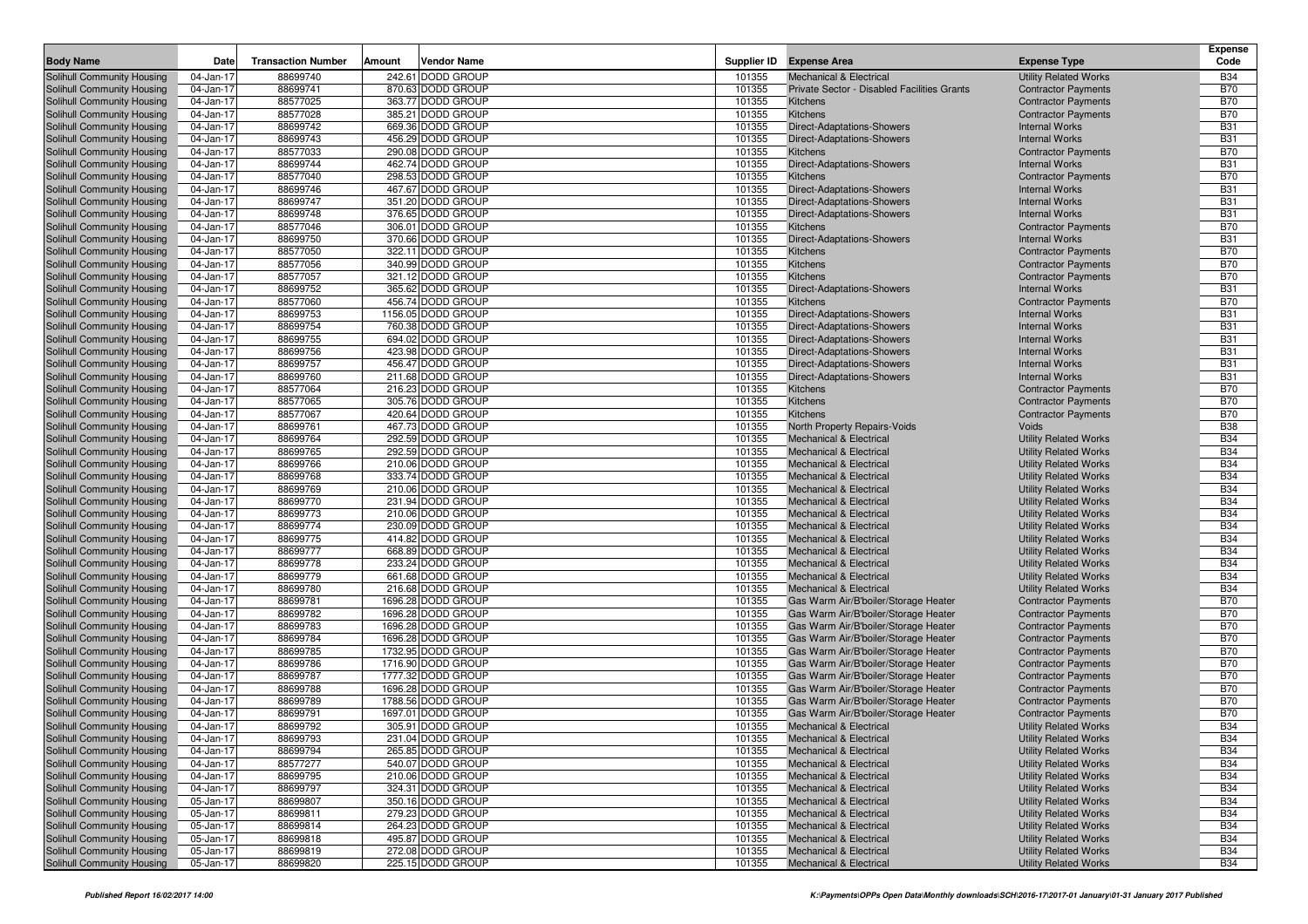|                                                          |                        |                           |        |                                          |                  |                                                                 |                                                            | <b>Expense</b>           |
|----------------------------------------------------------|------------------------|---------------------------|--------|------------------------------------------|------------------|-----------------------------------------------------------------|------------------------------------------------------------|--------------------------|
| <b>Body Name</b>                                         | Date                   | <b>Transaction Number</b> | Amount | Vendor Name                              |                  | Supplier ID Expense Area                                        | <b>Expense Type</b>                                        | Code                     |
| Solihull Community Housing                               | 04-Jan-17              | 88699740                  |        | 242.61 DODD GROUP                        | 101355           | <b>Mechanical &amp; Electrical</b>                              | <b>Utility Related Works</b>                               | <b>B34</b>               |
| Solihull Community Housing                               | 04-Jan-17              | 88699741                  |        | 870.63 DODD GROUP                        | 101355           | Private Sector - Disabled Facilities Grants                     | <b>Contractor Payments</b>                                 | <b>B70</b>               |
| Solihull Community Housing                               | 04-Jan-17              | 88577025                  |        | 363.77 DODD GROUP                        | 101355           | Kitchens                                                        | <b>Contractor Payments</b>                                 | <b>B70</b>               |
| Solihull Community Housing                               | 04-Jan-17              | 88577028                  |        | 385.21 DODD GROUP                        | 101355           | Kitchens                                                        | <b>Contractor Payments</b>                                 | <b>B70</b>               |
| Solihull Community Housing                               | 04-Jan-17              | 88699742                  |        | 669.36 DODD GROUP                        | 101355           | Direct-Adaptations-Showers                                      | <b>Internal Works</b>                                      | <b>B31</b>               |
| Solihull Community Housing                               | 04-Jan-17              | 88699743                  |        | 456.29 DODD GROUP                        | 101355           | Direct-Adaptations-Showers                                      | <b>Internal Works</b>                                      | <b>B31</b>               |
| Solihull Community Housing                               | 04-Jan-17              | 88577033                  |        | 290.08 DODD GROUP                        | 101355           | Kitchens                                                        | <b>Contractor Payments</b>                                 | <b>B70</b>               |
| Solihull Community Housing                               | 04-Jan-17              | 88699744                  |        | 462.74 DODD GROUP                        | 101355           | Direct-Adaptations-Showers                                      | <b>Internal Works</b>                                      | <b>B31</b>               |
| Solihull Community Housing                               | 04-Jan-17              | 88577040                  |        | 298.53 DODD GROUP                        | 101355           | Kitchens                                                        | <b>Contractor Payments</b>                                 | <b>B70</b>               |
| Solihull Community Housing                               | 04-Jan-17              | 88699746                  |        | 467.67 DODD GROUP                        | 101355           | Direct-Adaptations-Showers                                      | <b>Internal Works</b>                                      | <b>B31</b>               |
| Solihull Community Housing                               | 04-Jan-17              | 88699747                  |        | 351.20 DODD GROUP                        | 101355           | Direct-Adaptations-Showers                                      | <b>Internal Works</b>                                      | <b>B31</b>               |
| Solihull Community Housing                               | 04-Jan-17              | 88699748                  |        | 376.65 DODD GROUP                        | 101355           | Direct-Adaptations-Showers                                      | <b>Internal Works</b>                                      | <b>B31</b>               |
| Solihull Community Housing                               | 04-Jan-17              | 88577046                  |        | 306.01 DODD GROUP                        | 101355           | Kitchens                                                        | <b>Contractor Payments</b>                                 | <b>B70</b>               |
| Solihull Community Housing                               | 04-Jan-17              | 88699750                  |        | 370.66 DODD GROUP                        | 101355           | Direct-Adaptations-Showers                                      | <b>Internal Works</b>                                      | <b>B31</b>               |
| Solihull Community Housing                               | 04-Jan-17              | 88577050                  |        | 322.11 DODD GROUP                        | 101355           | Kitchens                                                        | <b>Contractor Payments</b>                                 | <b>B70</b>               |
| Solihull Community Housing                               | 04-Jan-17              | 88577056                  |        | 340.99 DODD GROUP                        | 101355           | Kitchens                                                        | <b>Contractor Payments</b>                                 | <b>B70</b>               |
| Solihull Community Housing                               | 04-Jan-17              | 88577057                  |        | 321.12 DODD GROUP                        | 101355           | Kitchens                                                        | <b>Contractor Payments</b>                                 | <b>B70</b>               |
| Solihull Community Housing                               | 04-Jan-17              | 88699752<br>88577060      |        | 365.62 DODD GROUP<br>456.74 DODD GROUP   | 101355           | Direct-Adaptations-Showers                                      | <b>Internal Works</b>                                      | <b>B31</b><br><b>B70</b> |
| Solihull Community Housing                               | 04-Jan-17              |                           |        |                                          | 101355           | Kitchens                                                        | <b>Contractor Payments</b>                                 |                          |
| Solihull Community Housing                               | 04-Jan-17              | 88699753<br>88699754      |        | 1156.05 DODD GROUP<br>760.38 DODD GROUP  | 101355<br>101355 | Direct-Adaptations-Showers                                      | <b>Internal Works</b><br><b>Internal Works</b>             | <b>B31</b><br><b>B31</b> |
| Solihull Community Housing                               | 04-Jan-17              | 88699755                  |        | 694.02 DODD GROUP                        | 101355           | Direct-Adaptations-Showers<br>Direct-Adaptations-Showers        | <b>Internal Works</b>                                      | <b>B31</b>               |
| Solihull Community Housing<br>Solihull Community Housing | 04-Jan-17<br>04-Jan-17 | 88699756                  |        | 423.98 DODD GROUP                        | 101355           | Direct-Adaptations-Showers                                      | <b>Internal Works</b>                                      | <b>B31</b>               |
| Solihull Community Housing                               | 04-Jan-17              | 88699757                  |        | 456.47 DODD GROUP                        | 101355           | Direct-Adaptations-Showers                                      | <b>Internal Works</b>                                      | <b>B31</b>               |
| Solihull Community Housing                               | 04-Jan-17              | 88699760                  |        | 211.68 DODD GROUP                        | 101355           | Direct-Adaptations-Showers                                      | <b>Internal Works</b>                                      | <b>B31</b>               |
| Solihull Community Housing                               | 04-Jan-17              | 88577064                  |        | 216.23 DODD GROUP                        | 101355           | Kitchens                                                        | <b>Contractor Payments</b>                                 | <b>B70</b>               |
| Solihull Community Housing                               | 04-Jan-17              | 88577065                  |        | 305.76 DODD GROUP                        | 101355           | Kitchens                                                        | <b>Contractor Payments</b>                                 | <b>B70</b>               |
| Solihull Community Housing                               | 04-Jan-17              | 88577067                  |        | 420.64 DODD GROUP                        | 101355           | Kitchens                                                        | <b>Contractor Payments</b>                                 | <b>B70</b>               |
| Solihull Community Housing                               | 04-Jan-17              | 88699761                  |        | 467.73 DODD GROUP                        | 101355           | North Property Repairs-Voids                                    | Voids                                                      | <b>B38</b>               |
| Solihull Community Housing                               | 04-Jan-17              | 88699764                  |        | 292.59 DODD GROUP                        | 101355           | <b>Mechanical &amp; Electrical</b>                              | <b>Utility Related Works</b>                               | <b>B34</b>               |
| Solihull Community Housing                               | 04-Jan-17              | 88699765                  |        | 292.59 DODD GROUP                        | 101355           | <b>Mechanical &amp; Electrical</b>                              | <b>Utility Related Works</b>                               | <b>B34</b>               |
| Solihull Community Housing                               | 04-Jan-17              | 88699766                  |        | 210.06 DODD GROUP                        | 101355           | <b>Mechanical &amp; Electrical</b>                              | <b>Utility Related Works</b>                               | <b>B34</b>               |
| Solihull Community Housing                               | 04-Jan-17              | 88699768                  |        | 333.74 DODD GROUP                        | 101355           | <b>Mechanical &amp; Electrical</b>                              | <b>Utility Related Works</b>                               | <b>B34</b>               |
| Solihull Community Housing                               | 04-Jan-17              | 88699769                  |        | 210.06 DODD GROUP                        | 101355           | <b>Mechanical &amp; Electrical</b>                              | <b>Utility Related Works</b>                               | <b>B34</b>               |
| Solihull Community Housing                               | 04-Jan-17              | 88699770                  |        | 231.94 DODD GROUP                        | 101355           | <b>Mechanical &amp; Electrical</b>                              | <b>Utility Related Works</b>                               | <b>B34</b>               |
| Solihull Community Housing                               | 04-Jan-17              | 88699773                  |        | 210.06 DODD GROUP                        | 101355           | <b>Mechanical &amp; Electrical</b>                              | <b>Utility Related Works</b>                               | <b>B34</b>               |
| Solihull Community Housing                               | 04-Jan-17              | 88699774                  |        | 230.09 DODD GROUP                        | 101355           | Mechanical & Electrical                                         | <b>Utility Related Works</b>                               | <b>B34</b>               |
| Solihull Community Housing                               | 04-Jan-17              | 88699775                  |        | 414.82 DODD GROUP                        | 101355           | <b>Mechanical &amp; Electrical</b>                              | <b>Utility Related Works</b>                               | <b>B34</b>               |
| Solihull Community Housing                               | 04-Jan-17              | 88699777                  |        | 668.89 DODD GROUP                        | 101355           | Mechanical & Electrical                                         | <b>Utility Related Works</b>                               | <b>B34</b>               |
| Solihull Community Housing                               | 04-Jan-17              | 88699778                  |        | 233.24 DODD GROUP                        | 101355           | <b>Mechanical &amp; Electrical</b>                              | <b>Utility Related Works</b>                               | <b>B34</b>               |
| Solihull Community Housing                               | 04-Jan-17              | 88699779                  |        | 661.68 DODD GROUP                        | 101355           | <b>Mechanical &amp; Electrical</b>                              | <b>Utility Related Works</b>                               | <b>B34</b>               |
| Solihull Community Housing                               | 04-Jan-17              | 88699780                  |        | 216.68 DODD GROUP                        | 101355           | Mechanical & Electrical                                         | <b>Utility Related Works</b>                               | <b>B34</b>               |
| Solihull Community Housing                               | 04-Jan-17              | 88699781                  |        | 1696.28 DODD GROUP                       | 101355           | Gas Warm Air/B'boiler/Storage Heater                            | <b>Contractor Payments</b>                                 | <b>B70</b>               |
| Solihull Community Housing                               | 04-Jan-17              | 88699782                  |        | 1696.28 DODD GROUP                       | 101355           | Gas Warm Air/B'boiler/Storage Heater                            | <b>Contractor Payments</b>                                 | <b>B70</b>               |
| Solihull Community Housing                               | 04-Jan-17              | 88699783                  |        | 1696.28 DODD GROUP                       | 101355           | Gas Warm Air/B'boiler/Storage Heater                            | <b>Contractor Payments</b>                                 | <b>B70</b>               |
| Solihull Community Housing                               | 04-Jan-17              | 88699784                  |        | 1696.28 DODD GROUP                       | 101355           | Gas Warm Air/B'boiler/Storage Heater                            | <b>Contractor Payments</b>                                 | <b>B70</b>               |
| Solihull Community Housing                               | 04-Jan-17              | 88699785                  |        | 1732.95 DODD GROUP                       | 101355           | Gas Warm Air/B'boiler/Storage Heater                            | <b>Contractor Payments</b>                                 | <b>B70</b>               |
| Solihull Community Housing                               | 04-Jan-17              | 88699786                  |        | 1716.90 DODD GROUP                       | 101355           | Gas Warm Air/B'boiler/Storage Heater                            | <b>Contractor Payments</b>                                 | <b>B70</b>               |
| Solihull Community Housing                               | 04-Jan-17              | 88699787                  |        | 1777.32 DODD GROUP                       | 101355           | Gas Warm Air/B'boiler/Storage Heater                            | <b>Contractor Payments</b>                                 | <b>B70</b>               |
| Solihull Community Housing<br>Solihull Community Housing | 04-Jan-17<br>04-Jan-17 | 88699788<br>88699789      |        | 1696.28 DODD GROUP<br>1788.56 DODD GROUP | 101355<br>101355 | Gas Warm Air/B'boiler/Storage Heater                            | <b>Contractor Payments</b><br><b>Contractor Payments</b>   | <b>B70</b><br><b>B70</b> |
|                                                          |                        |                           |        |                                          |                  | Gas Warm Air/B'boiler/Storage Heater                            |                                                            | <b>B70</b>               |
| Solihull Community Housing<br>Solihull Community Housing | 04-Jan-17<br>04-Jan-17 | 88699791<br>88699792      |        | 1697.01 DODD GROUP<br>305.91 DODD GROUP  | 101355<br>101355 | Gas Warm Air/B'boiler/Storage Heater<br>Mechanical & Electrical | <b>Contractor Payments</b><br><b>Utility Related Works</b> | <b>B34</b>               |
| Solihull Community Housing                               | 04-Jan-17              | 88699793                  |        | 231.04 DODD GROUP                        | 101355           | <b>Mechanical &amp; Electrical</b>                              | Utility Related Works                                      | <b>B34</b>               |
| Solihull Community Housing                               | 04-Jan-17              | 88699794                  |        | 265.85 DODD GROUP                        | 101355           | Mechanical & Electrical                                         | <b>Utility Related Works</b>                               | <b>B34</b>               |
| Solihull Community Housing                               | 04-Jan-17              | 88577277                  |        | 540.07 DODD GROUP                        | 101355           | Mechanical & Electrical                                         | <b>Utility Related Works</b>                               | <b>B34</b>               |
| Solihull Community Housing                               | 04-Jan-17              | 88699795                  |        | 210.06 DODD GROUP                        | 101355           | Mechanical & Electrical                                         | <b>Utility Related Works</b>                               | <b>B34</b>               |
| Solihull Community Housing                               | 04-Jan-17              | 88699797                  |        | 324.31 DODD GROUP                        | 101355           | <b>Mechanical &amp; Electrical</b>                              | <b>Utility Related Works</b>                               | <b>B34</b>               |
| Solihull Community Housing                               | 05-Jan-17              | 88699807                  |        | 350.16 DODD GROUP                        | 101355           | <b>Mechanical &amp; Electrical</b>                              | <b>Utility Related Works</b>                               | <b>B34</b>               |
| Solihull Community Housing                               | 05-Jan-17              | 88699811                  |        | 279.23 DODD GROUP                        | 101355           | Mechanical & Electrical                                         | <b>Utility Related Works</b>                               | <b>B34</b>               |
| Solihull Community Housing                               | 05-Jan-17              | 88699814                  |        | 264.23 DODD GROUP                        | 101355           | <b>Mechanical &amp; Electrical</b>                              | <b>Utility Related Works</b>                               | <b>B34</b>               |
| Solihull Community Housing                               | 05-Jan-17              | 88699818                  |        | 495.87 DODD GROUP                        | 101355           | Mechanical & Electrical                                         | <b>Utility Related Works</b>                               | <b>B34</b>               |
| Solihull Community Housing                               | 05-Jan-17              | 88699819                  |        | 272.08 DODD GROUP                        | 101355           | Mechanical & Electrical                                         | <b>Utility Related Works</b>                               | <b>B34</b>               |
| Solihull Community Housing                               | 05-Jan-17              | 88699820                  |        | 225.15 DODD GROUP                        | 101355           | Mechanical & Electrical                                         | <b>Utility Related Works</b>                               | <b>B34</b>               |
|                                                          |                        |                           |        |                                          |                  |                                                                 |                                                            |                          |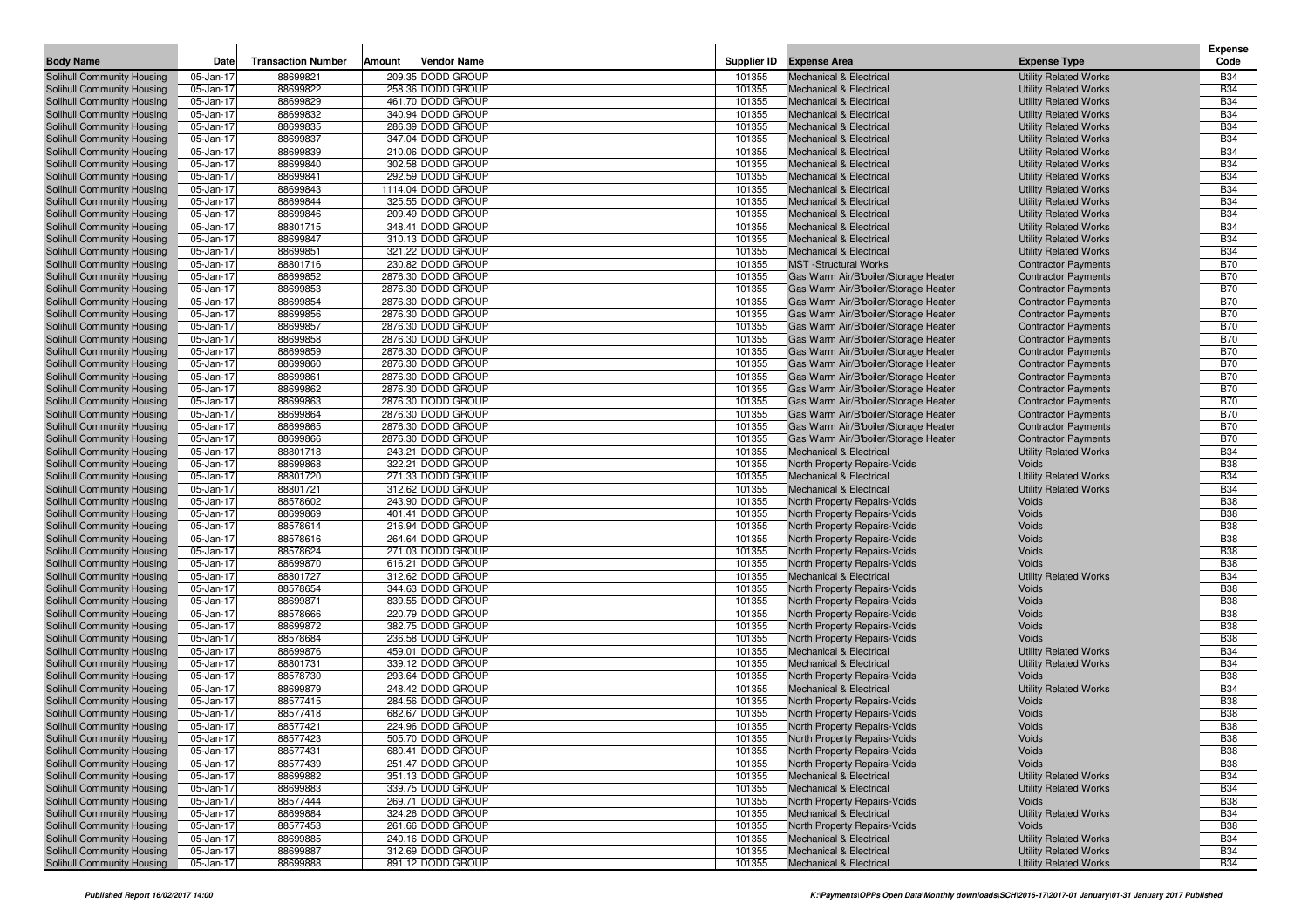|                                                          |                        |                           |                                          |                  |                                                                              |                                       | Expense                  |
|----------------------------------------------------------|------------------------|---------------------------|------------------------------------------|------------------|------------------------------------------------------------------------------|---------------------------------------|--------------------------|
| <b>Body Name</b>                                         | Date                   | <b>Transaction Number</b> | Amount<br><b>Vendor Name</b>             |                  | Supplier ID Expense Area                                                     | <b>Expense Type</b>                   | Code                     |
| <b>Solihull Community Housing</b>                        | 05-Jan-17              | 88699821                  | 209.35 DODD GROUP                        | 101355           | <b>Mechanical &amp; Electrical</b>                                           | <b>Utility Related Works</b>          | <b>B34</b>               |
| Solihull Community Housing                               | 05-Jan-17              | 88699822                  | 258.36 DODD GROUP                        | 101355           | <b>Mechanical &amp; Electrical</b>                                           | <b>Utility Related Works</b>          | <b>B34</b>               |
| Solihull Community Housing                               | 05-Jan-17              | 88699829                  | 461.70 DODD GROUP                        | 101355           | <b>Mechanical &amp; Electrical</b>                                           | <b>Utility Related Works</b>          | <b>B34</b>               |
| Solihull Community Housing                               | 05-Jan-17              | 88699832                  | 340.94 DODD GROUP                        | 101355           | <b>Mechanical &amp; Electrical</b>                                           | <b>Utility Related Works</b>          | <b>B34</b>               |
| Solihull Community Housing                               | 05-Jan-17              | 88699835                  | 286.39 DODD GROUP                        | 101355           | Mechanical & Electrical                                                      | <b>Utility Related Works</b>          | <b>B34</b>               |
| Solihull Community Housing                               | 05-Jan-17              | 88699837                  | 347.04 DODD GROUP                        | 101355           | <b>Mechanical &amp; Electrical</b>                                           | <b>Utility Related Works</b>          | <b>B34</b>               |
| Solihull Community Housing                               | 05-Jan-17              | 88699839                  | 210.06 DODD GROUP                        | 101355           | <b>Mechanical &amp; Electrical</b>                                           | <b>Utility Related Works</b>          | <b>B34</b>               |
| Solihull Community Housing                               | 05-Jan-17              | 88699840                  | 302.58 DODD GROUP                        | 101355           | Mechanical & Electrical                                                      | <b>Utility Related Works</b>          | <b>B34</b>               |
| Solihull Community Housing                               | 05-Jan-17              | 88699841                  | 292.59 DODD GROUP                        | 101355           | <b>Mechanical &amp; Electrical</b>                                           | <b>Utility Related Works</b>          | <b>B34</b>               |
| Solihull Community Housing                               | 05-Jan-17              | 88699843                  | 1114.04 DODD GROUP                       | 101355           | Mechanical & Electrical                                                      | <b>Utility Related Works</b>          | <b>B34</b>               |
| Solihull Community Housing                               | 05-Jan-17              | 88699844                  | 325.55 DODD GROUP                        | 101355           | <b>Mechanical &amp; Electrical</b>                                           | <b>Utility Related Works</b>          | <b>B34</b>               |
| Solihull Community Housing                               | 05-Jan-17              | 88699846                  | 209.49 DODD GROUP                        | 101355           | <b>Mechanical &amp; Electrical</b>                                           | <b>Utility Related Works</b>          | <b>B34</b>               |
| Solihull Community Housing                               | 05-Jan-17              | 88801715                  | 348.41 DODD GROUP                        | 101355           | <b>Mechanical &amp; Electrical</b>                                           | <b>Utility Related Works</b>          | <b>B34</b>               |
| Solihull Community Housing                               | 05-Jan-17              | 88699847                  | 310.13 DODD GROUP                        | 101355           | <b>Mechanical &amp; Electrical</b>                                           | <b>Utility Related Works</b>          | <b>B34</b>               |
| Solihull Community Housing                               | 05-Jan-17              | 88699851                  | 321.22 DODD GROUP                        | 101355           | <b>Mechanical &amp; Electrical</b>                                           | <b>Utility Related Works</b>          | <b>B34</b>               |
| Solihull Community Housing                               | 05-Jan-17              | 88801716                  | 230.82 DODD GROUP                        | 101355           | <b>MST</b> -Structural Works                                                 | <b>Contractor Payments</b>            | <b>B70</b>               |
| Solihull Community Housing                               | 05-Jan-17              | 88699852                  | 2876.30 DODD GROUP                       | 101355           | Gas Warm Air/B'boiler/Storage Heater                                         | <b>Contractor Payments</b>            | <b>B70</b>               |
| Solihull Community Housing                               | 05-Jan-17              | 88699853                  | 2876.30 DODD GROUP                       | 101355           | Gas Warm Air/B'boiler/Storage Heater                                         | <b>Contractor Payments</b>            | <b>B70</b>               |
| Solihull Community Housing                               | 05-Jan-17              | 88699854                  | 2876.30 DODD GROUP                       | 101355           | Gas Warm Air/B'boiler/Storage Heater                                         | <b>Contractor Payments</b>            | <b>B70</b>               |
| Solihull Community Housing                               | 05-Jan-17              | 88699856                  | 2876.30 DODD GROUP                       | 101355           | Gas Warm Air/B'boiler/Storage Heater                                         | <b>Contractor Payments</b>            | <b>B70</b>               |
| Solihull Community Housing                               | 05-Jan-17              | 88699857                  | 2876.30 DODD GROUP                       | 101355           | Gas Warm Air/B'boiler/Storage Heater                                         | <b>Contractor Payments</b>            | <b>B70</b>               |
| Solihull Community Housing                               | 05-Jan-17              | 88699858                  | 2876.30 DODD GROUP                       | 101355           | Gas Warm Air/B'boiler/Storage Heater                                         | <b>Contractor Payments</b>            | <b>B70</b>               |
| Solihull Community Housing                               | 05-Jan-17              | 88699859                  | 2876.30 DODD GROUP                       | 101355           | Gas Warm Air/B'boiler/Storage Heater                                         | <b>Contractor Payments</b>            | <b>B70</b>               |
| Solihull Community Housing                               | 05-Jan-17              | 88699860                  | 2876.30 DODD GROUP                       | 101355           | Gas Warm Air/B'boiler/Storage Heater                                         | <b>Contractor Payments</b>            | <b>B70</b>               |
| Solihull Community Housing                               | 05-Jan-17              | 88699861                  | 2876.30 DODD GROUP                       | 101355           | Gas Warm Air/B'boiler/Storage Heater                                         | <b>Contractor Payments</b>            | <b>B70</b>               |
| Solihull Community Housing                               | 05-Jan-17              | 88699862                  | 2876.30 DODD GROUP                       | 101355           | Gas Warm Air/B'boiler/Storage Heater                                         | <b>Contractor Payments</b>            | <b>B70</b>               |
| Solihull Community Housing<br>Solihull Community Housing | 05-Jan-17              | 88699863<br>88699864      | 2876.30 DODD GROUP                       | 101355           | Gas Warm Air/B'boiler/Storage Heater                                         | <b>Contractor Payments</b>            | <b>B70</b><br><b>B70</b> |
|                                                          | 05-Jan-17              |                           | 2876.30 DODD GROUP                       | 101355           | Gas Warm Air/B'boiler/Storage Heater                                         | <b>Contractor Payments</b>            | <b>B70</b>               |
| Solihull Community Housing                               | 05-Jan-17              | 88699865<br>88699866      | 2876.30 DODD GROUP<br>2876.30 DODD GROUP | 101355<br>101355 | Gas Warm Air/B'boiler/Storage Heater<br>Gas Warm Air/B'boiler/Storage Heater | <b>Contractor Payments</b>            | <b>B70</b>               |
| Solihull Community Housing                               | 05-Jan-17              | 88801718                  | 243.21 DODD GROUP                        | 101355           |                                                                              | <b>Contractor Payments</b>            | <b>B34</b>               |
| Solihull Community Housing<br>Solihull Community Housing | 05-Jan-17<br>05-Jan-17 | 88699868                  | 322.21 DODD GROUP                        | 101355           | <b>Mechanical &amp; Electrical</b><br>North Property Repairs-Voids           | <b>Utility Related Works</b><br>Voids | <b>B38</b>               |
| Solihull Community Housing                               | 05-Jan-17              | 88801720                  | 271.33 DODD GROUP                        | 101355           | <b>Mechanical &amp; Electrical</b>                                           | <b>Utility Related Works</b>          | <b>B34</b>               |
| Solihull Community Housing                               | 05-Jan-17              | 88801721                  | 312.62 DODD GROUP                        | 101355           | <b>Mechanical &amp; Electrical</b>                                           | <b>Utility Related Works</b>          | <b>B34</b>               |
| Solihull Community Housing                               | 05-Jan-17              | 88578602                  | 243.90 DODD GROUP                        | 101355           | North Property Repairs-Voids                                                 | Voids                                 | <b>B38</b>               |
| Solihull Community Housing                               | 05-Jan-17              | 88699869                  | 401.41 DODD GROUP                        | 101355           | North Property Repairs-Voids                                                 | Voids                                 | <b>B38</b>               |
| Solihull Community Housing                               | 05-Jan-17              | 88578614                  | 216.94 DODD GROUP                        | 101355           | North Property Repairs-Voids                                                 | Voids                                 | <b>B38</b>               |
| Solihull Community Housing                               | 05-Jan-17              | 88578616                  | 264.64 DODD GROUP                        | 101355           | North Property Repairs-Voids                                                 | Voids                                 | <b>B38</b>               |
| Solihull Community Housing                               | 05-Jan-17              | 88578624                  | 271.03 DODD GROUP                        | 101355           | North Property Repairs-Voids                                                 | Voids                                 | <b>B38</b>               |
| Solihull Community Housing                               | 05-Jan-17              | 88699870                  | 616.21 DODD GROUP                        | 101355           | North Property Repairs-Voids                                                 | Voids                                 | <b>B38</b>               |
| Solihull Community Housing                               | 05-Jan-17              | 88801727                  | 312.62 DODD GROUP                        | 101355           | <b>Mechanical &amp; Electrical</b>                                           | <b>Utility Related Works</b>          | <b>B34</b>               |
| Solihull Community Housing                               | 05-Jan-17              | 88578654                  | 344.63 DODD GROUP                        | 101355           | North Property Repairs-Voids                                                 | Voids                                 | <b>B38</b>               |
| Solihull Community Housing                               | 05-Jan-17              | 88699871                  | 839.55 DODD GROUP                        | 101355           | North Property Repairs-Voids                                                 | Voids                                 | <b>B38</b>               |
| Solihull Community Housing                               | 05-Jan-17              | 88578666                  | 220.79 DODD GROUP                        | 101355           | North Property Repairs-Voids                                                 | Voids                                 | <b>B38</b>               |
| Solihull Community Housing                               | 05-Jan-17              | 88699872                  | 382.75 DODD GROUP                        | 101355           | North Property Repairs-Voids                                                 | Voids                                 | <b>B38</b>               |
| Solihull Community Housing                               | 05-Jan-17              | 88578684                  | 236.58 DODD GROUP                        | 101355           | North Property Repairs-Voids                                                 | Voids                                 | <b>B38</b>               |
| Solihull Community Housing                               | 05-Jan-17              | 88699876                  | 459.01 DODD GROUP                        | 101355           | <b>Mechanical &amp; Electrical</b>                                           | <b>Utility Related Works</b>          | <b>B34</b>               |
| Solihull Community Housing                               | 05-Jan-17              | 88801731                  | 339.12 DODD GROUP                        | 101355           | <b>Mechanical &amp; Electrical</b>                                           | <b>Utility Related Works</b>          | <b>B34</b>               |
| Solihull Community Housing                               | 05-Jan-17              | 88578730                  | 293.64 DODD GROUP                        | 101355           | North Property Repairs-Voids                                                 | Voids                                 | <b>B38</b>               |
| Solihull Community Housing                               | 05-Jan-17              | 88699879                  | 248.42 DODD GROUP                        | 101355           | <b>Mechanical &amp; Electrical</b>                                           | <b>Utility Related Works</b>          | <b>B34</b>               |
| Solihull Community Housing                               | 05-Jan-17              | 88577415                  | 284.56 DODD GROUP                        | 101355           | North Property Repairs-Voids                                                 | Voids                                 | <b>B38</b>               |
| Solihull Community Housing                               | 05-Jan-17              | 88577418                  | 682.67 DODD GROUP                        | 101355           | North Property Repairs-Voids                                                 | Voids                                 | <b>B38</b>               |
| Solihull Community Housing                               | 05-Jan-17              | 88577421                  | 224.96 DODD GROUP                        | 101355           | North Property Repairs-Voids                                                 | Voids                                 | <b>B38</b>               |
| Solihull Community Housing                               | 05-Jan-17              | 88577423                  | 505.70 DODD GROUP                        | 101355           | North Property Repairs-Voids                                                 | Voids                                 | <b>B38</b>               |
| Solihull Community Housing                               | 05-Jan-17              | 88577431                  | 680.41 DODD GROUP                        | 101355           | North Property Repairs-Voids                                                 | Voids                                 | <b>B38</b>               |
| Solihull Community Housing                               | 05-Jan-17              | 88577439                  | 251.47 DODD GROUP                        | 101355           | North Property Repairs-Voids                                                 | Voids                                 | <b>B38</b>               |
| Solihull Community Housing                               | 05-Jan-17              | 88699882                  | 351.13 DODD GROUP                        | 101355           | <b>Mechanical &amp; Electrical</b>                                           | <b>Utility Related Works</b>          | <b>B34</b>               |
| Solihull Community Housing                               | 05-Jan-17              | 88699883                  | 339.75 DODD GROUP                        | 101355           | <b>Mechanical &amp; Electrical</b>                                           | <b>Utility Related Works</b>          | <b>B34</b>               |
| Solihull Community Housing                               | 05-Jan-17              | 88577444                  | 269.71 DODD GROUP                        | 101355           | North Property Repairs-Voids                                                 | Voids                                 | <b>B38</b>               |
| Solihull Community Housing                               | 05-Jan-17              | 88699884                  | 324.26 DODD GROUP                        | 101355           | <b>Mechanical &amp; Electrical</b>                                           | <b>Utility Related Works</b>          | <b>B34</b>               |
| Solihull Community Housing                               | 05-Jan-17              | 88577453                  | 261.66 DODD GROUP                        | 101355           | North Property Repairs-Voids                                                 | Voids                                 | <b>B38</b>               |
| Solihull Community Housing                               | 05-Jan-17              | 88699885                  | 240.16 DODD GROUP                        | 101355           | <b>Mechanical &amp; Electrical</b>                                           | <b>Utility Related Works</b>          | <b>B34</b>               |
| Solihull Community Housing                               | 05-Jan-17              | 88699887                  | 312.69 DODD GROUP                        | 101355           | <b>Mechanical &amp; Electrical</b>                                           | <b>Utility Related Works</b>          | <b>B34</b>               |
| Solihull Community Housing                               | 05-Jan-17              | 88699888                  | 891.12 DODD GROUP                        | 101355           | <b>Mechanical &amp; Electrical</b>                                           | <b>Utility Related Works</b>          | <b>B34</b>               |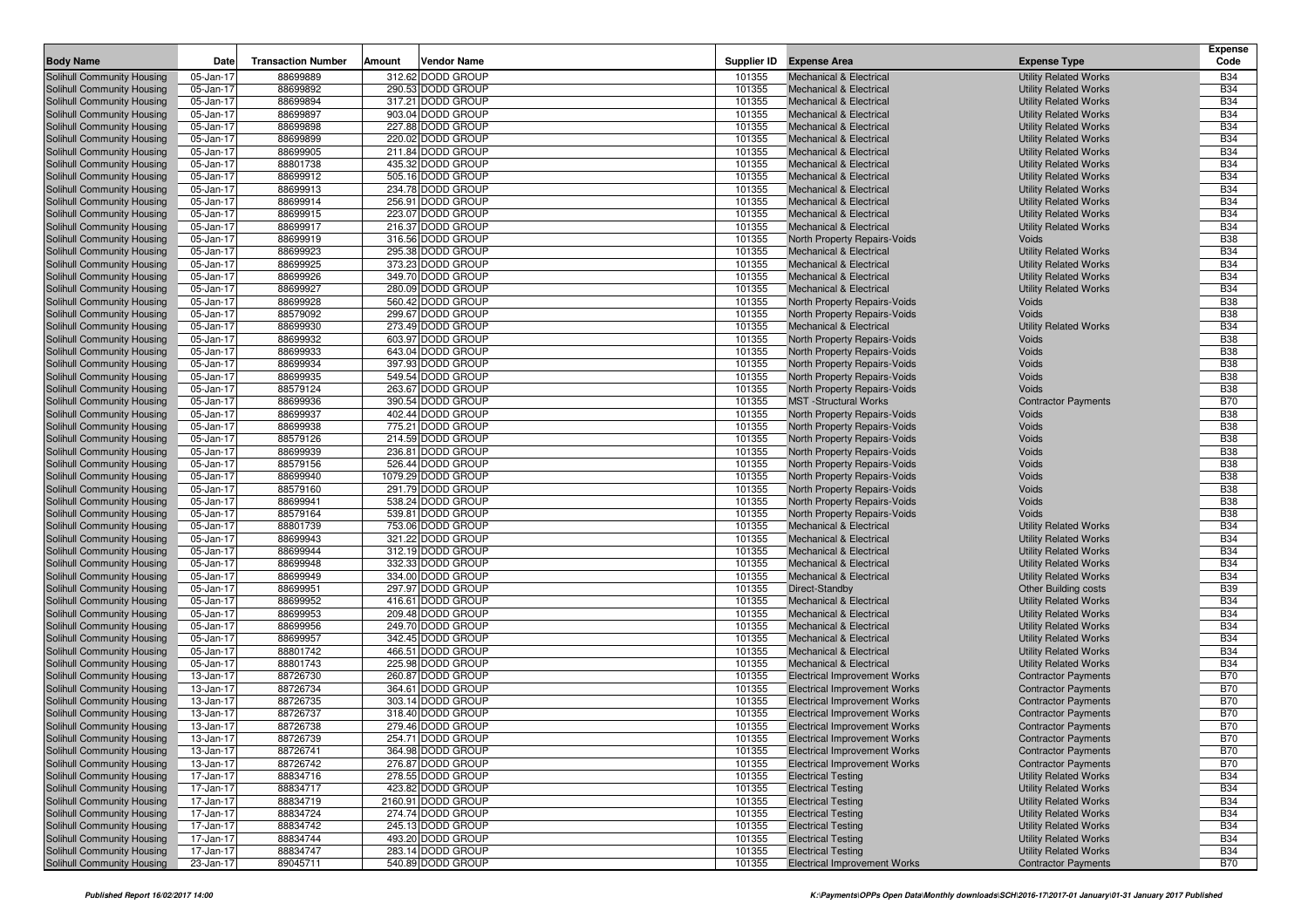|                                                          |                        |                           |                                        |                  |                                                                    |                                                              | Expense                  |
|----------------------------------------------------------|------------------------|---------------------------|----------------------------------------|------------------|--------------------------------------------------------------------|--------------------------------------------------------------|--------------------------|
| <b>Body Name</b>                                         | Date                   | <b>Transaction Number</b> | Amount<br><b>Vendor Name</b>           |                  | Supplier ID Expense Area                                           | <b>Expense Type</b>                                          | Code                     |
| <b>Solihull Community Housing</b>                        | 05-Jan-17              | 88699889                  | 312.62 DODD GROUP                      | 101355           | <b>Mechanical &amp; Electrical</b>                                 | <b>Utility Related Works</b>                                 | <b>B34</b>               |
| Solihull Community Housing                               | 05-Jan-17              | 88699892                  | 290.53 DODD GROUP                      | 101355           | <b>Mechanical &amp; Electrical</b>                                 | <b>Utility Related Works</b>                                 | <b>B34</b>               |
| Solihull Community Housing                               | 05-Jan-17              | 88699894                  | 317.21 DODD GROUP                      | 101355           | <b>Mechanical &amp; Electrical</b>                                 | <b>Utility Related Works</b>                                 | <b>B34</b>               |
| Solihull Community Housing                               | 05-Jan-17              | 88699897                  | 903.04 DODD GROUP                      | 101355           | <b>Mechanical &amp; Electrical</b>                                 | <b>Utility Related Works</b>                                 | <b>B34</b>               |
| Solihull Community Housing                               | 05-Jan-17              | 88699898                  | 227.88 DODD GROUP                      | 101355           | Mechanical & Electrical                                            | <b>Utility Related Works</b>                                 | <b>B34</b>               |
| Solihull Community Housing                               | 05-Jan-17              | 88699899                  | 220.02 DODD GROUP                      | 101355           | <b>Mechanical &amp; Electrical</b>                                 | <b>Utility Related Works</b>                                 | <b>B34</b>               |
| Solihull Community Housing                               | 05-Jan-17              | 88699905                  | 211.84 DODD GROUP                      | 101355           | <b>Mechanical &amp; Electrical</b>                                 | <b>Utility Related Works</b>                                 | <b>B34</b>               |
| Solihull Community Housing                               | 05-Jan-17              | 88801738                  | 435.32 DODD GROUP                      | 101355           | Mechanical & Electrical                                            | <b>Utility Related Works</b>                                 | <b>B34</b>               |
| Solihull Community Housing                               | 05-Jan-17              | 88699912                  | 505.16 DODD GROUP                      | 101355           | <b>Mechanical &amp; Electrical</b>                                 | <b>Utility Related Works</b>                                 | <b>B34</b>               |
| Solihull Community Housing                               | 05-Jan-17              | 88699913                  | 234.78 DODD GROUP                      | 101355           | Mechanical & Electrical                                            | <b>Utility Related Works</b>                                 | <b>B34</b>               |
| Solihull Community Housing                               | 05-Jan-17              | 88699914                  | 256.91 DODD GROUP                      | 101355           | <b>Mechanical &amp; Electrical</b>                                 | <b>Utility Related Works</b>                                 | <b>B34</b>               |
| Solihull Community Housing                               | 05-Jan-17              | 88699915                  | 223.07 DODD GROUP                      | 101355           | <b>Mechanical &amp; Electrical</b>                                 | <b>Utility Related Works</b>                                 | <b>B34</b>               |
| Solihull Community Housing                               | 05-Jan-17              | 88699917                  | 216.37 DODD GROUP                      | 101355           | <b>Mechanical &amp; Electrical</b>                                 | <b>Utility Related Works</b>                                 | <b>B34</b>               |
| Solihull Community Housing                               | 05-Jan-17              | 88699919                  | 316.56 DODD GROUP                      | 101355           | North Property Repairs-Voids                                       | Voids                                                        | <b>B38</b>               |
| Solihull Community Housing                               | 05-Jan-17              | 88699923                  | 295.38 DODD GROUP                      | 101355           | Mechanical & Electrical                                            | <b>Utility Related Works</b>                                 | <b>B34</b>               |
| Solihull Community Housing                               | 05-Jan-17              | 88699925                  | 373.23 DODD GROUP                      | 101355           | <b>Mechanical &amp; Electrical</b>                                 | <b>Utility Related Works</b>                                 | <b>B34</b>               |
| Solihull Community Housing                               | 05-Jan-17              | 88699926                  | 349.70 DODD GROUP                      | 101355           | <b>Mechanical &amp; Electrical</b>                                 | <b>Utility Related Works</b>                                 | <b>B34</b>               |
| Solihull Community Housing                               | 05-Jan-17              | 88699927                  | 280.09 DODD GROUP                      | 101355           | <b>Mechanical &amp; Electrical</b>                                 | <b>Utility Related Works</b>                                 | <b>B34</b>               |
| Solihull Community Housing                               | 05-Jan-17              | 88699928                  | 560.42 DODD GROUP                      | 101355           | North Property Repairs-Voids                                       | Voids                                                        | <b>B38</b>               |
| Solihull Community Housing                               | 05-Jan-17              | 88579092                  | 299.67 DODD GROUP                      | 101355           | North Property Repairs-Voids                                       | Voids                                                        | <b>B38</b>               |
| Solihull Community Housing                               | 05-Jan-17              | 88699930                  | 273.49 DODD GROUP                      | 101355           | <b>Mechanical &amp; Electrical</b>                                 | <b>Utility Related Works</b>                                 | <b>B34</b>               |
| Solihull Community Housing                               | 05-Jan-17              | 88699932                  | 603.97 DODD GROUP                      | 101355           | North Property Repairs-Voids                                       | Voids                                                        | <b>B38</b>               |
| Solihull Community Housing                               | 05-Jan-17              | 88699933                  | 643.04 DODD GROUP                      | 101355           | North Property Repairs-Voids                                       | Voids                                                        | <b>B38</b>               |
| Solihull Community Housing                               | 05-Jan-17              | 88699934                  | 397.93 DODD GROUP                      | 101355           | North Property Repairs-Voids                                       | Voids                                                        | <b>B38</b>               |
| Solihull Community Housing                               | 05-Jan-17              | 88699935                  | 549.54 DODD GROUP                      | 101355           | North Property Repairs-Voids                                       | Voids                                                        | <b>B38</b>               |
| Solihull Community Housing                               | 05-Jan-17              | 88579124                  | 263.67 DODD GROUP                      | 101355           | North Property Repairs-Voids                                       | Voids                                                        | <b>B38</b>               |
| Solihull Community Housing                               | 05-Jan-17              | 88699936                  | 390.54 DODD GROUP                      | 101355           | <b>MST</b> - Structural Works                                      | <b>Contractor Payments</b>                                   | <b>B70</b>               |
| Solihull Community Housing                               | 05-Jan-17              | 88699937                  | 402.44 DODD GROUP                      | 101355           | North Property Repairs-Voids                                       | Voids                                                        | <b>B38</b>               |
| Solihull Community Housing                               | 05-Jan-17              | 88699938                  | 775.21 DODD GROUP                      | 101355           | North Property Repairs-Voids                                       | Voids                                                        | <b>B38</b>               |
| Solihull Community Housing                               | 05-Jan-17              | 88579126                  | 214.59 DODD GROUP                      | 101355           | North Property Repairs-Voids                                       | Voids                                                        | <b>B38</b>               |
| Solihull Community Housing                               | 05-Jan-17              | 88699939                  | 236.81 DODD GROUP                      | 101355           | North Property Repairs-Voids                                       | Voids                                                        | <b>B38</b>               |
| Solihull Community Housing                               | 05-Jan-17              | 88579156                  | 526.44 DODD GROUP                      | 101355           | North Property Repairs-Voids                                       | Voids                                                        | <b>B38</b>               |
| Solihull Community Housing                               | 05-Jan-17              | 88699940                  | 1079.29 DODD GROUP                     | 101355           | North Property Repairs-Voids                                       | Voids                                                        | <b>B38</b>               |
| Solihull Community Housing                               | 05-Jan-17              | 88579160                  | 291.79 DODD GROUP                      | 101355<br>101355 | North Property Repairs-Voids                                       | Voids                                                        | <b>B38</b><br><b>B38</b> |
| Solihull Community Housing                               | 05-Jan-17              | 88699941                  | 538.24 DODD GROUP                      |                  | North Property Repairs-Voids                                       | Voids                                                        |                          |
| Solihull Community Housing                               | 05-Jan-17              | 88579164<br>88801739      | 539.81 DODD GROUP<br>753.06 DODD GROUP | 101355<br>101355 | North Property Repairs-Voids<br><b>Mechanical &amp; Electrical</b> | Voids                                                        | <b>B38</b><br><b>B34</b> |
| Solihull Community Housing                               | 05-Jan-17              | 88699943                  | 321.22 DODD GROUP                      | 101355           | <b>Mechanical &amp; Electrical</b>                                 | <b>Utility Related Works</b>                                 | <b>B34</b>               |
| Solihull Community Housing<br>Solihull Community Housing | 05-Jan-17<br>05-Jan-17 | 88699944                  | 312.19 DODD GROUP                      | 101355           | <b>Mechanical &amp; Electrical</b>                                 | <b>Utility Related Works</b><br><b>Utility Related Works</b> | <b>B34</b>               |
| Solihull Community Housing                               | 05-Jan-17              | 88699948                  | 332.33 DODD GROUP                      | 101355           | <b>Mechanical &amp; Electrical</b>                                 | <b>Utility Related Works</b>                                 | <b>B34</b>               |
| Solihull Community Housing                               | 05-Jan-17              | 88699949                  | 334.00 DODD GROUP                      | 101355           | Mechanical & Electrical                                            | <b>Utility Related Works</b>                                 | <b>B34</b>               |
| Solihull Community Housing                               | 05-Jan-17              | 88699951                  | 297.97 DODD GROUP                      | 101355           | Direct-Standby                                                     | Other Building costs                                         | <b>B39</b>               |
| Solihull Community Housing                               | 05-Jan-17              | 88699952                  | 416.61 DODD GROUP                      | 101355           | <b>Mechanical &amp; Electrical</b>                                 | <b>Utility Related Works</b>                                 | <b>B34</b>               |
| Solihull Community Housing                               | 05-Jan-17              | 88699953                  | 209.48 DODD GROUP                      | 101355           | <b>Mechanical &amp; Electrical</b>                                 | <b>Utility Related Works</b>                                 | <b>B34</b>               |
| Solihull Community Housing                               | 05-Jan-17              | 88699956                  | 249.70 DODD GROUP                      | 101355           | <b>Mechanical &amp; Electrical</b>                                 | <b>Utility Related Works</b>                                 | <b>B34</b>               |
| Solihull Community Housing                               | 05-Jan-17              | 88699957                  | 342.45 DODD GROUP                      | 101355           | <b>Mechanical &amp; Electrical</b>                                 | <b>Utility Related Works</b>                                 | <b>B34</b>               |
| Solihull Community Housing                               | 05-Jan-17              | 88801742                  | 466.51 DODD GROUP                      | 101355           | <b>Mechanical &amp; Electrical</b>                                 | <b>Utility Related Works</b>                                 | <b>B34</b>               |
| Solihull Community Housing                               | 05-Jan-17              | 88801743                  | 225.98 DODD GROUP                      | 101355           | <b>Mechanical &amp; Electrical</b>                                 | <b>Utility Related Works</b>                                 | <b>B34</b>               |
| Solihull Community Housing                               | 13-Jan-17              | 88726730                  | 260.87 DODD GROUP                      | 101355           | <b>Electrical Improvement Works</b>                                | <b>Contractor Payments</b>                                   | <b>B70</b>               |
| Solihull Community Housing                               | 13-Jan-17              | 88726734                  | 364.61 DODD GROUP                      | 101355           | <b>Electrical Improvement Works</b>                                | <b>Contractor Payments</b>                                   | <b>B70</b>               |
| Solihull Community Housing                               | 13-Jan-17              | 88726735                  | 303.14 DODD GROUP                      | 101355           | <b>Electrical Improvement Works</b>                                | <b>Contractor Payments</b>                                   | <b>B70</b>               |
| Solihull Community Housing                               | 13-Jan-17              | 88726737                  | 318.40 DODD GROUP                      | 101355           | <b>Electrical Improvement Works</b>                                | <b>Contractor Payments</b>                                   | <b>B70</b>               |
| Solihull Community Housing                               | 13-Jan-17              | 88726738                  | 279.46 DODD GROUP                      | 101355           | <b>Electrical Improvement Works</b>                                | <b>Contractor Payments</b>                                   | <b>B70</b>               |
| Solihull Community Housing                               | 13-Jan-17              | 88726739                  | 254.71 DODD GROUP                      | 101355           | <b>Electrical Improvement Works</b>                                | <b>Contractor Payments</b>                                   | <b>B70</b>               |
| Solihull Community Housing                               | 13-Jan-17              | 88726741                  | 364.98 DODD GROUP                      | 101355           | <b>Electrical Improvement Works</b>                                | <b>Contractor Payments</b>                                   | <b>B70</b>               |
| Solihull Community Housing                               | 13-Jan-17              | 88726742                  | 276.87 DODD GROUP                      | 101355           | <b>Electrical Improvement Works</b>                                | <b>Contractor Payments</b>                                   | <b>B70</b>               |
| Solihull Community Housing                               | 17-Jan-17              | 88834716                  | 278.55 DODD GROUP                      | 101355           | <b>Electrical Testing</b>                                          | <b>Utility Related Works</b>                                 | <b>B34</b>               |
| Solihull Community Housing                               | 17-Jan-17              | 88834717                  | 423.82 DODD GROUP                      | 101355           | <b>Electrical Testing</b>                                          | <b>Utility Related Works</b>                                 | <b>B34</b>               |
| Solihull Community Housing                               | 17-Jan-17              | 88834719                  | 2160.91 DODD GROUP                     | 101355           | <b>Electrical Testing</b>                                          | <b>Utility Related Works</b>                                 | <b>B34</b>               |
| Solihull Community Housing                               | 17-Jan-17              | 88834724                  | 274.74 DODD GROUP                      | 101355           | <b>Electrical Testing</b>                                          | <b>Utility Related Works</b>                                 | <b>B34</b>               |
| Solihull Community Housing                               | 17-Jan-17              | 88834742                  | 245.13 DODD GROUP                      | 101355           | <b>Electrical Testing</b>                                          | <b>Utility Related Works</b>                                 | <b>B34</b>               |
| Solihull Community Housing                               | 17-Jan-17              | 88834744                  | 493.20 DODD GROUP                      | 101355           | <b>Electrical Testing</b>                                          | <b>Utility Related Works</b>                                 | <b>B34</b>               |
| Solihull Community Housing                               | 17-Jan-17              | 88834747                  | 283.14 DODD GROUP                      | 101355           | <b>Electrical Testing</b>                                          | <b>Utility Related Works</b>                                 | <b>B34</b>               |
| Solihull Community Housing                               | 23-Jan-17              | 89045711                  | 540.89 DODD GROUP                      | 101355           | <b>Electrical Improvement Works</b>                                | <b>Contractor Payments</b>                                   | <b>B70</b>               |
|                                                          |                        |                           |                                        |                  |                                                                    |                                                              |                          |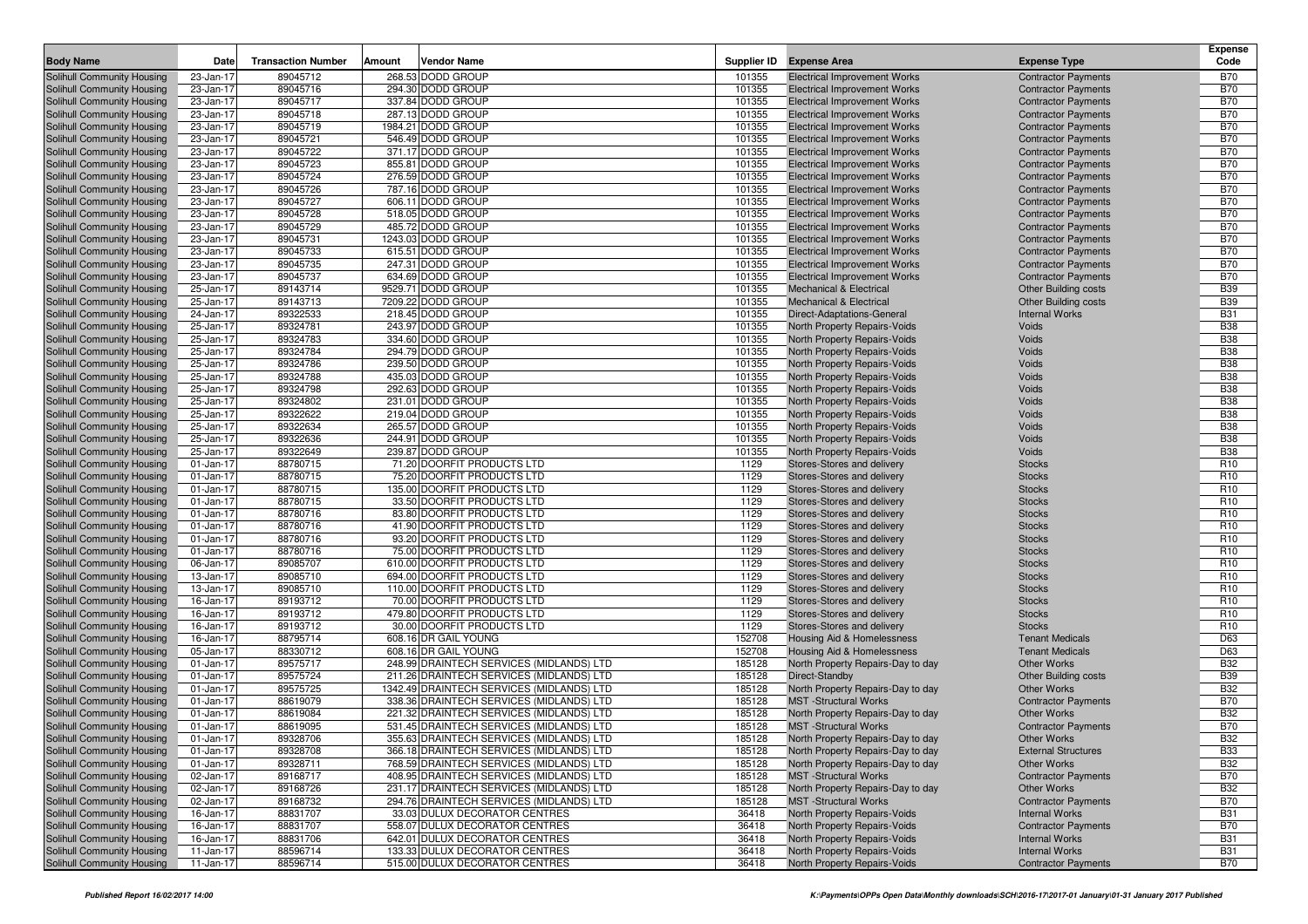|                                   |                 |                           |        |                                           |        |                                     |                             | <b>Expense</b>  |
|-----------------------------------|-----------------|---------------------------|--------|-------------------------------------------|--------|-------------------------------------|-----------------------------|-----------------|
| <b>Body Name</b>                  | Date            | <b>Transaction Number</b> | Amount | Vendor Name                               |        | Supplier ID Expense Area            | <b>Expense Type</b>         | Code            |
| <b>Solihull Community Housing</b> | 23-Jan-17       | 89045712                  |        | 268.53 DODD GROUP                         | 101355 | <b>Electrical Improvement Works</b> | <b>Contractor Payments</b>  | B70             |
| Solihull Community Housing        | 23-Jan-17       | 89045716                  |        | 294.30 DODD GROUP                         | 101355 | <b>Electrical Improvement Works</b> | <b>Contractor Payments</b>  | <b>B70</b>      |
| Solihull Community Housing        | 23-Jan-17       | 89045717                  |        | 337.84 DODD GROUP                         | 101355 | <b>Electrical Improvement Works</b> | <b>Contractor Payments</b>  | <b>B70</b>      |
| Solihull Community Housing        | 23-Jan-17       | 89045718                  |        | 287.13 DODD GROUP                         | 101355 | <b>Electrical Improvement Works</b> | <b>Contractor Payments</b>  | <b>B70</b>      |
| Solihull Community Housing        | 23-Jan-17       | 89045719                  |        | 1984.21 DODD GROUP                        | 101355 | <b>Electrical Improvement Works</b> | <b>Contractor Payments</b>  | <b>B70</b>      |
| Solihull Community Housing        | 23-Jan-17       | 89045721                  |        | 546.49 DODD GROUP                         | 101355 | <b>Electrical Improvement Works</b> | <b>Contractor Payments</b>  | <b>B70</b>      |
| Solihull Community Housing        | 23-Jan-17       | 89045722                  |        | 371.17 DODD GROUP                         | 101355 | <b>Electrical Improvement Works</b> | <b>Contractor Payments</b>  | <b>B70</b>      |
| Solihull Community Housing        | 23-Jan-17       | 89045723                  |        | 855.81 DODD GROUP                         | 101355 | <b>Electrical Improvement Works</b> | <b>Contractor Payments</b>  | <b>B70</b>      |
| Solihull Community Housing        | 23-Jan-17       | 89045724                  |        | 276.59 DODD GROUP                         | 101355 | <b>Electrical Improvement Works</b> | <b>Contractor Payments</b>  | <b>B70</b>      |
| Solihull Community Housing        | 23-Jan-17       | 89045726                  |        | 787.16 DODD GROUP                         | 101355 | <b>Electrical Improvement Works</b> | <b>Contractor Payments</b>  | <b>B70</b>      |
| Solihull Community Housing        | 23-Jan-17       | 89045727                  |        | 606.11 DODD GROUP                         | 101355 | <b>Electrical Improvement Works</b> | <b>Contractor Payments</b>  | <b>B70</b>      |
| Solihull Community Housing        | 23-Jan-17       | 89045728                  |        | 518.05 DODD GROUP                         | 101355 | <b>Electrical Improvement Works</b> | <b>Contractor Payments</b>  | <b>B70</b>      |
| Solihull Community Housing        | 23-Jan-17       | 89045729                  |        | 485.72 DODD GROUP                         | 101355 | <b>Electrical Improvement Works</b> | <b>Contractor Payments</b>  | <b>B70</b>      |
| Solihull Community Housing        | 23-Jan-17       | 89045731                  |        | 1243.03 DODD GROUP                        | 101355 | <b>Electrical Improvement Works</b> | <b>Contractor Payments</b>  | <b>B70</b>      |
| Solihull Community Housing        | 23-Jan-17       | 89045733                  |        | 615.51 DODD GROUP                         | 101355 | <b>Electrical Improvement Works</b> | <b>Contractor Payments</b>  | <b>B70</b>      |
| Solihull Community Housing        | 23-Jan-17       | 89045735                  |        | 247.31 DODD GROUP                         | 101355 | <b>Electrical Improvement Works</b> | <b>Contractor Payments</b>  | <b>B70</b>      |
| Solihull Community Housing        | 23-Jan-17       | 89045737                  |        | 634.69 DODD GROUP                         | 101355 | <b>Electrical Improvement Works</b> | <b>Contractor Payments</b>  | <b>B70</b>      |
| Solihull Community Housing        | 25-Jan-17       | 89143714                  |        | 9529.71 DODD GROUP                        | 101355 | <b>Mechanical &amp; Electrical</b>  | <b>Other Building costs</b> | <b>B39</b>      |
| Solihull Community Housing        | 25-Jan-17       | 89143713                  |        | 7209.22 DODD GROUP                        | 101355 | <b>Mechanical &amp; Electrical</b>  | <b>Other Building costs</b> | <b>B39</b>      |
| Solihull Community Housing        | 24-Jan-17       | 89322533                  |        | 218.45 DODD GROUP                         | 101355 | Direct-Adaptations-General          | <b>Internal Works</b>       | <b>B31</b>      |
| Solihull Community Housing        | 25-Jan-17       | 89324781                  |        | 243.97 DODD GROUP                         | 101355 | North Property Repairs-Voids        | Voids                       | <b>B38</b>      |
| Solihull Community Housing        | 25-Jan-17       | 89324783                  |        | 334.60 DODD GROUP                         | 101355 | North Property Repairs-Voids        | Voids                       | <b>B38</b>      |
| Solihull Community Housing        | 25-Jan-17       | 89324784                  |        | 294.79 DODD GROUP                         | 101355 | North Property Repairs-Voids        | <b>Voids</b>                | <b>B38</b>      |
| Solihull Community Housing        | 25-Jan-17       | 89324786                  |        | 239.50 DODD GROUP                         | 101355 | North Property Repairs-Voids        | Voids                       | <b>B38</b>      |
| Solihull Community Housing        | 25-Jan-17       | 89324788                  |        | 435.03 DODD GROUP                         | 101355 | North Property Repairs-Voids        | <b>Voids</b>                | <b>B38</b>      |
| Solihull Community Housing        | 25-Jan-17       | 89324798                  |        | 292.63 DODD GROUP                         | 101355 | North Property Repairs-Voids        | <b>Voids</b>                | <b>B38</b>      |
| Solihull Community Housing        | 25-Jan-17       | 89324802                  |        | 231.01 DODD GROUP                         | 101355 | North Property Repairs-Voids        | Voids                       | <b>B38</b>      |
| Solihull Community Housing        | 25-Jan-17       | 89322622                  |        | 219.04 DODD GROUP                         | 101355 | North Property Repairs-Voids        | Voids                       | <b>B38</b>      |
| Solihull Community Housing        | 25-Jan-17       | 89322634                  |        | 265.57 DODD GROUP                         | 101355 | North Property Repairs-Voids        | <b>Voids</b>                | <b>B38</b>      |
| Solihull Community Housing        | 25-Jan-17       | 89322636                  |        | 244.91 DODD GROUP                         | 101355 | North Property Repairs-Voids        | Voids                       | <b>B38</b>      |
| Solihull Community Housing        | 25-Jan-17       | 89322649                  |        | 239.87 DODD GROUP                         | 101355 | North Property Repairs-Voids        | <b>Voids</b>                | <b>B38</b>      |
| Solihull Community Housing        | 01-Jan-17       | 88780715                  |        | 71.20 DOORFIT PRODUCTS LTD                | 1129   | Stores-Stores and delivery          | <b>Stocks</b>               | R <sub>10</sub> |
| Solihull Community Housing        | 01-Jan-17       | 88780715                  |        | 75.20 DOORFIT PRODUCTS LTD                | 1129   | Stores-Stores and delivery          | <b>Stocks</b>               | R <sub>10</sub> |
| Solihull Community Housing        | 01-Jan-17       | 88780715                  |        | 135.00 DOORFIT PRODUCTS LTD               | 1129   | Stores-Stores and delivery          | <b>Stocks</b>               | R <sub>10</sub> |
| Solihull Community Housing        | 01-Jan-17       | 88780715                  |        | 33.50 DOORFIT PRODUCTS LTD                | 1129   | Stores-Stores and delivery          | <b>Stocks</b>               | R <sub>10</sub> |
| Solihull Community Housing        | 01-Jan-17       | 88780716                  |        | 83.80 DOORFIT PRODUCTS LTD                | 1129   | Stores-Stores and delivery          | <b>Stocks</b>               | R <sub>10</sub> |
| Solihull Community Housing        | 01-Jan-17       | 88780716                  |        | 41.90 DOORFIT PRODUCTS LTD                | 1129   | Stores-Stores and delivery          | <b>Stocks</b>               | R <sub>10</sub> |
| Solihull Community Housing        | 01-Jan-17       | 88780716                  |        | 93.20 DOORFIT PRODUCTS LTD                | 1129   | Stores-Stores and delivery          | <b>Stocks</b>               | R <sub>10</sub> |
| Solihull Community Housing        | 01-Jan-17       | 88780716                  |        | 75.00 DOORFIT PRODUCTS LTD                | 1129   | Stores-Stores and delivery          | <b>Stocks</b>               | R <sub>10</sub> |
| Solihull Community Housing        | 06-Jan-17       | 89085707                  |        | 610.00 DOORFIT PRODUCTS LTD               | 1129   | Stores-Stores and delivery          | <b>Stocks</b>               | R <sub>10</sub> |
| Solihull Community Housing        | 13-Jan-17       | 89085710                  |        | 694.00 DOORFIT PRODUCTS LTD               | 1129   | Stores-Stores and delivery          | <b>Stocks</b>               | R <sub>10</sub> |
| Solihull Community Housing        | 13-Jan-17       | 89085710                  |        | 110.00 DOORFIT PRODUCTS LTD               | 1129   | Stores-Stores and delivery          | <b>Stocks</b>               | R <sub>10</sub> |
| Solihull Community Housing        | 16-Jan-17       | 89193712                  |        | 70.00 DOORFIT PRODUCTS LTD                | 1129   | Stores-Stores and delivery          | <b>Stocks</b>               | R <sub>10</sub> |
| Solihull Community Housing        | 16-Jan-17       | 89193712                  |        | 479.80 DOORFIT PRODUCTS LTD               | 1129   | Stores-Stores and delivery          | <b>Stocks</b>               | R <sub>10</sub> |
| Solihull Community Housing        | 16-Jan-17       | 89193712                  |        | 30.00 DOORFIT PRODUCTS LTD                | 1129   | Stores-Stores and delivery          | <b>Stocks</b>               | R <sub>10</sub> |
| Solihull Community Housing        | 16-Jan-17       | 88795714                  |        | 608.16 DR GAIL YOUNG                      | 152708 | Housing Aid & Homelessness          | <b>Tenant Medicals</b>      | D63             |
| Solihull Community Housing        | 05-Jan-17       | 88330712                  |        | 608.16 DR GAIL YOUNG                      | 152708 | Housing Aid & Homelessness          | <b>Tenant Medicals</b>      | D63             |
| Solihull Community Housing        | 01-Jan-17       | 89575717                  |        | 248.99 DRAINTECH SERVICES (MIDLANDS) LTD  | 185128 | North Property Repairs-Day to day   | <b>Other Works</b>          | <b>B32</b>      |
| Solihull Community Housing        | 01-Jan-17       | 89575724                  |        | 211.26 DRAINTECH SERVICES (MIDLANDS) LTD  | 185128 | Direct-Standby                      | <b>Other Building costs</b> | <b>B39</b>      |
| Solihull Community Housing        | $01 - Jan - 17$ | 89575725                  |        | 1342.49 DRAINTECH SERVICES (MIDLANDS) LTD | 185128 | North Property Repairs-Day to day   | <b>Other Works</b>          | <b>B32</b>      |
| Solihull Community Housing        | 01-Jan-17       | 88619079                  |        | 338.36 DRAINTECH SERVICES (MIDLANDS) LTD  | 185128 | <b>MST</b> -Structural Works        | <b>Contractor Payments</b>  | <b>B70</b>      |
| Solihull Community Housing        | 01-Jan-17       | 88619084                  |        | 221.32 DRAINTECH SERVICES (MIDLANDS) LTD  | 185128 | North Property Repairs-Day to day   | Other Works                 | <b>B32</b>      |
| Solihull Community Housing        | 01-Jan-17       | 88619095                  |        | 531.45 DRAINTECH SERVICES (MIDLANDS) LTD  | 185128 | <b>MST</b> -Structural Works        | <b>Contractor Payments</b>  | <b>B70</b>      |
| Solihull Community Housing        | 01-Jan-17       | 89328706                  |        | 355.63 DRAINTECH SERVICES (MIDLANDS) LTD  | 185128 | North Property Repairs-Day to day   | Other Works                 | <b>B32</b>      |
| Solihull Community Housing        | 01-Jan-17       | 89328708                  |        | 366.18 DRAINTECH SERVICES (MIDLANDS) LTD  | 185128 | North Property Repairs-Day to day   | <b>External Structures</b>  | <b>B33</b>      |
| Solihull Community Housing        | 01-Jan-17       | 89328711                  |        | 768.59 DRAINTECH SERVICES (MIDLANDS) LTD  | 185128 | North Property Repairs-Day to day   | Other Works                 | <b>B32</b>      |
| Solihull Community Housing        | 02-Jan-17       | 89168717                  |        | 408.95 DRAINTECH SERVICES (MIDLANDS) LTD  | 185128 | <b>MST</b> -Structural Works        | <b>Contractor Payments</b>  | <b>B70</b>      |
| Solihull Community Housing        | 02-Jan-17       | 89168726                  |        | 231.17 DRAINTECH SERVICES (MIDLANDS) LTD  | 185128 | North Property Repairs-Day to day   | Other Works                 | <b>B32</b>      |
| Solihull Community Housing        | 02-Jan-17       | 89168732                  |        | 294.76 DRAINTECH SERVICES (MIDLANDS) LTD  | 185128 | <b>MST</b> -Structural Works        | <b>Contractor Payments</b>  | <b>B70</b>      |
| Solihull Community Housing        | 16-Jan-17       | 88831707                  |        | 33.03 DULUX DECORATOR CENTRES             | 36418  | North Property Repairs-Voids        | <b>Internal Works</b>       | <b>B31</b>      |
| Solihull Community Housing        | 16-Jan-17       | 88831707                  |        | 558.07 DULUX DECORATOR CENTRES            | 36418  | North Property Repairs-Voids        | <b>Contractor Payments</b>  | <b>B70</b>      |
| Solihull Community Housing        | 16-Jan-17       | 88831706                  |        | 642.01 DULUX DECORATOR CENTRES            | 36418  | North Property Repairs-Voids        | <b>Internal Works</b>       | <b>B31</b>      |
| Solihull Community Housing        | 11-Jan-17       | 88596714                  |        | 133.33 DULUX DECORATOR CENTRES            | 36418  | North Property Repairs-Voids        | <b>Internal Works</b>       | <b>B31</b>      |
| Solihull Community Housing        | 11-Jan-17       | 88596714                  |        | 515.00 DULUX DECORATOR CENTRES            | 36418  | North Property Repairs-Voids        | <b>Contractor Payments</b>  | <b>B70</b>      |
|                                   |                 |                           |        |                                           |        |                                     |                             |                 |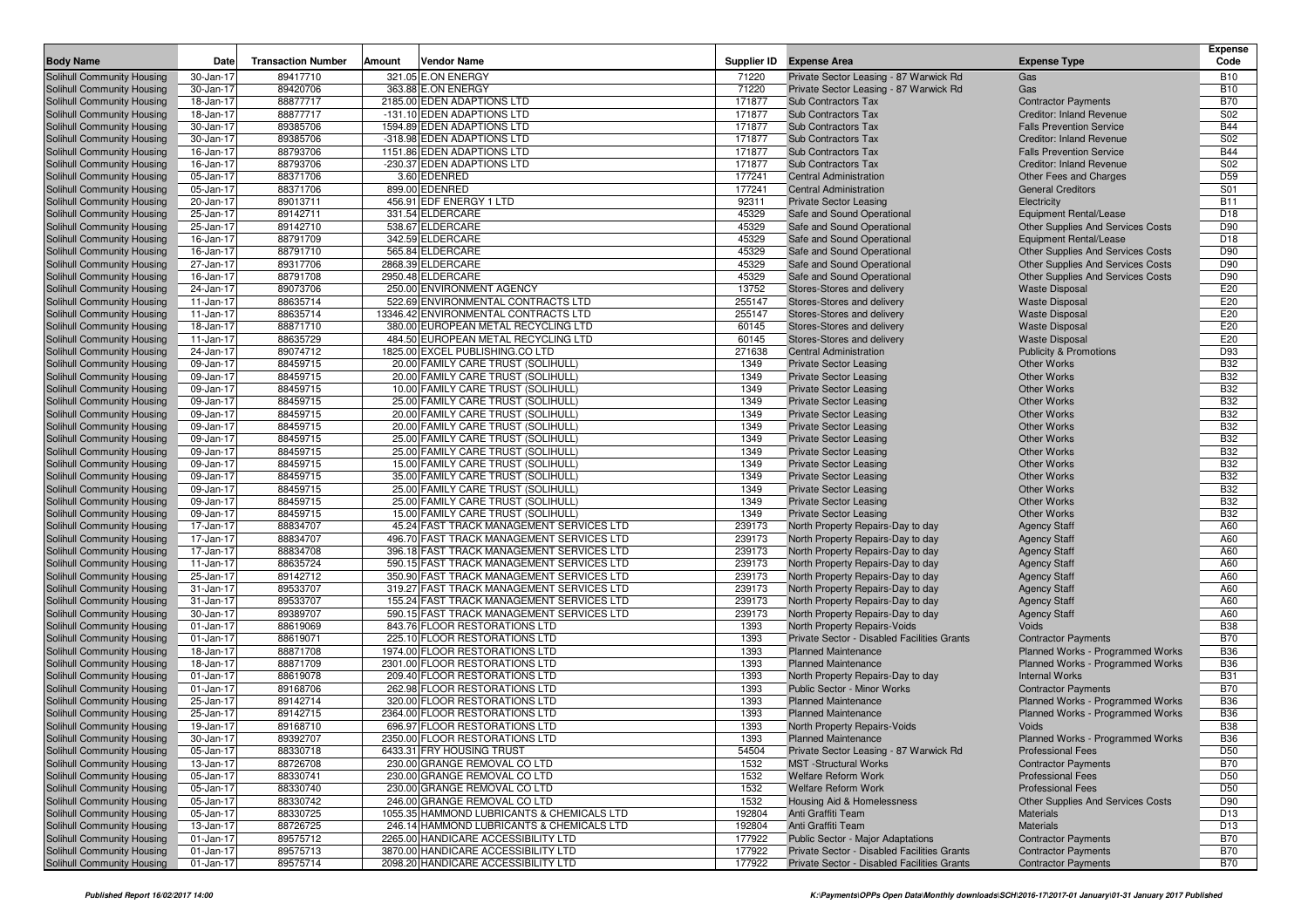| <b>Body Name</b>                                         | Date                   | <b>Transaction Number</b> | Vendor Name<br>Amount                                                          |                | Supplier ID Expense Area                                                                   | <b>Expense Type</b>                                                       | <b>Expense</b><br>Code |
|----------------------------------------------------------|------------------------|---------------------------|--------------------------------------------------------------------------------|----------------|--------------------------------------------------------------------------------------------|---------------------------------------------------------------------------|------------------------|
| <b>Solihull Community Housing</b>                        | 30-Jan-17              | 89417710                  | 321.05 E.ON ENERGY                                                             | 71220          | Private Sector Leasing - 87 Warwick Rd                                                     | Gas                                                                       | <b>B10</b>             |
| Solihull Community Housing                               | 30-Jan-17              | 89420706                  | 363.88 E.ON ENERGY                                                             | 71220          | Private Sector Leasing - 87 Warwick Rd                                                     | Gas                                                                       | <b>B10</b>             |
| Solihull Community Housing                               | 18-Jan-17              | 88877717                  | 2185.00 EDEN ADAPTIONS LTD                                                     | 171877         | <b>Sub Contractors Tax</b>                                                                 | <b>Contractor Payments</b>                                                | <b>B70</b>             |
| Solihull Community Housing                               | 18-Jan-17              | 88877717                  | -131.10 EDEN ADAPTIONS LTD                                                     | 171877         | <b>Sub Contractors Tax</b>                                                                 | <b>Creditor: Inland Revenue</b>                                           | S02                    |
| Solihull Community Housing                               | 30-Jan-17              | 89385706                  | 1594.89 EDEN ADAPTIONS LTD                                                     | 171877         | <b>Sub Contractors Tax</b>                                                                 | <b>Falls Prevention Service</b>                                           | <b>B44</b>             |
| Solihull Community Housing                               | 30-Jan-17              | 89385706                  | -318.98 EDEN ADAPTIONS LTD                                                     | 171877         | <b>Sub Contractors Tax</b>                                                                 | <b>Creditor: Inland Revenue</b>                                           | S02                    |
| Solihull Community Housing                               | 16-Jan-17              | 88793706                  | 1151.86 EDEN ADAPTIONS LTD                                                     | 171877         | <b>Sub Contractors Tax</b>                                                                 | <b>Falls Prevention Service</b>                                           | <b>B44</b>             |
| Solihull Community Housing                               | 16-Jan-17              | 88793706                  | -230.37 EDEN ADAPTIONS LTD                                                     | 171877         | <b>Sub Contractors Tax</b>                                                                 | <b>Creditor: Inland Revenue</b>                                           | S02                    |
| Solihull Community Housing                               | 05-Jan-17              | 88371706                  | 3.60 EDENRED                                                                   | 177241         | <b>Central Administration</b>                                                              | Other Fees and Charges                                                    | D <sub>59</sub>        |
| Solihull Community Housing                               | 05-Jan-17              | 88371706                  | 899.00 EDENRED                                                                 | 177241         | <b>Central Administration</b>                                                              | <b>General Creditors</b>                                                  | S01                    |
| Solihull Community Housing                               | 20-Jan-17              | 89013711                  | 456.91 EDF ENERGY 1 LTD                                                        | 92311          | <b>Private Sector Leasing</b>                                                              | Electricity                                                               | <b>B11</b>             |
| Solihull Community Housing                               | 25-Jan-17<br>25-Jan-17 | 89142711                  | 331.54 ELDERCARE                                                               | 45329          | Safe and Sound Operational                                                                 | Equipment Rental/Lease                                                    | D18                    |
| Solihull Community Housing                               |                        | 89142710<br>88791709      | 538.67 ELDERCARE<br>342.59 ELDERCARE                                           | 45329<br>45329 | Safe and Sound Operational                                                                 | <b>Other Supplies And Services Costs</b><br><b>Equipment Rental/Lease</b> | D90<br>D18             |
| Solihull Community Housing<br>Solihull Community Housing | 16-Jan-17<br>16-Jan-17 | 88791710                  | 565.84 ELDERCARE                                                               | 45329          | Safe and Sound Operational<br>Safe and Sound Operational                                   | Other Supplies And Services Costs                                         | D90                    |
| Solihull Community Housing                               | 27-Jan-17              | 89317706                  | 2868.39 ELDERCARE                                                              | 45329          | Safe and Sound Operational                                                                 | <b>Other Supplies And Services Costs</b>                                  | D90                    |
| Solihull Community Housing                               | 16-Jan-17              | 88791708                  | 2950.48 ELDERCARE                                                              | 45329          | Safe and Sound Operational                                                                 | <b>Other Supplies And Services Costs</b>                                  | D90                    |
| Solihull Community Housing                               | 24-Jan-17              | 89073706                  | 250.00 ENVIRONMENT AGENCY                                                      | 13752          | Stores-Stores and delivery                                                                 | <b>Waste Disposal</b>                                                     | E20                    |
| Solihull Community Housing                               | 11-Jan-17              | 88635714                  | 522.69 ENVIRONMENTAL CONTRACTS LTD                                             | 255147         | Stores-Stores and delivery                                                                 | <b>Waste Disposal</b>                                                     | E20                    |
| Solihull Community Housing                               | 11-Jan-17              | 88635714                  | 13346.42 ENVIRONMENTAL CONTRACTS LTD                                           | 255147         | Stores-Stores and delivery                                                                 | <b>Waste Disposal</b>                                                     | E20                    |
| Solihull Community Housing                               | 18-Jan-17              | 88871710                  | 380.00 EUROPEAN METAL RECYCLING LTD                                            | 60145          | Stores-Stores and delivery                                                                 | <b>Waste Disposal</b>                                                     | E20                    |
| Solihull Community Housing                               | 11-Jan-17              | 88635729                  | 484.50 EUROPEAN METAL RECYCLING LTD                                            | 60145          | Stores-Stores and delivery                                                                 | <b>Waste Disposal</b>                                                     | E20                    |
| Solihull Community Housing                               | 24-Jan-17              | 89074712                  | 1825.00 EXCEL PUBLISHING.CO LTD                                                | 271638         | <b>Central Administration</b>                                                              | <b>Publicity &amp; Promotions</b>                                         | D93                    |
| Solihull Community Housing                               | 09-Jan-17              | 88459715                  | 20.00 FAMILY CARE TRUST (SOLIHULL)                                             | 1349           | <b>Private Sector Leasing</b>                                                              | <b>Other Works</b>                                                        | <b>B32</b>             |
| Solihull Community Housing                               | 09-Jan-17              | 88459715                  | 20.00 FAMILY CARE TRUST (SOLIHULL)                                             | 1349           | <b>Private Sector Leasing</b>                                                              | <b>Other Works</b>                                                        | <b>B32</b>             |
| Solihull Community Housing                               | 09-Jan-17              | 88459715                  | 10.00 FAMILY CARE TRUST (SOLIHULL)                                             | 1349           | <b>Private Sector Leasing</b>                                                              | <b>Other Works</b>                                                        | <b>B32</b>             |
| Solihull Community Housing                               | 09-Jan-17              | 88459715                  | 25.00 FAMILY CARE TRUST (SOLIHULL)                                             | 1349           | <b>Private Sector Leasing</b>                                                              | <b>Other Works</b>                                                        | <b>B32</b>             |
| Solihull Community Housing                               | 09-Jan-17              | 88459715                  | 20.00 FAMILY CARE TRUST (SOLIHULL)                                             | 1349           | <b>Private Sector Leasing</b>                                                              | <b>Other Works</b>                                                        | <b>B32</b>             |
| Solihull Community Housing                               | 09-Jan-17              | 88459715                  | 20.00 FAMILY CARE TRUST (SOLIHULL)                                             | 1349           | <b>Private Sector Leasing</b>                                                              | <b>Other Works</b>                                                        | <b>B32</b>             |
| Solihull Community Housing                               | 09-Jan-17              | 88459715                  | 25.00 FAMILY CARE TRUST (SOLIHULL)                                             | 1349           | <b>Private Sector Leasing</b>                                                              | <b>Other Works</b>                                                        | <b>B32</b>             |
| Solihull Community Housing                               | 09-Jan-17              | 88459715                  | 25.00 FAMILY CARE TRUST (SOLIHULL)                                             | 1349           | <b>Private Sector Leasing</b>                                                              | <b>Other Works</b>                                                        | <b>B32</b>             |
| Solihull Community Housing                               | 09-Jan-17              | 88459715                  | 15.00 FAMILY CARE TRUST (SOLIHULL)                                             | 1349           | <b>Private Sector Leasing</b>                                                              | <b>Other Works</b>                                                        | <b>B32</b>             |
| Solihull Community Housing                               | 09-Jan-17              | 88459715                  | 35.00 FAMILY CARE TRUST (SOLIHULL)                                             | 1349           | <b>Private Sector Leasing</b>                                                              | <b>Other Works</b>                                                        | <b>B32</b>             |
| Solihull Community Housing                               | 09-Jan-17              | 88459715                  | 25.00 FAMILY CARE TRUST (SOLIHULL)                                             | 1349           | <b>Private Sector Leasing</b>                                                              | <b>Other Works</b>                                                        | <b>B32</b>             |
| Solihull Community Housing                               | 09-Jan-17              | 88459715                  | 25.00 FAMILY CARE TRUST (SOLIHULL)                                             | 1349           | <b>Private Sector Leasing</b>                                                              | <b>Other Works</b>                                                        | <b>B32</b>             |
| Solihull Community Housing                               | 09-Jan-17              | 88459715<br>88834707      | 15.00 FAMILY CARE TRUST (SOLIHULL)<br>45.24 FAST TRACK MANAGEMENT SERVICES LTD | 1349<br>239173 | <b>Private Sector Leasing</b>                                                              | <b>Other Works</b>                                                        | <b>B32</b><br>A60      |
| Solihull Community Housing                               | 17-Jan-17<br>17-Jan-17 | 88834707                  | 496.70 FAST TRACK MANAGEMENT SERVICES LTD                                      | 239173         | North Property Repairs-Day to day                                                          | <b>Agency Staff</b>                                                       | A60                    |
| Solihull Community Housing<br>Solihull Community Housing | 17-Jan-17              | 88834708                  | 396.18 FAST TRACK MANAGEMENT SERVICES LTD                                      | 239173         | North Property Repairs-Day to day<br>North Property Repairs-Day to day                     | <b>Agency Staff</b><br><b>Agency Staff</b>                                | A60                    |
| Solihull Community Housing                               | 11-Jan-17              | 88635724                  | 590.15 FAST TRACK MANAGEMENT SERVICES LTD                                      | 239173         | North Property Repairs-Day to day                                                          | <b>Agency Staff</b>                                                       | A60                    |
| Solihull Community Housing                               | 25-Jan-17              | 89142712                  | 350.90 FAST TRACK MANAGEMENT SERVICES LTD                                      | 239173         | North Property Repairs-Day to day                                                          | <b>Agency Staff</b>                                                       | A60                    |
| Solihull Community Housing                               | 31-Jan-17              | 89533707                  | 319.27 FAST TRACK MANAGEMENT SERVICES LTD                                      | 239173         | North Property Repairs-Day to day                                                          | <b>Agency Staff</b>                                                       | A60                    |
| Solihull Community Housing                               | 31-Jan-17              | 89533707                  | 155.24 FAST TRACK MANAGEMENT SERVICES LTD                                      | 239173         | North Property Repairs-Day to day                                                          | <b>Agency Staff</b>                                                       | A60                    |
| Solihull Community Housing                               | 30-Jan-17              | 89389707                  | 590.15 FAST TRACK MANAGEMENT SERVICES LTD                                      | 239173         | North Property Repairs-Day to day                                                          | <b>Agency Staff</b>                                                       | A60                    |
| Solihull Community Housing                               | 01-Jan-17              | 88619069                  | 843.76 FLOOR RESTORATIONS LTD                                                  | 1393           | North Property Repairs-Voids                                                               | Voids                                                                     | <b>B38</b>             |
| Solihull Community Housing                               | 01-Jan-17              | 88619071                  | 225.10 FLOOR RESTORATIONS LTD                                                  | 1393           | Private Sector - Disabled Facilities Grants                                                | <b>Contractor Payments</b>                                                | <b>B70</b>             |
| Solihull Community Housing                               | 18-Jan-17              | 88871708                  | 1974.00 FLOOR RESTORATIONS LTD                                                 | 1393           | <b>Planned Maintenance</b>                                                                 | Planned Works - Programmed Works                                          | <b>B36</b>             |
| Solihull Community Housing                               | 18-Jan-17              | 88871709                  | 2301.00 FLOOR RESTORATIONS LTD                                                 | 1393           | <b>Planned Maintenance</b>                                                                 | Planned Works - Programmed Works                                          | <b>B36</b>             |
| Solihull Community Housing                               | 01-Jan-17              | 88619078                  | 209.40 FLOOR RESTORATIONS LTD                                                  | 1393           | North Property Repairs-Day to day                                                          | <b>Internal Works</b>                                                     | <b>B31</b>             |
| Solihull Community Housing                               | 01-Jan-17              | 89168706                  | 262.98 FLOOR RESTORATIONS LTD                                                  | 1393           | <b>Public Sector - Minor Works</b>                                                         | <b>Contractor Payments</b>                                                | <b>B70</b>             |
| Solihull Community Housing                               | 25-Jan-17              | 89142714                  | 320.00 FLOOR RESTORATIONS LTD                                                  | 1393           | <b>Planned Maintenance</b>                                                                 | Planned Works - Programmed Works                                          | <b>B36</b>             |
| Solihull Community Housing                               | 25-Jan-17              | 89142715                  | 2364.00 FLOOR RESTORATIONS LTD                                                 | 1393           | <b>Planned Maintenance</b>                                                                 | Planned Works - Programmed Works                                          | <b>B36</b>             |
| Solihull Community Housing                               | 19-Jan-17              | 89168710                  | 696.97 FLOOR RESTORATIONS LTD                                                  | 1393           | North Property Repairs-Voids                                                               | Voids                                                                     | <b>B38</b>             |
| Solihull Community Housing                               | 30-Jan-17              | 89392707                  | 2350.00 FLOOR RESTORATIONS LTD                                                 | 1393           | <b>Planned Maintenance</b>                                                                 | Planned Works - Programmed Works                                          | <b>B36</b>             |
| Solihull Community Housing                               | 05-Jan-17              | 88330718                  | 6433.31 FRY HOUSING TRUST                                                      | 54504          | Private Sector Leasing - 87 Warwick Rd                                                     | <b>Professional Fees</b>                                                  | D <sub>50</sub>        |
| Solihull Community Housing                               | 13-Jan-17              | 88726708                  | 230.00 GRANGE REMOVAL CO LTD                                                   | 1532           | <b>MST</b> -Structural Works                                                               | <b>Contractor Payments</b>                                                | <b>B70</b>             |
| Solihull Community Housing                               | 05-Jan-17              | 88330741                  | 230.00 GRANGE REMOVAL CO LTD                                                   | 1532           | <b>Welfare Reform Work</b>                                                                 | <b>Professional Fees</b>                                                  | D <sub>50</sub>        |
| Solihull Community Housing                               | 05-Jan-17              | 88330740                  | 230.00 GRANGE REMOVAL CO LTD                                                   | 1532           | <b>Welfare Reform Work</b>                                                                 | <b>Professional Fees</b>                                                  | D <sub>50</sub>        |
| Solihull Community Housing                               | 05-Jan-17              | 88330742                  | 246.00 GRANGE REMOVAL CO LTD                                                   | 1532           | Housing Aid & Homelessness                                                                 | Other Supplies And Services Costs                                         | D90                    |
| Solihull Community Housing                               | 05-Jan-17              | 88330725                  | 1055.35 HAMMOND LUBRICANTS & CHEMICALS LTD                                     | 192804         | Anti Graffiti Team                                                                         | <b>Materials</b>                                                          | D <sub>13</sub>        |
| Solihull Community Housing                               | 13-Jan-17              | 88726725                  | 246.14 HAMMOND LUBRICANTS & CHEMICALS LTD                                      | 192804         | Anti Graffiti Team                                                                         | <b>Materials</b>                                                          | D <sub>13</sub>        |
| Solihull Community Housing                               | 01-Jan-17              | 89575712                  | 2265.00 HANDICARE ACCESSIBILITY LTD                                            | 177922         | Public Sector - Major Adaptations                                                          | <b>Contractor Payments</b>                                                | <b>B70</b>             |
| Solihull Community Housing                               | $01$ -Jan-17           | 89575713                  | 3870.00 HANDICARE ACCESSIBILITY LTD<br>2098.20 HANDICARE ACCESSIBILITY LTD     | 177922         | Private Sector - Disabled Facilities Grants<br>Private Sector - Disabled Facilities Grants | <b>Contractor Payments</b>                                                | <b>B70</b>             |
| Solihull Community Housing                               | 01-Jan-17              | 89575714                  |                                                                                | 177922         |                                                                                            | <b>Contractor Payments</b>                                                | <b>B70</b>             |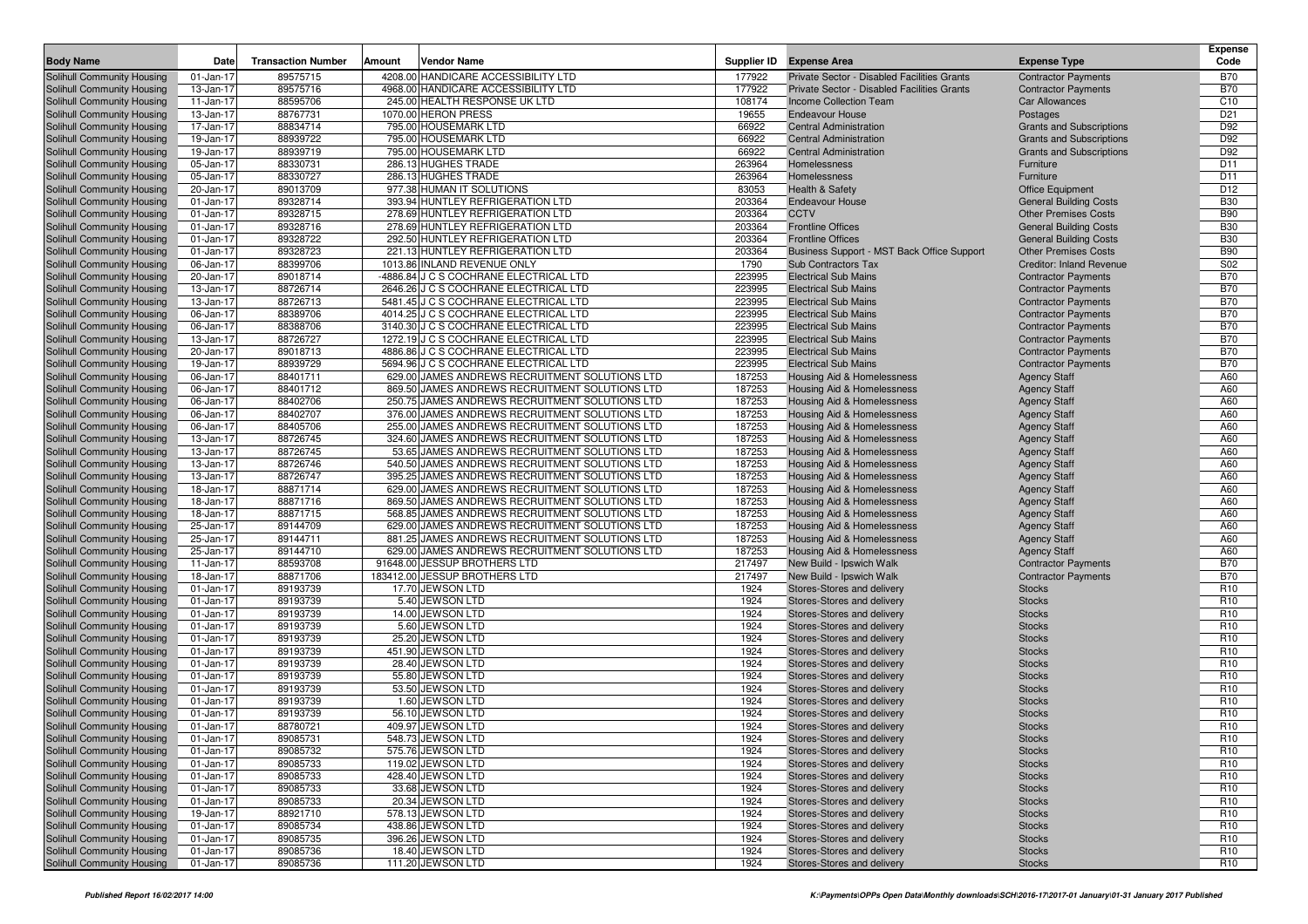| <b>Body Name</b>                                         | Date                   | <b>Transaction Number</b> | Amount | <b>Vendor Name</b>                                                             | Supplier ID      | <b>Expense Area</b>                                        | <b>Expense Type</b>                                      | Expense<br>Code                    |
|----------------------------------------------------------|------------------------|---------------------------|--------|--------------------------------------------------------------------------------|------------------|------------------------------------------------------------|----------------------------------------------------------|------------------------------------|
| Solihull Community Housing                               | 01-Jan-17              | 89575715                  |        | 4208.00 HANDICARE ACCESSIBILITY LTD                                            | 177922           | Private Sector - Disabled Facilities Grants                | <b>Contractor Payments</b>                               | <b>B70</b>                         |
| Solihull Community Housing                               | 13-Jan-17              | 89575716                  |        | 4968.00 HANDICARE ACCESSIBILITY LTD                                            | 177922           | Private Sector - Disabled Facilities Grants                | <b>Contractor Payments</b>                               | <b>B70</b>                         |
| Solihull Community Housing                               | 11-Jan-17              | 88595706                  |        | 245.00 HEALTH RESPONSE UK LTD                                                  | 108174           | Income Collection Team                                     | <b>Car Allowances</b>                                    | C <sub>10</sub>                    |
| Solihull Community Housing                               | 13-Jan-17              | 88767731                  |        | 1070.00 HERON PRESS                                                            | 19655            | <b>Endeavour House</b>                                     | Postages                                                 | D <sub>21</sub>                    |
| Solihull Community Housing                               | 17-Jan-17              | 88834714                  |        | 795.00 HOUSEMARK LTD                                                           | 66922            | <b>Central Administration</b>                              | <b>Grants and Subscriptions</b>                          | D92                                |
| Solihull Community Housing                               | 19-Jan-17              | 88939722                  |        | 795.00 HOUSEMARK LTD                                                           | 66922            | <b>Central Administration</b>                              | <b>Grants and Subscriptions</b>                          | D92                                |
| Solihull Community Housing                               | 19-Jan-17              | 88939719                  |        | 795.00 HOUSEMARK LTD                                                           | 66922            | <b>Central Administration</b>                              | <b>Grants and Subscriptions</b>                          | D92                                |
| Solihull Community Housing                               | 05-Jan-17              | 88330731                  |        | 286.13 HUGHES TRADE                                                            | 263964           | Homelessness                                               | Furniture                                                | D11                                |
| Solihull Community Housing                               | 05-Jan-17              | 88330727                  |        | 286.13 HUGHES TRADE                                                            | 263964           | Homelessness                                               | Furniture                                                | D11                                |
| Solihull Community Housing                               | 20-Jan-17              | 89013709                  |        | 977.38 HUMAN IT SOLUTIONS                                                      | 83053            | Health & Safety                                            | <b>Office Equipment</b>                                  | D <sub>12</sub>                    |
| Solihull Community Housing                               | 01-Jan-17              | 89328714                  |        | 393.94 HUNTLEY REFRIGERATION LTD                                               | 203364           | <b>Endeavour House</b>                                     | <b>General Building Costs</b>                            | <b>B30</b>                         |
| Solihull Community Housing                               | 01-Jan-17              | 89328715                  |        | 278.69 HUNTLEY REFRIGERATION LTD                                               | 203364           | <b>CCTV</b>                                                | <b>Other Premises Costs</b>                              | <b>B90</b>                         |
| Solihull Community Housing                               | 01-Jan-17              | 89328716                  |        | 278.69 HUNTLEY REFRIGERATION LTD                                               | 203364           | <b>Frontline Offices</b>                                   | <b>General Building Costs</b>                            | <b>B30</b>                         |
| Solihull Community Housing                               | 01-Jan-17              | 89328722                  |        | 292.50 HUNTLEY REFRIGERATION LTD                                               | 203364           | <b>Frontline Offices</b>                                   | <b>General Building Costs</b>                            | <b>B30</b>                         |
| Solihull Community Housing                               | 01-Jan-17              | 89328723                  |        | 221.13 HUNTLEY REFRIGERATION LTD                                               | 203364           | Business Support - MST Back Office Support                 | <b>Other Premises Costs</b>                              | <b>B90</b>                         |
| Solihull Community Housing                               | 06-Jan-17              | 88399706                  |        | 1013.86 INLAND REVENUE ONLY                                                    | 1790             | Sub Contractors Tax                                        | <b>Creditor: Inland Revenue</b>                          | S <sub>02</sub>                    |
| Solihull Community Housing                               | 20-Jan-17              | 89018714                  |        | -4886.84 J C S COCHRANE ELECTRICAL LTD                                         | 223995           | <b>Electrical Sub Mains</b>                                | <b>Contractor Payments</b>                               | <b>B70</b>                         |
| Solihull Community Housing                               | 13-Jan-17              | 88726714                  |        | 2646.26 J C S COCHRANE ELECTRICAL LTD                                          | 223995           | <b>Electrical Sub Mains</b>                                | <b>Contractor Payments</b>                               | <b>B70</b>                         |
| Solihull Community Housing                               | 13-Jan-17              | 88726713<br>88389706      |        | 5481.45 J C S COCHRANE ELECTRICAL LTD<br>4014.25 J C S COCHRANE ELECTRICAL LTD | 223995<br>223995 | <b>Electrical Sub Mains</b><br><b>Electrical Sub Mains</b> | <b>Contractor Payments</b><br><b>Contractor Payments</b> | <b>B70</b><br><b>B70</b>           |
| Solihull Community Housing                               | 06-Jan-17              |                           |        |                                                                                | 223995           | <b>Electrical Sub Mains</b>                                |                                                          | <b>B70</b>                         |
| Solihull Community Housing                               | 06-Jan-17              | 88388706<br>88726727      |        | 3140.30 J C S COCHRANE ELECTRICAL LTD<br>1272.19 J C S COCHRANE ELECTRICAL LTD | 223995           | <b>Electrical Sub Mains</b>                                | <b>Contractor Payments</b>                               | <b>B70</b>                         |
| Solihull Community Housing<br>Solihull Community Housing | 13-Jan-17<br>20-Jan-17 | 89018713                  |        | 4886.86 J C S COCHRANE ELECTRICAL LTD                                          | 223995           | <b>Electrical Sub Mains</b>                                | <b>Contractor Payments</b><br><b>Contractor Payments</b> | <b>B70</b>                         |
| Solihull Community Housing                               | 19-Jan-17              | 88939729                  |        | 5694.96 J C S COCHRANE ELECTRICAL LTD                                          | 223995           | <b>Electrical Sub Mains</b>                                | <b>Contractor Payments</b>                               | <b>B70</b>                         |
| Solihull Community Housing                               | 06-Jan-17              | 88401711                  |        | 629.00 JAMES ANDREWS RECRUITMENT SOLUTIONS LTD                                 | 187253           | Housing Aid & Homelessness                                 | <b>Agency Staff</b>                                      | A60                                |
| Solihull Community Housing                               | 06-Jan-17              | 88401712                  |        | 869.50 JAMES ANDREWS RECRUITMENT SOLUTIONS LTD                                 | 187253           | Housing Aid & Homelessness                                 | <b>Agency Staff</b>                                      | A60                                |
| Solihull Community Housing                               | 06-Jan-17              | 88402706                  |        | 250.75 JAMES ANDREWS RECRUITMENT SOLUTIONS LTD                                 | 187253           | Housing Aid & Homelessness                                 | <b>Agency Staff</b>                                      | A60                                |
| Solihull Community Housing                               | 06-Jan-17              | 88402707                  |        | 376.00 JAMES ANDREWS RECRUITMENT SOLUTIONS LTD                                 | 187253           | Housing Aid & Homelessness                                 | <b>Agency Staff</b>                                      | A60                                |
| Solihull Community Housing                               | 06-Jan-17              | 88405706                  |        | 255.00 JAMES ANDREWS RECRUITMENT SOLUTIONS LTD                                 | 187253           | Housing Aid & Homelessness                                 | <b>Agency Staff</b>                                      | A60                                |
| <b>Solihull Community Housing</b>                        | 13-Jan-17              | 88726745                  |        | 324.60 JAMES ANDREWS RECRUITMENT SOLUTIONS LTD                                 | 187253           | <b>Housing Aid &amp; Homelessness</b>                      | <b>Agency Staff</b>                                      | A60                                |
| Solihull Community Housing                               | 13-Jan-17              | 88726745                  |        | 53.65 JAMES ANDREWS RECRUITMENT SOLUTIONS LTD                                  | 187253           | Housing Aid & Homelessness                                 | <b>Agency Staff</b>                                      | A60                                |
| Solihull Community Housing                               | 13-Jan-17              | 88726746                  |        | 540.50 JAMES ANDREWS RECRUITMENT SOLUTIONS LTD                                 | 187253           | Housing Aid & Homelessness                                 | <b>Agency Staff</b>                                      | A60                                |
| Solihull Community Housing                               | 13-Jan-17              | 88726747                  |        | 395.25 JAMES ANDREWS RECRUITMENT SOLUTIONS LTD                                 | 187253           | <b>Housing Aid &amp; Homelessness</b>                      | <b>Agency Staff</b>                                      | A60                                |
| Solihull Community Housing                               | 18-Jan-17              | 88871714                  |        | 629.00 JAMES ANDREWS RECRUITMENT SOLUTIONS LTD                                 | 187253           | Housing Aid & Homelessness                                 | <b>Agency Staff</b>                                      | A60                                |
| Solihull Community Housing                               | 18-Jan-17              | 88871716                  |        | 869.50 JAMES ANDREWS RECRUITMENT SOLUTIONS LTD                                 | 187253           | Housing Aid & Homelessness                                 | <b>Agency Staff</b>                                      | A60                                |
| Solihull Community Housing                               | 18-Jan-17              | 88871715                  |        | 568.85 JAMES ANDREWS RECRUITMENT SOLUTIONS LTD                                 | 187253           | Housing Aid & Homelessness                                 | <b>Agency Staff</b>                                      | A60                                |
| Solihull Community Housing                               | 25-Jan-17              | 89144709                  |        | 629.00 JAMES ANDREWS RECRUITMENT SOLUTIONS LTD                                 | 187253           | Housing Aid & Homelessness                                 | <b>Agency Staff</b>                                      | A60                                |
| Solihull Community Housing                               | 25-Jan-17              | 89144711                  |        | 881.25 JAMES ANDREWS RECRUITMENT SOLUTIONS LTD                                 | 187253           | Housing Aid & Homelessness                                 | <b>Agency Staff</b>                                      | A60                                |
| Solihull Community Housing                               | 25-Jan-17              | 89144710                  |        | 629.00 JAMES ANDREWS RECRUITMENT SOLUTIONS LTD                                 | 187253           | Housing Aid & Homelessness                                 | <b>Agency Staff</b>                                      | A60                                |
| Solihull Community Housing                               | 11-Jan-17              | 88593708                  |        | 91648.00 JESSUP BROTHERS LTD                                                   | 217497           | New Build - Ipswich Walk                                   | <b>Contractor Payments</b>                               | <b>B70</b>                         |
| Solihull Community Housing                               | 18-Jan-17              | 88871706                  |        | 183412.00 JESSUP BROTHERS LTD                                                  | 217497           | New Build - Ipswich Walk                                   | <b>Contractor Payments</b>                               | <b>B70</b>                         |
| Solihull Community Housing                               | 01-Jan-17              | 89193739                  |        | 17.70 JEWSON LTD<br>5.40 JEWSON LTD                                            | 1924<br>1924     | Stores-Stores and delivery                                 | <b>Stocks</b>                                            | R <sub>10</sub><br>R <sub>10</sub> |
| Solihull Community Housing<br>Solihull Community Housing | 01-Jan-17<br>01-Jan-17 | 89193739<br>89193739      |        | 14.00 JEWSON LTD                                                               | 1924             | Stores-Stores and delivery<br>Stores-Stores and delivery   | <b>Stocks</b><br><b>Stocks</b>                           | R <sub>10</sub>                    |
| Solihull Community Housing                               | 01-Jan-17              | 89193739                  |        | 5.60 JEWSON LTD                                                                | 1924             | Stores-Stores and delivery                                 | <b>Stocks</b>                                            | R <sub>10</sub>                    |
| Solihull Community Housing                               | 01-Jan-17              | 89193739                  |        | 25.20 JEWSON LTD                                                               | 1924             | Stores-Stores and delivery                                 | <b>Stocks</b>                                            | R <sub>10</sub>                    |
| Solihull Community Housing                               | 01-Jan-17              | 89193739                  |        | 451.90 JEWSON LTD                                                              | 1924             | Stores-Stores and delivery                                 | <b>Stocks</b>                                            | R <sub>10</sub>                    |
| Solihull Community Housing                               | 01-Jan-17              | 89193739                  |        | 28.40 JEWSON LTD                                                               | 1924             | Stores-Stores and delivery                                 | <b>Stocks</b>                                            | R <sub>10</sub>                    |
| Solihull Community Housing                               | 01-Jan-17              | 89193739                  |        | 55.80 JEWSON LTD                                                               | 1924             | Stores-Stores and delivery                                 | <b>Stocks</b>                                            | R <sub>10</sub>                    |
| Solihull Community Housing                               | 01-Jan-17              | 89193739                  |        | 53.50 JEWSON LTD                                                               | 1924             | Stores-Stores and delivery                                 | <b>Stocks</b>                                            | R <sub>10</sub>                    |
| Solihull Community Housing                               | 01-Jan-17              | 89193739                  |        | 1.60 JEWSON LTD                                                                | 1924             | Stores-Stores and delivery                                 | <b>Stocks</b>                                            | R <sub>10</sub>                    |
| Solihull Community Housing                               | 01-Jan-17              | 89193739                  |        | 56.10 JEWSON LTD                                                               | 1924             | Stores-Stores and delivery                                 | <b>Stocks</b>                                            | R <sub>10</sub>                    |
| Solihull Community Housing                               | 01-Jan-17              | 88780721                  |        | 409.97 JEWSON LTD                                                              | 1924             | Stores-Stores and delivery                                 | <b>Stocks</b>                                            | R <sub>10</sub>                    |
| Solihull Community Housing                               | 01-Jan-17              | 89085731                  |        | 548.73 JEWSON LTD                                                              | 1924             | Stores-Stores and delivery                                 | <b>Stocks</b>                                            | R <sub>10</sub>                    |
| Solihull Community Housing                               | 01-Jan-17              | 89085732                  |        | 575.76 JEWSON LTD                                                              | 1924             | Stores-Stores and delivery                                 | <b>Stocks</b>                                            | R <sub>10</sub>                    |
| Solihull Community Housing                               | 01-Jan-17              | 89085733                  |        | 119.02 JEWSON LTD                                                              | 1924             | Stores-Stores and delivery                                 | <b>Stocks</b>                                            | R <sub>10</sub>                    |
| <b>Solihull Community Housing</b>                        | 01-Jan-17              | 89085733                  |        | 428.40 JEWSON LTD                                                              | 1924             | Stores-Stores and delivery                                 | <b>Stocks</b>                                            | R <sub>10</sub>                    |
| Solihull Community Housing                               | 01-Jan-17              | 89085733                  |        | 33.68 JEWSON LTD                                                               | 1924             | Stores-Stores and delivery                                 | <b>Stocks</b>                                            | R <sub>10</sub>                    |
| Solihull Community Housing                               | 01-Jan-17              | 89085733                  |        | 20.34 JEWSON LTD                                                               | 1924             | Stores-Stores and delivery                                 | <b>Stocks</b>                                            | R <sub>10</sub>                    |
| Solihull Community Housing                               | 19-Jan-17              | 88921710                  |        | 578.13 JEWSON LTD                                                              | 1924             | Stores-Stores and delivery                                 | <b>Stocks</b>                                            | R <sub>10</sub>                    |
| Solihull Community Housing                               | 01-Jan-17              | 89085734                  |        | 438.86 JEWSON LTD                                                              | 1924             | Stores-Stores and delivery                                 | <b>Stocks</b>                                            | R <sub>10</sub>                    |
| Solihull Community Housing                               | 01-Jan-17              | 89085735                  |        | 396.26 JEWSON LTD                                                              | 1924             | Stores-Stores and delivery                                 | <b>Stocks</b>                                            | R <sub>10</sub>                    |
| Solihull Community Housing                               | 01-Jan-17              | 89085736                  |        | 18.40 JEWSON LTD                                                               | 1924             | Stores-Stores and delivery                                 | <b>Stocks</b>                                            | R <sub>10</sub>                    |
| Solihull Community Housing                               | 01-Jan-17              | 89085736                  |        | 111.20 JEWSON LTD                                                              | 1924             | Stores-Stores and delivery                                 | <b>Stocks</b>                                            | R <sub>10</sub>                    |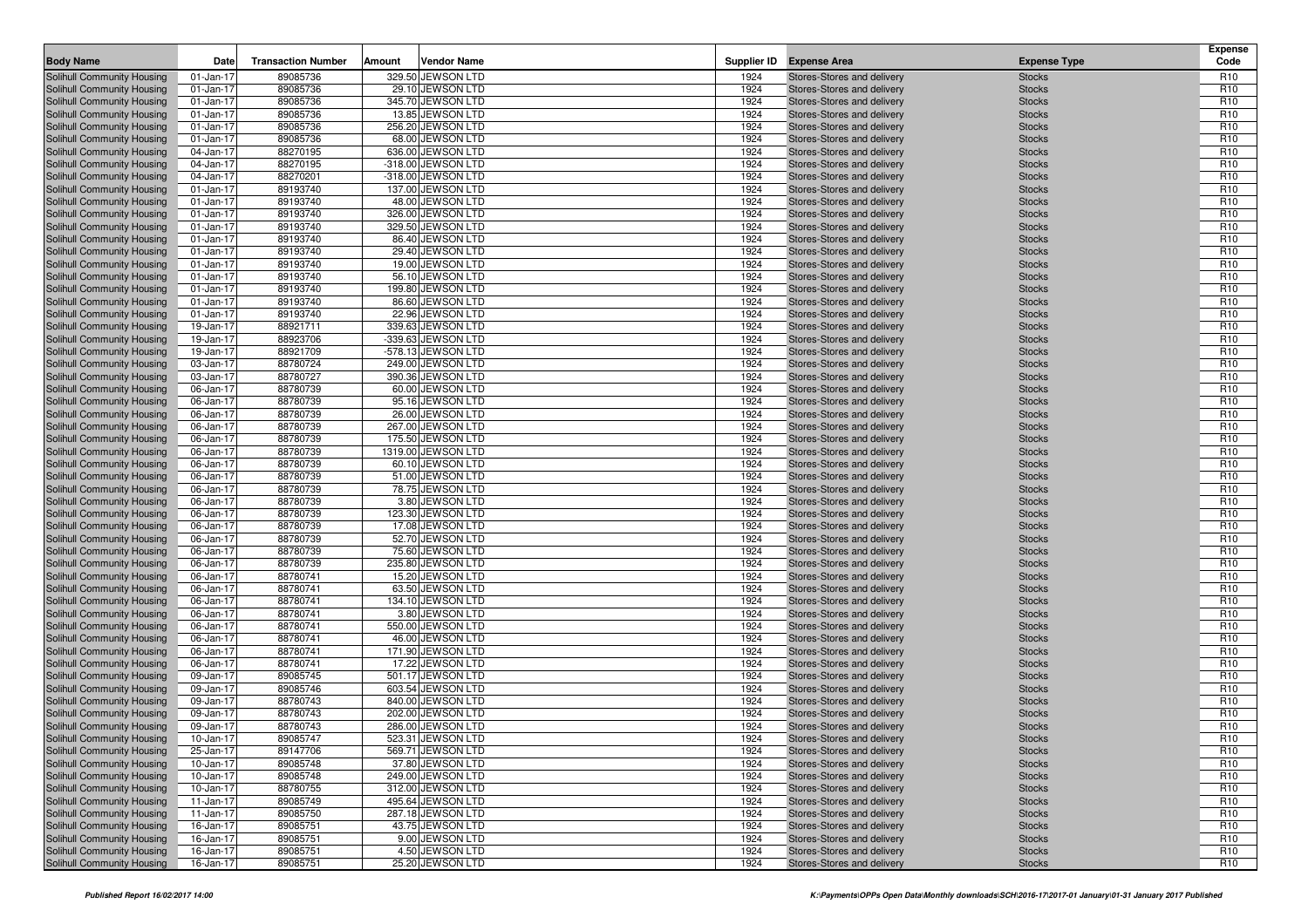| <b>Body Name</b>                                         | Date                   | <b>Transaction Number</b> | Amount | <b>Vendor Name</b>                     |              | Supplier ID Expense Area                                 | <b>Expense Type</b>            | <b>Expense</b><br>Code             |
|----------------------------------------------------------|------------------------|---------------------------|--------|----------------------------------------|--------------|----------------------------------------------------------|--------------------------------|------------------------------------|
| Solihull Community Housing                               | 01-Jan-17              | 89085736                  |        | 329.50 JEWSON LTD                      | 1924         | Stores-Stores and delivery                               | <b>Stocks</b>                  | R <sub>10</sub>                    |
| Solihull Community Housing                               | 01-Jan-17              | 89085736                  |        | 29.10 JEWSON LTD                       | 1924         | Stores-Stores and delivery                               | <b>Stocks</b>                  | R <sub>10</sub>                    |
| Solihull Community Housing                               | 01-Jan-17              | 89085736                  |        | 345.70 JEWSON LTD                      | 1924         | Stores-Stores and delivery                               | <b>Stocks</b>                  | R <sub>10</sub>                    |
| Solihull Community Housing                               | 01-Jan-17              | 89085736                  |        | 13.85 JEWSON LTD                       | 1924         | Stores-Stores and delivery                               | <b>Stocks</b>                  | R <sub>10</sub>                    |
| Solihull Community Housing                               | 01-Jan-17              | 89085736                  |        | 256.20 JEWSON LTD                      | 1924         | Stores-Stores and delivery                               | <b>Stocks</b>                  | R <sub>10</sub>                    |
| Solihull Community Housing                               | 01-Jan-17              | 89085736                  |        | 68.00 JEWSON LTD                       | 1924         | Stores-Stores and delivery                               | <b>Stocks</b>                  | R <sub>10</sub>                    |
| Solihull Community Housing                               | 04-Jan-17              | 88270195                  |        | 636.00 JEWSON LTD                      | 1924         | Stores-Stores and delivery                               | <b>Stocks</b>                  | R <sub>10</sub>                    |
| Solihull Community Housing                               | 04-Jan-17              | 88270195                  |        | -318.00 JEWSON LTD                     | 1924         | Stores-Stores and delivery                               | <b>Stocks</b>                  | R <sub>10</sub>                    |
| Solihull Community Housing                               | 04-Jan-17              | 88270201                  |        | -318.00 JEWSON LTD                     | 1924         | Stores-Stores and delivery                               | <b>Stocks</b>                  | R <sub>10</sub>                    |
| Solihull Community Housing                               | 01-Jan-17              | 89193740                  |        | 137.00 JEWSON LTD                      | 1924         | Stores-Stores and delivery                               | <b>Stocks</b>                  | R <sub>10</sub>                    |
| Solihull Community Housing                               | 01-Jan-17              | 89193740                  |        | 48.00 JEWSON LTD                       | 1924         | Stores-Stores and delivery                               | <b>Stocks</b>                  | R <sub>10</sub><br>R <sub>10</sub> |
| Solihull Community Housing                               | 01-Jan-17              | 89193740<br>89193740      |        | 326.00 JEWSON LTD<br>329.50 JEWSON LTD | 1924<br>1924 | Stores-Stores and delivery                               | <b>Stocks</b>                  | R <sub>10</sub>                    |
| Solihull Community Housing<br>Solihull Community Housing | 01-Jan-17<br>01-Jan-17 | 89193740                  |        | 86.40 JEWSON LTD                       | 1924         | Stores-Stores and delivery<br>Stores-Stores and delivery | <b>Stocks</b><br><b>Stocks</b> | R <sub>10</sub>                    |
| Solihull Community Housing                               | 01-Jan-17              | 89193740                  |        | 29.40 JEWSON LTD                       | 1924         | Stores-Stores and delivery                               | <b>Stocks</b>                  | R <sub>10</sub>                    |
| Solihull Community Housing                               | 01-Jan-17              | 89193740                  |        | 19.00 JEWSON LTD                       | 1924         | Stores-Stores and delivery                               | <b>Stocks</b>                  | R <sub>10</sub>                    |
| Solihull Community Housing                               | 01-Jan-17              | 89193740                  |        | 56.10 JEWSON LTD                       | 1924         | Stores-Stores and delivery                               | <b>Stocks</b>                  | R <sub>10</sub>                    |
| Solihull Community Housing                               | 01-Jan-17              | 89193740                  |        | 199.80 JEWSON LTD                      | 1924         | Stores-Stores and delivery                               | <b>Stocks</b>                  | R <sub>10</sub>                    |
| Solihull Community Housing                               | 01-Jan-17              | 89193740                  |        | 86.60 JEWSON LTD                       | 1924         | Stores-Stores and delivery                               | <b>Stocks</b>                  | R <sub>10</sub>                    |
| Solihull Community Housing                               | 01-Jan-17              | 89193740                  |        | 22.96 JEWSON LTD                       | 1924         | Stores-Stores and delivery                               | <b>Stocks</b>                  | R <sub>10</sub>                    |
| Solihull Community Housing                               | 19-Jan-17              | 88921711                  |        | 339.63 JEWSON LTD                      | 1924         | Stores-Stores and delivery                               | <b>Stocks</b>                  | R <sub>10</sub>                    |
| Solihull Community Housing                               | 19-Jan-17              | 88923706                  |        | -339.63 JEWSON LTD                     | 1924         | Stores-Stores and delivery                               | <b>Stocks</b>                  | R <sub>10</sub>                    |
| Solihull Community Housing                               | 19-Jan-17              | 88921709                  |        | -578.13 JEWSON LTD                     | 1924         | Stores-Stores and delivery                               | <b>Stocks</b>                  | R <sub>10</sub>                    |
| Solihull Community Housing                               | 03-Jan-17              | 88780724                  |        | 249.00 JEWSON LTD                      | 1924         | Stores-Stores and delivery                               | <b>Stocks</b>                  | R <sub>10</sub>                    |
| <b>Solihull Community Housing</b>                        | 03-Jan-17              | 88780727                  |        | 390.36 JEWSON LTD                      | 1924         | Stores-Stores and delivery                               | <b>Stocks</b>                  | R <sub>10</sub>                    |
| Solihull Community Housing                               | 06-Jan-17              | 88780739                  |        | 60.00 JEWSON LTD                       | 1924         | Stores-Stores and delivery                               | <b>Stocks</b>                  | R <sub>10</sub>                    |
| Solihull Community Housing                               | 06-Jan-17              | 88780739                  |        | 95.16 JEWSON LTD                       | 1924         | Stores-Stores and delivery                               | <b>Stocks</b>                  | R <sub>10</sub>                    |
| Solihull Community Housing                               | 06-Jan-17              | 88780739                  |        | 26.00 JEWSON LTD                       | 1924         | Stores-Stores and delivery                               | <b>Stocks</b>                  | R <sub>10</sub>                    |
| Solihull Community Housing                               | 06-Jan-17              | 88780739                  |        | 267.00 JEWSON LTD                      | 1924         | Stores-Stores and delivery                               | <b>Stocks</b>                  | R <sub>10</sub>                    |
| Solihull Community Housing                               | 06-Jan-17              | 88780739                  |        | 175.50 JEWSON LTD                      | 1924         | Stores-Stores and delivery                               | <b>Stocks</b>                  | R <sub>10</sub>                    |
| Solihull Community Housing                               | 06-Jan-17              | 88780739                  |        | 1319.00 JEWSON LTD                     | 1924         | Stores-Stores and delivery                               | <b>Stocks</b>                  | R <sub>10</sub>                    |
| Solihull Community Housing                               | 06-Jan-17              | 88780739                  |        | 60.10 JEWSON LTD                       | 1924         | Stores-Stores and delivery                               | <b>Stocks</b>                  | R <sub>10</sub>                    |
| Solihull Community Housing                               | 06-Jan-17              | 88780739                  |        | 51.00 JEWSON LTD                       | 1924         | Stores-Stores and delivery                               | <b>Stocks</b>                  | R <sub>10</sub>                    |
| Solihull Community Housing                               | 06-Jan-17              | 88780739                  |        | 78.75 JEWSON LTD                       | 1924         | Stores-Stores and delivery                               | <b>Stocks</b>                  | R <sub>10</sub><br>R <sub>10</sub> |
| Solihull Community Housing                               | 06-Jan-17<br>06-Jan-17 | 88780739<br>88780739      |        | 3.80 JEWSON LTD<br>123.30 JEWSON LTD   | 1924<br>1924 | Stores-Stores and delivery<br>Stores-Stores and delivery | <b>Stocks</b><br><b>Stocks</b> | R <sub>10</sub>                    |
| Solihull Community Housing<br>Solihull Community Housing | 06-Jan-17              | 88780739                  |        | 17.08 JEWSON LTD                       | 1924         | Stores-Stores and delivery                               | <b>Stocks</b>                  | R <sub>10</sub>                    |
| Solihull Community Housing                               | 06-Jan-17              | 88780739                  |        | 52.70 JEWSON LTD                       | 1924         | Stores-Stores and delivery                               | <b>Stocks</b>                  | R <sub>10</sub>                    |
| Solihull Community Housing                               | 06-Jan-17              | 88780739                  |        | 75.60 JEWSON LTD                       | 1924         | Stores-Stores and delivery                               | <b>Stocks</b>                  | R <sub>10</sub>                    |
| Solihull Community Housing                               | 06-Jan-17              | 88780739                  |        | 235.80 JEWSON LTD                      | 1924         | Stores-Stores and delivery                               | <b>Stocks</b>                  | R <sub>10</sub>                    |
| Solihull Community Housing                               | 06-Jan-17              | 88780741                  |        | 15.20 JEWSON LTD                       | 1924         | Stores-Stores and delivery                               | <b>Stocks</b>                  | R <sub>10</sub>                    |
| Solihull Community Housing                               | 06-Jan-17              | 88780741                  |        | 63.50 JEWSON LTD                       | 1924         | Stores-Stores and delivery                               | <b>Stocks</b>                  | R <sub>10</sub>                    |
| Solihull Community Housing                               | 06-Jan-17              | 88780741                  |        | 134.10 JEWSON LTD                      | 1924         | Stores-Stores and delivery                               | <b>Stocks</b>                  | R <sub>10</sub>                    |
| Solihull Community Housing                               | 06-Jan-17              | 88780741                  |        | 3.80 JEWSON LTD                        | 1924         | Stores-Stores and delivery                               | <b>Stocks</b>                  | R <sub>10</sub>                    |
| Solihull Community Housing                               | 06-Jan-17              | 88780741                  |        | 550.00 JEWSON LTD                      | 1924         | Stores-Stores and delivery                               | <b>Stocks</b>                  | R <sub>10</sub>                    |
| Solihull Community Housing                               | 06-Jan-17              | 88780741                  |        | 46.00 JEWSON LTD                       | 1924         | Stores-Stores and delivery                               | <b>Stocks</b>                  | R <sub>10</sub>                    |
| Solihull Community Housing                               | 06-Jan-17              | 88780741                  |        | 171.90 JEWSON LTD                      | 1924         | Stores-Stores and delivery                               | <b>Stocks</b>                  | R <sub>10</sub>                    |
| Solihull Community Housing                               | 06-Jan-17              | 88780741                  |        | 17.22 JEWSON LTD                       | 1924         | Stores-Stores and delivery                               | <b>Stocks</b>                  | R <sub>10</sub>                    |
| Solihull Community Housing                               | 09-Jan-17              | 89085745                  |        | 501.17 JEWSON LTD                      | 1924         | Stores-Stores and delivery                               | <b>Stocks</b>                  | R <sub>10</sub>                    |
| Solihull Community Housing                               | 09-Jan-17              | 89085746                  |        | 603.54 JEWSON LTD                      | 1924         | Stores-Stores and delivery                               | <b>Stocks</b>                  | R <sub>10</sub>                    |
| Solihull Community Housing                               | 09-Jan-17              | 88780743                  |        | 840.00 JEWSON LTD                      | 1924         | Stores-Stores and delivery                               | <b>Stocks</b>                  | R <sub>10</sub>                    |
| Solihull Community Housing                               | 09-Jan-17              | 88780743                  |        | 202.00 JEWSON LTD                      | 1924         | Stores-Stores and delivery                               | <b>Stocks</b>                  | R <sub>10</sub>                    |
| Solihull Community Housing                               | 09-Jan-17              | 88780743                  |        | 286.00 JEWSON LTD                      | 1924         | Stores-Stores and delivery                               | <b>Stocks</b>                  | R <sub>10</sub>                    |
| Solihull Community Housing                               | 10-Jan-17              | 89085747                  |        | 523.31 JEWSON LTD                      | 1924         | Stores-Stores and delivery                               | <b>Stocks</b>                  | R <sub>10</sub>                    |
| Solihull Community Housing                               | 25-Jan-17              | 89147706                  |        | 569.71 JEWSON LTD                      | 1924         | Stores-Stores and delivery                               | <b>Stocks</b>                  | R <sub>10</sub>                    |
| Solihull Community Housing                               | 10-Jan-17              | 89085748                  |        | 37.80 JEWSON LTD                       | 1924         | Stores-Stores and delivery                               | <b>Stocks</b>                  | R <sub>10</sub>                    |
| Solihull Community Housing                               | 10-Jan-17              | 89085748                  |        | 249.00 JEWSON LTD                      | 1924         | Stores-Stores and delivery                               | <b>Stocks</b>                  | R <sub>10</sub>                    |
| Solihull Community Housing                               | 10-Jan-17              | 88780755                  |        | 312.00 JEWSON LTD                      | 1924         | Stores-Stores and delivery                               | <b>Stocks</b>                  | R <sub>10</sub>                    |
| Solihull Community Housing<br>Solihull Community Housing | 11-Jan-17<br>11-Jan-17 | 89085749<br>89085750      |        | 495.64 JEWSON LTD<br>287.18 JEWSON LTD | 1924<br>1924 | Stores-Stores and delivery<br>Stores-Stores and delivery | <b>Stocks</b><br><b>Stocks</b> | R <sub>10</sub><br>R <sub>10</sub> |
| <b>Solihull Community Housing</b>                        | 16-Jan-17              | 89085751                  |        | 43.75 JEWSON LTD                       | 1924         | Stores-Stores and delivery                               | <b>Stocks</b>                  | R <sub>10</sub>                    |
| Solihull Community Housing                               | 16-Jan-17              | 89085751                  |        | 9.00 JEWSON LTD                        | 1924         | Stores-Stores and delivery                               | <b>Stocks</b>                  | R <sub>10</sub>                    |
| Solihull Community Housing                               | 16-Jan-17              | 89085751                  |        | 4.50 JEWSON LTD                        | 1924         | Stores-Stores and delivery                               | <b>Stocks</b>                  | R <sub>10</sub>                    |
| Solihull Community Housing                               | 16-Jan-17              | 89085751                  |        | 25.20 JEWSON LTD                       | 1924         | Stores-Stores and delivery                               | <b>Stocks</b>                  | R <sub>10</sub>                    |
|                                                          |                        |                           |        |                                        |              |                                                          |                                |                                    |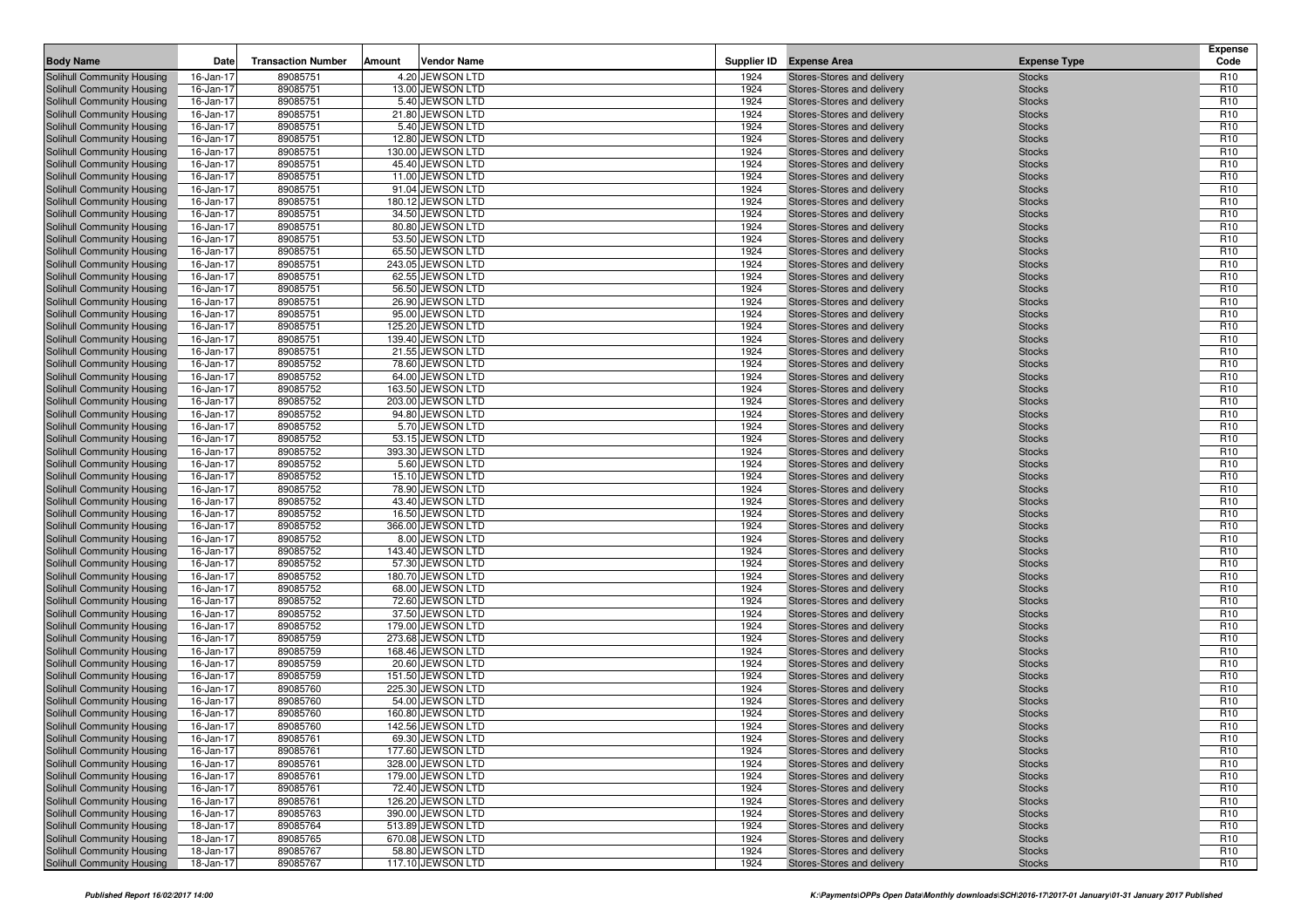| <b>Body Name</b>                                         | Date                   | <b>Transaction Number</b> | Amount | <b>Vendor Name</b>                     |              | Supplier ID Expense Area                                 | <b>Expense Type</b>            | <b>Expense</b><br>Code             |
|----------------------------------------------------------|------------------------|---------------------------|--------|----------------------------------------|--------------|----------------------------------------------------------|--------------------------------|------------------------------------|
| Solihull Community Housing                               | 16-Jan-17              | 89085751                  |        | 4.20 JEWSON LTD                        | 1924         | Stores-Stores and delivery                               | <b>Stocks</b>                  | R <sub>10</sub>                    |
| Solihull Community Housing                               | 16-Jan-17              | 89085751                  |        | 13.00 JEWSON LTD                       | 1924         | Stores-Stores and delivery                               | <b>Stocks</b>                  | R <sub>10</sub>                    |
| Solihull Community Housing                               | 16-Jan-17              | 89085751                  |        | 5.40 JEWSON LTD                        | 1924         | Stores-Stores and delivery                               | <b>Stocks</b>                  | R <sub>10</sub>                    |
| Solihull Community Housing                               | 16-Jan-17              | 89085751                  |        | 21.80 JEWSON LTD                       | 1924         | Stores-Stores and delivery                               | <b>Stocks</b>                  | R <sub>10</sub>                    |
| Solihull Community Housing                               | 16-Jan-17              | 89085751                  |        | 5.40 JEWSON LTD                        | 1924         | Stores-Stores and delivery                               | <b>Stocks</b>                  | R <sub>10</sub>                    |
| Solihull Community Housing                               | 16-Jan-17              | 89085751                  |        | 12.80 JEWSON LTD                       | 1924         | Stores-Stores and delivery                               | <b>Stocks</b>                  | R <sub>10</sub>                    |
| Solihull Community Housing                               | 16-Jan-17              | 89085751                  |        | 130.00 JEWSON LTD                      | 1924         | Stores-Stores and delivery                               | <b>Stocks</b>                  | R <sub>10</sub>                    |
| Solihull Community Housing                               | 16-Jan-17              | 89085751                  |        | 45.40 JEWSON LTD                       | 1924         | Stores-Stores and delivery                               | <b>Stocks</b>                  | R <sub>10</sub>                    |
| Solihull Community Housing                               | 16-Jan-17              | 89085751                  |        | 11.00 JEWSON LTD                       | 1924         | Stores-Stores and delivery                               | <b>Stocks</b>                  | R <sub>10</sub>                    |
| Solihull Community Housing                               | 16-Jan-17              | 89085751                  |        | 91.04 JEWSON LTD                       | 1924         | Stores-Stores and delivery                               | <b>Stocks</b>                  | R <sub>10</sub>                    |
| Solihull Community Housing                               | 16-Jan-17              | 89085751                  |        | 180.12 JEWSON LTD                      | 1924         | Stores-Stores and delivery                               | <b>Stocks</b>                  | R <sub>10</sub>                    |
| Solihull Community Housing                               | 16-Jan-17              | 89085751                  |        | 34.50 JEWSON LTD                       | 1924         | Stores-Stores and delivery                               | <b>Stocks</b>                  | R <sub>10</sub>                    |
| <b>Solihull Community Housing</b>                        | 16-Jan-17              | 89085751                  |        | 80.80 JEWSON LTD                       | 1924         | Stores-Stores and delivery                               | <b>Stocks</b>                  | R <sub>10</sub>                    |
| Solihull Community Housing                               | 16-Jan-17              | 89085751                  |        | 53.50 JEWSON LTD                       | 1924         | Stores-Stores and delivery                               | <b>Stocks</b>                  | R <sub>10</sub>                    |
| Solihull Community Housing                               | 16-Jan-17              | 89085751                  |        | 65.50 JEWSON LTD                       | 1924         | Stores-Stores and delivery                               | <b>Stocks</b>                  | R <sub>10</sub>                    |
| <b>Solihull Community Housing</b>                        | 16-Jan-17              | 89085751                  |        | 243.05 JEWSON LTD                      | 1924         | Stores-Stores and delivery                               | <b>Stocks</b>                  | R <sub>10</sub>                    |
| Solihull Community Housing                               | 16-Jan-17              | 89085751                  |        | 62.55 JEWSON LTD                       | 1924         | Stores-Stores and delivery                               | <b>Stocks</b>                  | R <sub>10</sub>                    |
| Solihull Community Housing                               | 16-Jan-17              | 89085751                  |        | 56.50 JEWSON LTD                       | 1924         | Stores-Stores and delivery                               | <b>Stocks</b>                  | R <sub>10</sub>                    |
| Solihull Community Housing                               | 16-Jan-17              | 89085751                  |        | 26.90 JEWSON LTD                       | 1924         | Stores-Stores and delivery                               | <b>Stocks</b>                  | R <sub>10</sub>                    |
| Solihull Community Housing                               | 16-Jan-17              | 89085751                  |        | 95.00 JEWSON LTD                       | 1924         | Stores-Stores and delivery                               | <b>Stocks</b>                  | R <sub>10</sub>                    |
| Solihull Community Housing                               | 16-Jan-17              | 89085751                  |        | 125.20 JEWSON LTD                      | 1924         | Stores-Stores and delivery                               | <b>Stocks</b>                  | R <sub>10</sub>                    |
| Solihull Community Housing                               | 16-Jan-17              | 89085751                  |        | 139.40 JEWSON LTD                      | 1924         | Stores-Stores and delivery                               | <b>Stocks</b>                  | R <sub>10</sub>                    |
| Solihull Community Housing                               | 16-Jan-17              | 89085751                  |        | 21.55 JEWSON LTD                       | 1924         | Stores-Stores and delivery                               | <b>Stocks</b>                  | R <sub>10</sub>                    |
| Solihull Community Housing                               | 16-Jan-17              | 89085752                  |        | 78.60 JEWSON LTD                       | 1924         | Stores-Stores and delivery                               | <b>Stocks</b>                  | R <sub>10</sub>                    |
| Solihull Community Housing                               | 16-Jan-17              | 89085752                  |        | 64.00 JEWSON LTD                       | 1924         | Stores-Stores and delivery                               | <b>Stocks</b>                  | R <sub>10</sub>                    |
| Solihull Community Housing                               | 16-Jan-17              | 89085752                  |        | 163.50 JEWSON LTD                      | 1924         | Stores-Stores and delivery                               | <b>Stocks</b>                  | R <sub>10</sub>                    |
| Solihull Community Housing                               | 16-Jan-17              | 89085752                  |        | 203.00 JEWSON LTD                      | 1924         | Stores-Stores and delivery                               | <b>Stocks</b>                  | R <sub>10</sub>                    |
| Solihull Community Housing                               | 16-Jan-17              | 89085752                  |        | 94.80 JEWSON LTD                       | 1924         | Stores-Stores and delivery                               | <b>Stocks</b>                  | R <sub>10</sub>                    |
| Solihull Community Housing                               | 16-Jan-17              | 89085752                  |        | 5.70 JEWSON LTD                        | 1924         | Stores-Stores and delivery                               | <b>Stocks</b>                  | R <sub>10</sub>                    |
| Solihull Community Housing                               | 16-Jan-17              | 89085752                  |        | 53.15 JEWSON LTD                       | 1924         | Stores-Stores and delivery                               | <b>Stocks</b>                  | R <sub>10</sub>                    |
| Solihull Community Housing                               | 16-Jan-17              | 89085752                  |        | 393.30 JEWSON LTD                      | 1924         | Stores-Stores and delivery                               | <b>Stocks</b>                  | R <sub>10</sub>                    |
| Solihull Community Housing                               | 16-Jan-17              | 89085752                  |        | 5.60 JEWSON LTD                        | 1924         | Stores-Stores and delivery                               | <b>Stocks</b>                  | R <sub>10</sub>                    |
| Solihull Community Housing                               | 16-Jan-17              | 89085752                  |        | 15.10 JEWSON LTD                       | 1924         | Stores-Stores and delivery                               | <b>Stocks</b>                  | R <sub>10</sub>                    |
| Solihull Community Housing                               | 16-Jan-17              | 89085752                  |        | 78.90 JEWSON LTD                       | 1924         | Stores-Stores and delivery                               | <b>Stocks</b>                  | R <sub>10</sub>                    |
| Solihull Community Housing                               | 16-Jan-17              | 89085752                  |        | 43.40 JEWSON LTD                       | 1924         | Stores-Stores and delivery                               | <b>Stocks</b>                  | R <sub>10</sub>                    |
| Solihull Community Housing                               | 16-Jan-17              | 89085752                  |        | 16.50 JEWSON LTD                       | 1924         | Stores-Stores and delivery                               | <b>Stocks</b>                  | R <sub>10</sub>                    |
| Solihull Community Housing                               | 16-Jan-17              | 89085752                  |        | 366.00 JEWSON LTD                      | 1924         | Stores-Stores and delivery                               | <b>Stocks</b>                  | R <sub>10</sub>                    |
| Solihull Community Housing                               | 16-Jan-17              | 89085752                  |        | 8.00 JEWSON LTD                        | 1924         | Stores-Stores and delivery                               | <b>Stocks</b>                  | R <sub>10</sub>                    |
| Solihull Community Housing                               | 16-Jan-17              | 89085752                  |        | 143.40 JEWSON LTD                      | 1924         | Stores-Stores and delivery                               | <b>Stocks</b>                  | R <sub>10</sub>                    |
| Solihull Community Housing                               | 16-Jan-17              | 89085752                  |        | 57.30 JEWSON LTD                       | 1924         | Stores-Stores and delivery                               | <b>Stocks</b>                  | R <sub>10</sub>                    |
| Solihull Community Housing                               | 16-Jan-17              | 89085752                  |        | 180.70 JEWSON LTD                      | 1924         | Stores-Stores and delivery                               | <b>Stocks</b>                  | R <sub>10</sub>                    |
| Solihull Community Housing                               | 16-Jan-17              | 89085752                  |        | 68.00 JEWSON LTD                       | 1924         | Stores-Stores and delivery                               | <b>Stocks</b>                  | R <sub>10</sub>                    |
| Solihull Community Housing                               | 16-Jan-17              | 89085752                  |        | 72.60 JEWSON LTD                       | 1924         | Stores-Stores and delivery                               | <b>Stocks</b>                  | R <sub>10</sub>                    |
| Solihull Community Housing                               | 16-Jan-17              | 89085752                  |        | 37.50 JEWSON LTD                       | 1924         | Stores-Stores and delivery                               | <b>Stocks</b>                  | R <sub>10</sub>                    |
| Solihull Community Housing                               | 16-Jan-17              | 89085752                  |        | 179.00 JEWSON LTD                      | 1924         | Stores-Stores and delivery                               | <b>Stocks</b>                  | R <sub>10</sub>                    |
| Solihull Community Housing                               | 16-Jan-17              | 89085759<br>89085759      |        | 273.68 JEWSON LTD<br>168.46 JEWSON LTD | 1924<br>1924 | Stores-Stores and delivery                               | <b>Stocks</b>                  | R <sub>10</sub><br>R <sub>10</sub> |
| Solihull Community Housing<br>Solihull Community Housing | 16-Jan-17              |                           |        | 20.60 JEWSON LTD                       |              | Stores-Stores and delivery                               | <b>Stocks</b>                  |                                    |
| Solihull Community Housing                               | 16-Jan-17<br>16-Jan-17 | 89085759<br>89085759      |        | 151.50 JEWSON LTD                      | 1924<br>1924 | Stores-Stores and delivery<br>Stores-Stores and delivery | <b>Stocks</b><br><b>Stocks</b> | R <sub>10</sub><br>R <sub>10</sub> |
| Solihull Community Housing                               |                        | 89085760                  |        | 225.30 JEWSON LTD                      | 1924         | Stores-Stores and delivery                               |                                | R <sub>10</sub>                    |
| Solihull Community Housing                               | 16-Jan-17<br>16-Jan-17 | 89085760                  |        | 54.00 JEWSON LTD                       | 1924         | Stores-Stores and delivery                               | <b>Stocks</b><br><b>Stocks</b> | R <sub>10</sub>                    |
| Solihull Community Housing                               |                        | 89085760                  |        | 160.80 JEWSON LTD                      | 1924         | Stores-Stores and delivery                               | <b>Stocks</b>                  | R <sub>10</sub>                    |
| Solihull Community Housing                               | 16-Jan-17<br>16-Jan-17 | 89085760                  |        | 142.56 JEWSON LTD                      | 1924         | Stores-Stores and delivery                               | <b>Stocks</b>                  | R <sub>10</sub>                    |
| Solihull Community Housing                               | 16-Jan-17              | 89085761                  |        | 69.30 JEWSON LTD                       | 1924         | Stores-Stores and delivery                               | <b>Stocks</b>                  | R <sub>10</sub>                    |
| Solihull Community Housing                               | 16-Jan-17              | 89085761                  |        | 177.60 JEWSON LTD                      | 1924         | Stores-Stores and delivery                               | <b>Stocks</b>                  | R <sub>10</sub>                    |
| <b>Solihull Community Housing</b>                        | 16-Jan-17              | 89085761                  |        | 328.00 JEWSON LTD                      | 1924         | Stores-Stores and delivery                               | <b>Stocks</b>                  | R <sub>10</sub>                    |
| Solihull Community Housing                               | 16-Jan-17              | 89085761                  |        | 179.00 JEWSON LTD                      | 1924         | Stores-Stores and delivery                               | <b>Stocks</b>                  | R <sub>10</sub>                    |
| Solihull Community Housing                               | 16-Jan-17              | 89085761                  |        | 72.40 JEWSON LTD                       | 1924         | Stores-Stores and delivery                               | <b>Stocks</b>                  | R <sub>10</sub>                    |
| Solihull Community Housing                               | 16-Jan-17              | 89085761                  |        | 126.20 JEWSON LTD                      | 1924         | Stores-Stores and delivery                               | <b>Stocks</b>                  | R <sub>10</sub>                    |
| Solihull Community Housing                               | 16-Jan-17              | 89085763                  |        | 390.00 JEWSON LTD                      | 1924         | Stores-Stores and delivery                               | <b>Stocks</b>                  | R <sub>10</sub>                    |
| Solihull Community Housing                               | 18-Jan-17              | 89085764                  |        | 513.89 JEWSON LTD                      | 1924         | Stores-Stores and delivery                               | <b>Stocks</b>                  | R <sub>10</sub>                    |
| Solihull Community Housing                               | 18-Jan-17              | 89085765                  |        | 670.08 JEWSON LTD                      | 1924         | Stores-Stores and delivery                               | <b>Stocks</b>                  | R <sub>10</sub>                    |
| Solihull Community Housing                               | 18-Jan-17              | 89085767                  |        | 58.80 JEWSON LTD                       | 1924         | Stores-Stores and delivery                               | <b>Stocks</b>                  | R <sub>10</sub>                    |
| Solihull Community Housing                               | 18-Jan-17              | 89085767                  |        | 117.10 JEWSON LTD                      | 1924         | Stores-Stores and delivery                               | <b>Stocks</b>                  | R <sub>10</sub>                    |
|                                                          |                        |                           |        |                                        |              |                                                          |                                |                                    |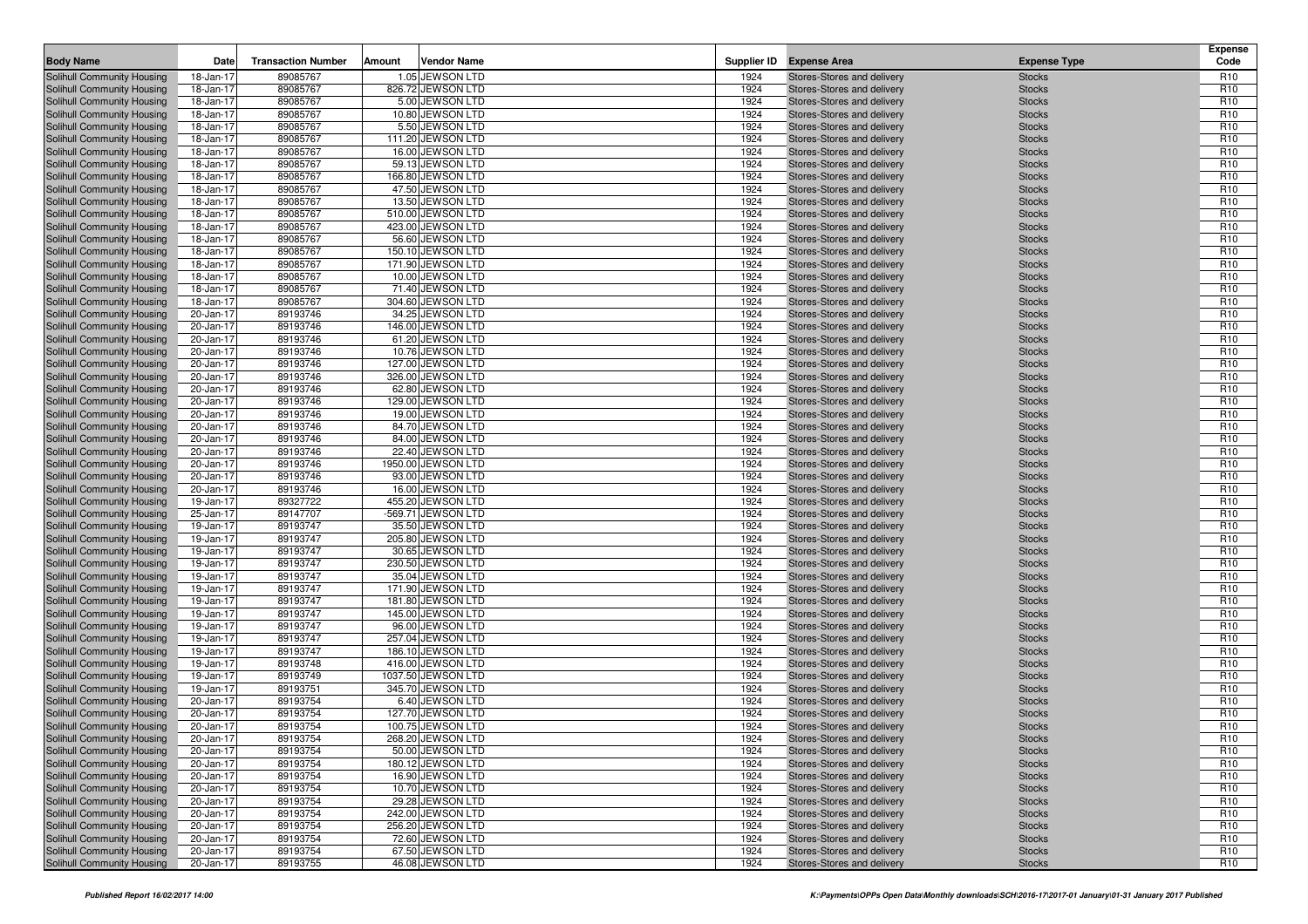| <b>Body Name</b>                                                | Date                   | <b>Transaction Number</b> | Amount | <b>Vendor Name</b>                      |              | Supplier ID Expense Area                                 | <b>Expense Type</b>            | <b>Expense</b><br>Code             |
|-----------------------------------------------------------------|------------------------|---------------------------|--------|-----------------------------------------|--------------|----------------------------------------------------------|--------------------------------|------------------------------------|
| Solihull Community Housing                                      | 18-Jan-17              | 89085767                  |        | 1.05 JEWSON LTD                         | 1924         | Stores-Stores and delivery                               | <b>Stocks</b>                  | R <sub>10</sub>                    |
| Solihull Community Housing                                      | 18-Jan-17              | 89085767                  |        | 826.72 JEWSON LTD                       | 1924         | Stores-Stores and delivery                               | <b>Stocks</b>                  | R <sub>10</sub>                    |
| Solihull Community Housing                                      | 18-Jan-17              | 89085767                  |        | 5.00 JEWSON LTD                         | 1924         | Stores-Stores and delivery                               | <b>Stocks</b>                  | R <sub>10</sub>                    |
| Solihull Community Housing                                      | 18-Jan-17              | 89085767                  |        | 10.80 JEWSON LTD                        | 1924         | Stores-Stores and delivery                               | <b>Stocks</b>                  | R <sub>10</sub>                    |
| Solihull Community Housing                                      | 18-Jan-17              | 89085767                  |        | 5.50 JEWSON LTD                         | 1924         | Stores-Stores and delivery                               | <b>Stocks</b>                  | R <sub>10</sub>                    |
| Solihull Community Housing                                      | 18-Jan-17              | 89085767                  |        | 111.20 JEWSON LTD                       | 1924         | Stores-Stores and delivery                               | <b>Stocks</b>                  | R <sub>10</sub>                    |
| Solihull Community Housing                                      | 18-Jan-17              | 89085767                  |        | 16.00 JEWSON LTD                        | 1924         | Stores-Stores and delivery                               | <b>Stocks</b>                  | R <sub>10</sub>                    |
| Solihull Community Housing                                      | 18-Jan-17              | 89085767                  |        | 59.13 JEWSON LTD                        | 1924         | Stores-Stores and delivery                               | <b>Stocks</b>                  | R <sub>10</sub>                    |
| Solihull Community Housing                                      | 18-Jan-17              | 89085767                  |        | 166.80 JEWSON LTD                       | 1924         | Stores-Stores and delivery                               | <b>Stocks</b>                  | R <sub>10</sub>                    |
| Solihull Community Housing                                      | 18-Jan-17              | 89085767                  |        | 47.50 JEWSON LTD                        | 1924         | Stores-Stores and delivery                               | <b>Stocks</b>                  | R <sub>10</sub>                    |
| Solihull Community Housing                                      | 18-Jan-17              | 89085767                  |        | 13.50 JEWSON LTD<br>510.00 JEWSON LTD   | 1924<br>1924 | Stores-Stores and delivery                               | <b>Stocks</b>                  | R <sub>10</sub><br>R <sub>10</sub> |
| Solihull Community Housing<br>Solihull Community Housing        | 18-Jan-17<br>18-Jan-17 | 89085767<br>89085767      |        | 423.00 JEWSON LTD                       | 1924         | Stores-Stores and delivery<br>Stores-Stores and delivery | <b>Stocks</b><br><b>Stocks</b> | R <sub>10</sub>                    |
| Solihull Community Housing                                      | 18-Jan-17              | 89085767                  |        | 56.60 JEWSON LTD                        | 1924         | Stores-Stores and delivery                               | <b>Stocks</b>                  | R <sub>10</sub>                    |
| Solihull Community Housing                                      | 18-Jan-17              | 89085767                  |        | 150.10 JEWSON LTD                       | 1924         | Stores-Stores and delivery                               | <b>Stocks</b>                  | R <sub>10</sub>                    |
| Solihull Community Housing                                      | 18-Jan-17              | 89085767                  |        | 171.90 JEWSON LTD                       | 1924         | Stores-Stores and delivery                               | <b>Stocks</b>                  | R <sub>10</sub>                    |
| Solihull Community Housing                                      | 18-Jan-17              | 89085767                  |        | 10.00 JEWSON LTD                        | 1924         | Stores-Stores and delivery                               | <b>Stocks</b>                  | R <sub>10</sub>                    |
| Solihull Community Housing                                      | 18-Jan-17              | 89085767                  |        | 71.40 JEWSON LTD                        | 1924         | Stores-Stores and delivery                               | <b>Stocks</b>                  | R <sub>10</sub>                    |
| Solihull Community Housing                                      | 18-Jan-17              | 89085767                  |        | 304.60 JEWSON LTD                       | 1924         | Stores-Stores and delivery                               | <b>Stocks</b>                  | R <sub>10</sub>                    |
| Solihull Community Housing                                      | 20-Jan-17              | 89193746                  |        | 34.25 JEWSON LTD                        | 1924         | Stores-Stores and delivery                               | <b>Stocks</b>                  | R <sub>10</sub>                    |
| Solihull Community Housing                                      | 20-Jan-17              | 89193746                  |        | 146.00 JEWSON LTD                       | 1924         | Stores-Stores and delivery                               | <b>Stocks</b>                  | R <sub>10</sub>                    |
| <b>Solihull Community Housing</b>                               | 20-Jan-17              | 89193746                  |        | 61.20 JEWSON LTD                        | 1924         | Stores-Stores and delivery                               | <b>Stocks</b>                  | R <sub>10</sub>                    |
| Solihull Community Housing                                      | 20-Jan-17              | 89193746                  |        | 10.76 JEWSON LTD                        | 1924         | Stores-Stores and delivery                               | <b>Stocks</b>                  | R <sub>10</sub>                    |
| Solihull Community Housing                                      | 20-Jan-17              | 89193746                  |        | 127.00 JEWSON LTD                       | 1924         | Stores-Stores and delivery                               | <b>Stocks</b>                  | R <sub>10</sub>                    |
| <b>Solihull Community Housing</b>                               | 20-Jan-17              | 89193746                  |        | 326.00 JEWSON LTD                       | 1924         | Stores-Stores and delivery                               | <b>Stocks</b>                  | R <sub>10</sub>                    |
| Solihull Community Housing                                      | 20-Jan-17              | 89193746                  |        | 62.80 JEWSON LTD                        | 1924         | Stores-Stores and delivery                               | <b>Stocks</b>                  | R <sub>10</sub>                    |
| Solihull Community Housing                                      | 20-Jan-17              | 89193746                  |        | 129.00 JEWSON LTD                       | 1924         | Stores-Stores and delivery                               | <b>Stocks</b>                  | R <sub>10</sub>                    |
| Solihull Community Housing                                      | 20-Jan-17              | 89193746                  |        | 19.00 JEWSON LTD                        | 1924         | Stores-Stores and delivery                               | <b>Stocks</b>                  | R <sub>10</sub>                    |
| Solihull Community Housing                                      | 20-Jan-17              | 89193746                  |        | 84.70 JEWSON LTD                        | 1924         | Stores-Stores and delivery                               | <b>Stocks</b>                  | R <sub>10</sub>                    |
| Solihull Community Housing                                      | 20-Jan-17              | 89193746                  |        | 84.00 JEWSON LTD                        | 1924         | Stores-Stores and delivery                               | <b>Stocks</b>                  | R <sub>10</sub>                    |
| Solihull Community Housing                                      | 20-Jan-17              | 89193746                  |        | 22.40 JEWSON LTD                        | 1924         | Stores-Stores and delivery                               | <b>Stocks</b>                  | R <sub>10</sub>                    |
| Solihull Community Housing                                      | 20-Jan-17              | 89193746                  |        | 1950.00 JEWSON LTD                      | 1924         | Stores-Stores and delivery                               | <b>Stocks</b>                  | R <sub>10</sub>                    |
| Solihull Community Housing                                      | 20-Jan-17              | 89193746                  |        | 93.00 JEWSON LTD                        | 1924         | Stores-Stores and delivery                               | <b>Stocks</b>                  | R <sub>10</sub>                    |
| Solihull Community Housing                                      | 20-Jan-17              | 89193746                  |        | 16.00 JEWSON LTD                        | 1924         | Stores-Stores and delivery                               | <b>Stocks</b>                  | R <sub>10</sub>                    |
| Solihull Community Housing                                      | 19-Jan-17<br>25-Jan-17 | 89327722                  |        | 455.20 JEWSON LTD<br>-569.71 JEWSON LTD | 1924<br>1924 | Stores-Stores and delivery<br>Stores-Stores and delivery | <b>Stocks</b><br><b>Stocks</b> | R <sub>10</sub><br>R <sub>10</sub> |
| Solihull Community Housing<br>Solihull Community Housing        | 19-Jan-17              | 89147707<br>89193747      |        | 35.50 JEWSON LTD                        | 1924         | Stores-Stores and delivery                               | <b>Stocks</b>                  | R <sub>10</sub>                    |
| Solihull Community Housing                                      | 19-Jan-17              | 89193747                  |        | 205.80 JEWSON LTD                       | 1924         | Stores-Stores and delivery                               | <b>Stocks</b>                  | R <sub>10</sub>                    |
| Solihull Community Housing                                      | 19-Jan-17              | 89193747                  |        | 30.65 JEWSON LTD                        | 1924         | Stores-Stores and delivery                               | <b>Stocks</b>                  | R <sub>10</sub>                    |
| Solihull Community Housing                                      | 19-Jan-17              | 89193747                  |        | 230.50 JEWSON LTD                       | 1924         | Stores-Stores and delivery                               | <b>Stocks</b>                  | R <sub>10</sub>                    |
| Solihull Community Housing                                      | 19-Jan-17              | 89193747                  |        | 35.04 JEWSON LTD                        | 1924         | Stores-Stores and delivery                               | <b>Stocks</b>                  | R <sub>10</sub>                    |
| Solihull Community Housing                                      | 19-Jan-17              | 89193747                  |        | 171.90 JEWSON LTD                       | 1924         | Stores-Stores and delivery                               | <b>Stocks</b>                  | R <sub>10</sub>                    |
| Solihull Community Housing                                      | 19-Jan-17              | 89193747                  |        | 181.80 JEWSON LTD                       | 1924         | Stores-Stores and delivery                               | <b>Stocks</b>                  | R <sub>10</sub>                    |
| Solihull Community Housing                                      | 19-Jan-17              | 89193747                  |        | 145.00 JEWSON LTD                       | 1924         | Stores-Stores and delivery                               | <b>Stocks</b>                  | R <sub>10</sub>                    |
| Solihull Community Housing                                      | 19-Jan-17              | 89193747                  |        | 96.00 JEWSON LTD                        | 1924         | Stores-Stores and delivery                               | <b>Stocks</b>                  | R <sub>10</sub>                    |
| Solihull Community Housing                                      | 19-Jan-17              | 89193747                  |        | 257.04 JEWSON LTD                       | 1924         | Stores-Stores and delivery                               | <b>Stocks</b>                  | R <sub>10</sub>                    |
| Solihull Community Housing                                      | 19-Jan-17              | 89193747                  |        | 186.10 JEWSON LTD                       | 1924         | Stores-Stores and delivery                               | <b>Stocks</b>                  | R <sub>10</sub>                    |
| Solihull Community Housing                                      | 19-Jan-17              | 89193748                  |        | 416.00 JEWSON LTD                       | 1924         | Stores-Stores and delivery                               | <b>Stocks</b>                  | R <sub>10</sub>                    |
| Solihull Community Housing                                      | 19-Jan-17              | 89193749                  |        | 1037.50 JEWSON LTD                      | 1924         | Stores-Stores and delivery                               | <b>Stocks</b>                  | R <sub>10</sub>                    |
| Solihull Community Housing                                      | 19-Jan-17              | 89193751                  |        | 345.70 JEWSON LTD                       | 1924         | Stores-Stores and delivery                               | <b>Stocks</b>                  | R <sub>10</sub>                    |
| Solihull Community Housing                                      | 20-Jan-17              | 89193754                  |        | 6.40 JEWSON LTD                         | 1924         | Stores-Stores and delivery                               | <b>Stocks</b>                  | R <sub>10</sub>                    |
| Solihull Community Housing                                      | 20-Jan-17              | 89193754                  |        | 127.70 JEWSON LTD                       | 1924         | Stores-Stores and delivery                               | <b>Stocks</b>                  | R <sub>10</sub>                    |
| Solihull Community Housing                                      | 20-Jan-17              | 89193754                  |        | 100.75 JEWSON LTD                       | 1924         | Stores-Stores and delivery                               | <b>Stocks</b>                  | R <sub>10</sub>                    |
| Solihull Community Housing                                      | 20-Jan-17              | 89193754                  |        | 268.20 JEWSON LTD                       | 1924         | Stores-Stores and delivery                               | <b>Stocks</b>                  | R <sub>10</sub>                    |
| Solihull Community Housing                                      | 20-Jan-17              | 89193754                  |        | 50.00 JEWSON LTD                        | 1924         | Stores-Stores and delivery                               | <b>Stocks</b>                  | R <sub>10</sub>                    |
| Solihull Community Housing                                      | 20-Jan-17              | 89193754                  |        | 180.12 JEWSON LTD                       | 1924         | Stores-Stores and delivery                               | <b>Stocks</b>                  | R <sub>10</sub>                    |
| <b>Solihull Community Housing</b><br>Solihull Community Housing | 20-Jan-17              | 89193754                  |        | 16.90 JEWSON LTD                        | 1924         | Stores-Stores and delivery                               | <b>Stocks</b>                  | R <sub>10</sub>                    |
| Solihull Community Housing                                      | 20-Jan-17<br>20-Jan-17 | 89193754<br>89193754      |        | 10.70 JEWSON LTD<br>29.28 JEWSON LTD    | 1924<br>1924 | Stores-Stores and delivery<br>Stores-Stores and delivery | <b>Stocks</b><br><b>Stocks</b> | R <sub>10</sub><br>R <sub>10</sub> |
| Solihull Community Housing                                      | 20-Jan-17              | 89193754                  |        | 242.00 JEWSON LTD                       | 1924         | Stores-Stores and delivery                               | <b>Stocks</b>                  | R <sub>10</sub>                    |
| <b>Solihull Community Housing</b>                               | 20-Jan-17              | 89193754                  |        | 256.20 JEWSON LTD                       | 1924         | Stores-Stores and delivery                               | <b>Stocks</b>                  | R <sub>10</sub>                    |
| Solihull Community Housing                                      | 20-Jan-17              | 89193754                  |        | 72.60 JEWSON LTD                        | 1924         | Stores-Stores and delivery                               | <b>Stocks</b>                  | R <sub>10</sub>                    |
| Solihull Community Housing                                      | 20-Jan-17              | 89193754                  |        | 67.50 JEWSON LTD                        | 1924         | Stores-Stores and delivery                               | <b>Stocks</b>                  | R <sub>10</sub>                    |
| Solihull Community Housing                                      | 20-Jan-17              | 89193755                  |        | 46.08 JEWSON LTD                        | 1924         | Stores-Stores and delivery                               | <b>Stocks</b>                  | R <sub>10</sub>                    |
|                                                                 |                        |                           |        |                                         |              |                                                          |                                |                                    |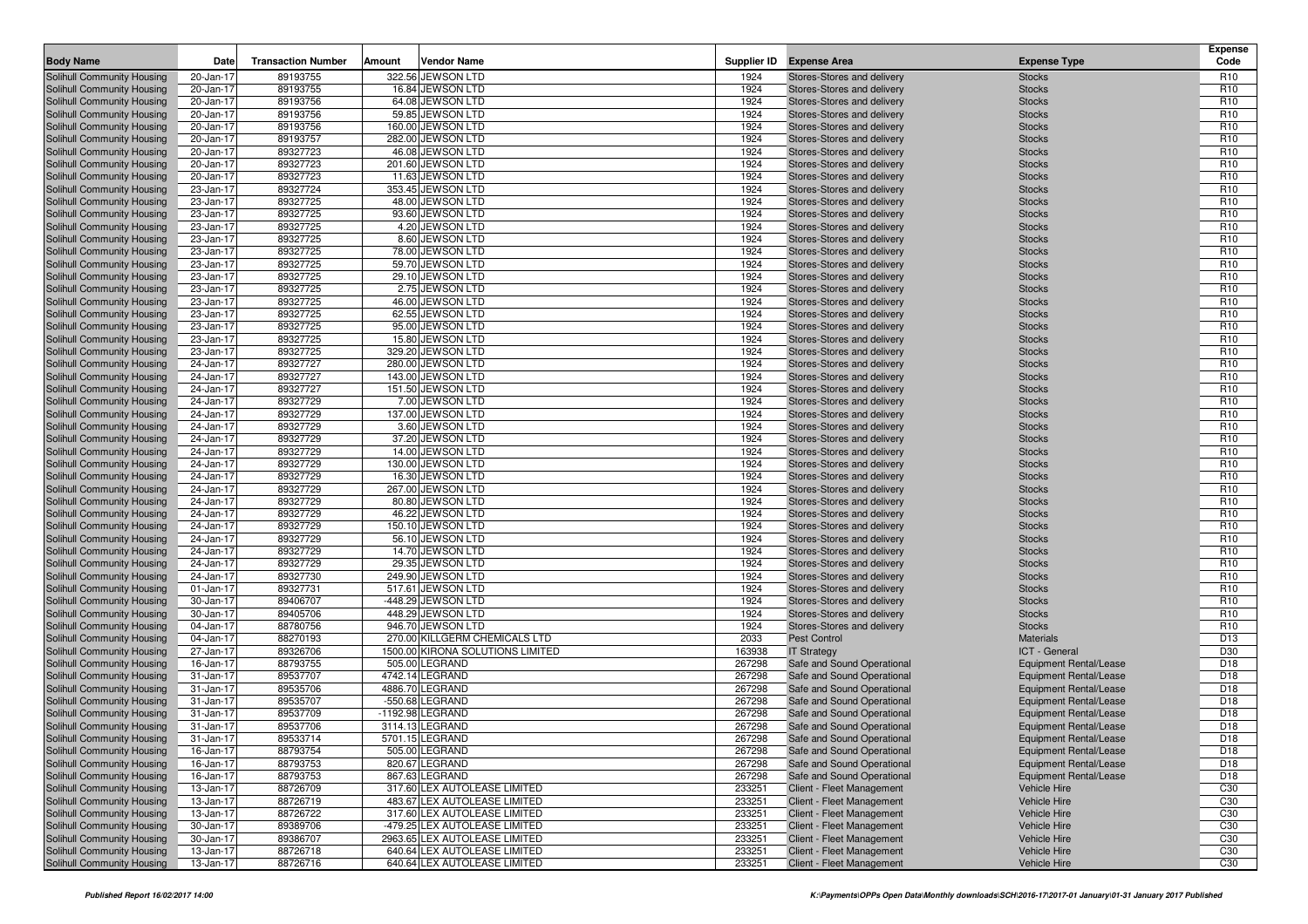| <b>Body Name</b>                                         | Date                   | <b>Transaction Number</b> | Amount | <b>Vendor Name</b>                                                |                  | Supplier ID Expense Area                         | <b>Expense Type</b>                     | <b>Expense</b><br>Code |
|----------------------------------------------------------|------------------------|---------------------------|--------|-------------------------------------------------------------------|------------------|--------------------------------------------------|-----------------------------------------|------------------------|
| <b>Solihull Community Housing</b>                        | 20-Jan-17              | 89193755                  |        | 322.56 JEWSON LTD                                                 | 1924             | Stores-Stores and delivery                       | <b>Stocks</b>                           | R <sub>10</sub>        |
| Solihull Community Housing                               | 20-Jan-17              | 89193755                  |        | 16.84 JEWSON LTD                                                  | 1924             | Stores-Stores and delivery                       | <b>Stocks</b>                           | R <sub>10</sub>        |
| Solihull Community Housing                               | 20-Jan-17              | 89193756                  |        | 64.08 JEWSON LTD                                                  | 1924             | Stores-Stores and delivery                       | <b>Stocks</b>                           | R <sub>10</sub>        |
| Solihull Community Housing                               | 20-Jan-17              | 89193756                  |        | 59.85 JEWSON LTD                                                  | 1924             | Stores-Stores and delivery                       | <b>Stocks</b>                           | R <sub>10</sub>        |
| Solihull Community Housing                               | 20-Jan-17              | 89193756                  |        | 160.00 JEWSON LTD                                                 | 1924             | Stores-Stores and delivery                       | <b>Stocks</b>                           | R <sub>10</sub>        |
| Solihull Community Housing                               | 20-Jan-17              | 89193757                  |        | 282.00 JEWSON LTD                                                 | 1924             | Stores-Stores and delivery                       | <b>Stocks</b>                           | R <sub>10</sub>        |
| Solihull Community Housing                               | 20-Jan-17              | 89327723                  |        | 46.08 JEWSON LTD                                                  | 1924             | Stores-Stores and delivery                       | <b>Stocks</b>                           | R <sub>10</sub>        |
| Solihull Community Housing                               | 20-Jan-17              | 89327723                  |        | 201.60 JEWSON LTD                                                 | 1924             | Stores-Stores and delivery                       | <b>Stocks</b>                           | R <sub>10</sub>        |
| Solihull Community Housing                               | 20-Jan-17              | 89327723                  |        | 11.63 JEWSON LTD                                                  | 1924             | Stores-Stores and delivery                       | <b>Stocks</b>                           | R <sub>10</sub>        |
| Solihull Community Housing                               | 23-Jan-17              | 89327724                  |        | 353.45 JEWSON LTD                                                 | 1924             | Stores-Stores and delivery                       | <b>Stocks</b>                           | R <sub>10</sub>        |
| Solihull Community Housing                               | 23-Jan-17              | 89327725                  |        | 48.00 JEWSON LTD                                                  | 1924             | Stores-Stores and delivery                       | <b>Stocks</b>                           | R <sub>10</sub>        |
| Solihull Community Housing                               | 23-Jan-17              | 89327725                  |        | 93.60 JEWSON LTD                                                  | 1924             | Stores-Stores and delivery                       | <b>Stocks</b>                           | R <sub>10</sub>        |
| Solihull Community Housing                               | 23-Jan-17              | 89327725                  |        | 4.20 JEWSON LTD                                                   | 1924             | Stores-Stores and delivery                       | <b>Stocks</b>                           | R <sub>10</sub>        |
| Solihull Community Housing                               | 23-Jan-17              | 89327725                  |        | 8.60 JEWSON LTD                                                   | 1924             | Stores-Stores and delivery                       | <b>Stocks</b>                           | R <sub>10</sub>        |
| Solihull Community Housing                               | 23-Jan-17              | 89327725                  |        | 78.00 JEWSON LTD                                                  | 1924             | Stores-Stores and delivery                       | <b>Stocks</b>                           | R <sub>10</sub>        |
| Solihull Community Housing                               | 23-Jan-17              | 89327725                  |        | 59.70 JEWSON LTD                                                  | 1924             | Stores-Stores and delivery                       | <b>Stocks</b>                           | R <sub>10</sub>        |
| Solihull Community Housing                               | 23-Jan-17              | 89327725                  |        | 29.10 JEWSON LTD                                                  | 1924             | Stores-Stores and delivery                       | <b>Stocks</b>                           | R <sub>10</sub>        |
| Solihull Community Housing                               | 23-Jan-17              | 89327725                  |        | 2.75 JEWSON LTD                                                   | 1924             | Stores-Stores and delivery                       | <b>Stocks</b>                           | R <sub>10</sub>        |
| Solihull Community Housing                               | 23-Jan-17              | 89327725                  |        | 46.00 JEWSON LTD                                                  | 1924             | Stores-Stores and delivery                       | <b>Stocks</b>                           | R <sub>10</sub>        |
| Solihull Community Housing                               | 23-Jan-17              | 89327725                  |        | 62.55 JEWSON LTD                                                  | 1924             | Stores-Stores and delivery                       | <b>Stocks</b>                           | R <sub>10</sub>        |
| Solihull Community Housing                               | 23-Jan-17              | 89327725                  |        | 95.00 JEWSON LTD                                                  | 1924             | Stores-Stores and delivery                       | <b>Stocks</b>                           | R <sub>10</sub>        |
| Solihull Community Housing                               | 23-Jan-17              | 89327725                  |        | 15.80 JEWSON LTD                                                  | 1924             | Stores-Stores and delivery                       | <b>Stocks</b>                           | R <sub>10</sub>        |
| Solihull Community Housing                               | 23-Jan-17              | 89327725                  |        | 329.20 JEWSON LTD                                                 | 1924             | Stores-Stores and delivery                       | <b>Stocks</b>                           | R <sub>10</sub>        |
| Solihull Community Housing                               | 24-Jan-17              | 89327727                  |        | 280.00 JEWSON LTD                                                 | 1924             | Stores-Stores and delivery                       | <b>Stocks</b>                           | R <sub>10</sub>        |
| Solihull Community Housing                               | 24-Jan-17              | 89327727                  |        | 143.00 JEWSON LTD                                                 | 1924             | Stores-Stores and delivery                       | <b>Stocks</b>                           | R <sub>10</sub>        |
| Solihull Community Housing                               | 24-Jan-17              | 89327727                  |        | 151.50 JEWSON LTD                                                 | 1924             | Stores-Stores and delivery                       | <b>Stocks</b>                           | R <sub>10</sub>        |
| Solihull Community Housing                               | 24-Jan-17              | 89327729                  |        | 7.00 JEWSON LTD                                                   | 1924             | Stores-Stores and delivery                       | <b>Stocks</b>                           | R <sub>10</sub>        |
| Solihull Community Housing                               | 24-Jan-17              | 89327729                  |        | 137.00 JEWSON LTD                                                 | 1924             | Stores-Stores and delivery                       | <b>Stocks</b>                           | R <sub>10</sub>        |
| Solihull Community Housing                               | 24-Jan-17              | 89327729                  |        | 3.60 JEWSON LTD                                                   | 1924             | Stores-Stores and delivery                       | <b>Stocks</b>                           | R <sub>10</sub>        |
| Solihull Community Housing                               | 24-Jan-17              | 89327729                  |        | 37.20 JEWSON LTD                                                  | 1924             | Stores-Stores and delivery                       | <b>Stocks</b>                           | R <sub>10</sub>        |
| Solihull Community Housing                               | 24-Jan-17              | 89327729                  |        | 14.00 JEWSON LTD                                                  | 1924             | Stores-Stores and delivery                       | <b>Stocks</b>                           | R <sub>10</sub>        |
| Solihull Community Housing                               | 24-Jan-17              | 89327729                  |        | 130.00 JEWSON LTD                                                 | 1924             | Stores-Stores and delivery                       | <b>Stocks</b>                           | R <sub>10</sub>        |
| Solihull Community Housing                               | 24-Jan-17              | 89327729                  |        | 16.30 JEWSON LTD                                                  | 1924             | Stores-Stores and delivery                       | <b>Stocks</b>                           | R <sub>10</sub>        |
| Solihull Community Housing                               | 24-Jan-17              | 89327729                  |        | 267.00 JEWSON LTD                                                 | 1924             | Stores-Stores and delivery                       | <b>Stocks</b>                           | R <sub>10</sub>        |
| Solihull Community Housing                               | 24-Jan-17              | 89327729                  |        | 80.80 JEWSON LTD                                                  | 1924             | Stores-Stores and delivery                       | <b>Stocks</b>                           | R <sub>10</sub>        |
| Solihull Community Housing                               | 24-Jan-17              | 89327729                  |        | 46.22 JEWSON LTD                                                  | 1924             | Stores-Stores and delivery                       | <b>Stocks</b>                           | R <sub>10</sub>        |
| Solihull Community Housing                               | 24-Jan-17              | 89327729                  |        | 150.10 JEWSON LTD                                                 | 1924             | Stores-Stores and delivery                       | <b>Stocks</b>                           | R <sub>10</sub>        |
| Solihull Community Housing                               | 24-Jan-17              | 89327729                  |        | 56.10 JEWSON LTD                                                  | 1924             | Stores-Stores and delivery                       | <b>Stocks</b>                           | R <sub>10</sub>        |
| Solihull Community Housing                               | 24-Jan-17              | 89327729                  |        | 14.70 JEWSON LTD                                                  | 1924             | Stores-Stores and delivery                       | <b>Stocks</b>                           | R <sub>10</sub>        |
| Solihull Community Housing                               | 24-Jan-17              | 89327729                  |        | 29.35 JEWSON LTD                                                  | 1924             | Stores-Stores and delivery                       | <b>Stocks</b>                           | R <sub>10</sub>        |
| Solihull Community Housing                               | 24-Jan-17              | 89327730                  |        | 249.90 JEWSON LTD                                                 | 1924             | Stores-Stores and delivery                       | <b>Stocks</b>                           | R <sub>10</sub>        |
| Solihull Community Housing                               | 01-Jan-17              | 89327731                  |        | 517.61 JEWSON LTD                                                 | 1924             | Stores-Stores and delivery                       | <b>Stocks</b>                           | R <sub>10</sub>        |
| Solihull Community Housing                               | 30-Jan-17              | 89406707                  |        | $-448.29$ JEWSON LTD                                              | 1924             | Stores-Stores and delivery                       | <b>Stocks</b>                           | R <sub>10</sub>        |
| Solihull Community Housing                               | 30-Jan-17              | 89405706                  |        | 448.29 JEWSON LTD                                                 | 1924             | Stores-Stores and delivery                       | <b>Stocks</b>                           | R <sub>10</sub>        |
| Solihull Community Housing                               | 04-Jan-17              | 88780756                  |        | 946.70 JEWSON LTD                                                 | 1924             | Stores-Stores and delivery                       | <b>Stocks</b>                           | R <sub>10</sub>        |
| Solihull Community Housing                               | 04-Jan-17              | 88270193                  |        | 270.00 KILLGERM CHEMICALS LTD<br>1500.00 KIRONA SOLUTIONS LIMITED | 2033             | <b>Pest Control</b>                              | <b>Materials</b>                        | D <sub>13</sub><br>D30 |
| Solihull Community Housing<br>Solihull Community Housing | 27-Jan-17<br>16-Jan-17 | 89326706<br>88793755      |        | 505.00 LEGRAND                                                    | 163938<br>267298 | <b>IT Strategy</b><br>Safe and Sound Operational | ICT - General<br>Equipment Rental/Lease | D <sub>18</sub>        |
| Solihull Community Housing                               | 31-Jan-17              | 89537707                  |        | 4742.14 LEGRAND                                                   | 267298           | Safe and Sound Operational                       | Equipment Rental/Lease                  | D <sub>18</sub>        |
| Solihull Community Housing                               | 31-Jan-17              | 89535706                  |        | 4886.70 LEGRAND                                                   | 267298           | Safe and Sound Operational                       | Equipment Rental/Lease                  | D18                    |
| Solihull Community Housing                               | 31-Jan-17              | 89535707                  |        | -550.68 LEGRAND                                                   | 267298           | Safe and Sound Operational                       | Equipment Rental/Lease                  | D <sub>18</sub>        |
| Solihull Community Housing                               | 31-Jan-17              | 89537709                  |        | -1192.98 LEGRAND                                                  | 267298           | Safe and Sound Operational                       | <b>Equipment Rental/Lease</b>           | D <sub>18</sub>        |
| Solihull Community Housing                               | 31-Jan-17              | 89537706                  |        | 3114.13 LEGRAND                                                   | 267298           | Safe and Sound Operational                       | Equipment Rental/Lease                  | D18                    |
| Solihull Community Housing                               | 31-Jan-17              | 89533714                  |        | 5701.15 LEGRAND                                                   | 267298           | Safe and Sound Operational                       | <b>Equipment Rental/Lease</b>           | D18                    |
| Solihull Community Housing                               | 16-Jan-17              | 88793754                  |        | 505.00 LEGRAND                                                    | 267298           | Safe and Sound Operational                       | Equipment Rental/Lease                  | D18                    |
| Solihull Community Housing                               | 16-Jan-17              | 88793753                  |        | 820.67 LEGRAND                                                    | 267298           | Safe and Sound Operational                       | <b>Equipment Rental/Lease</b>           | D <sub>18</sub>        |
| Solihull Community Housing                               | 16-Jan-17              | 88793753                  |        | 867.63 LEGRAND                                                    | 267298           | Safe and Sound Operational                       | <b>Equipment Rental/Lease</b>           | D <sub>18</sub>        |
| Solihull Community Housing                               | 13-Jan-17              | 88726709                  |        | 317.60 LEX AUTOLEASE LIMITED                                      | 233251           | Client - Fleet Management                        | Vehicle Hire                            | C30                    |
| Solihull Community Housing                               | 13-Jan-17              | 88726719                  |        | 483.67 LEX AUTOLEASE LIMITED                                      | 233251           | Client - Fleet Management                        | Vehicle Hire                            | C30                    |
| Solihull Community Housing                               | 13-Jan-17              | 88726722                  |        | 317.60 LEX AUTOLEASE LIMITED                                      | 233251           | Client - Fleet Management                        | Vehicle Hire                            | C <sub>30</sub>        |
| Solihull Community Housing                               | 30-Jan-17              | 89389706                  |        | -479.25 LEX AUTOLEASE LIMITED                                     | 233251           | Client - Fleet Management                        | Vehicle Hire                            | C30                    |
| Solihull Community Housing                               | 30-Jan-17              | 89386707                  |        | 2963.65 LEX AUTOLEASE LIMITED                                     | 233251           | Client - Fleet Management                        | Vehicle Hire                            | C30                    |
| Solihull Community Housing                               | 13-Jan-17              | 88726718                  |        | 640.64 LEX AUTOLEASE LIMITED                                      | 233251           | Client - Fleet Management                        | Vehicle Hire                            | C30                    |
| Solihull Community Housing                               | 13-Jan-17              | 88726716                  |        | 640.64 LEX AUTOLEASE LIMITED                                      | 233251           | Client - Fleet Management                        | Vehicle Hire                            | C30                    |
|                                                          |                        |                           |        |                                                                   |                  |                                                  |                                         |                        |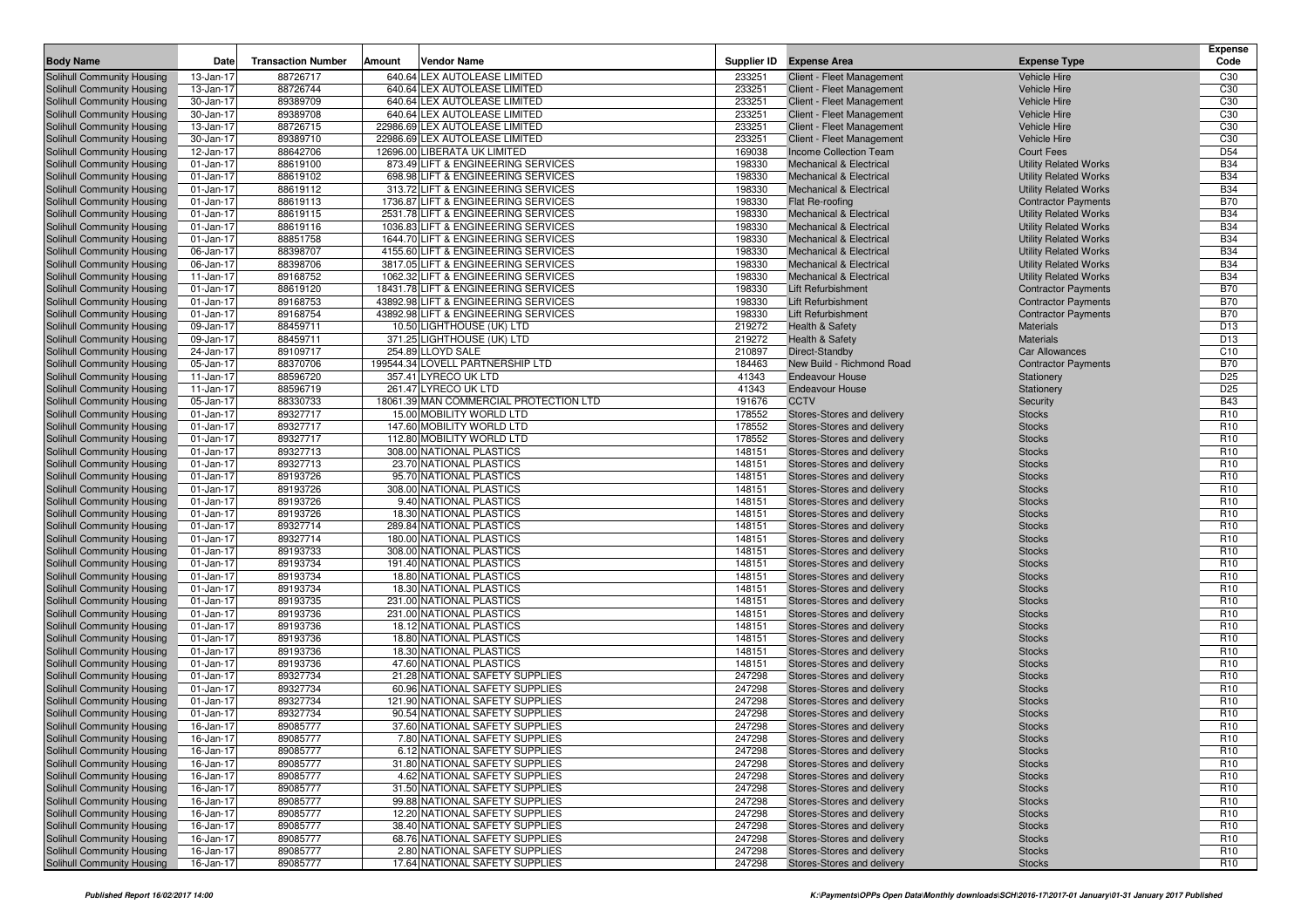| <b>Body Name</b>                                         | Date                   | <b>Transaction Number</b> | Amount | <b>Vendor Name</b>                                               |                  | Supplier ID Expense Area                                 | <b>Expense Type</b>                                 | <b>Expense</b><br>Code             |
|----------------------------------------------------------|------------------------|---------------------------|--------|------------------------------------------------------------------|------------------|----------------------------------------------------------|-----------------------------------------------------|------------------------------------|
| <b>Solihull Community Housing</b>                        | 13-Jan-17              | 88726717                  |        | 640.64 LEX AUTOLEASE LIMITED                                     | 233251           | Client - Fleet Management                                | <b>Vehicle Hire</b>                                 | C <sub>30</sub>                    |
| Solihull Community Housing                               | 13-Jan-17              | 88726744                  |        | 640.64 LEX AUTOLEASE LIMITED                                     | 233251           | Client - Fleet Management                                | <b>Vehicle Hire</b>                                 | C <sub>30</sub>                    |
| Solihull Community Housing                               | 30-Jan-17              | 89389709                  |        | 640.64 LEX AUTOLEASE LIMITED                                     | 233251           | Client - Fleet Management                                | <b>Vehicle Hire</b>                                 | C <sub>30</sub>                    |
| Solihull Community Housing                               | 30-Jan-17              | 89389708                  |        | 640.64 LEX AUTOLEASE LIMITED                                     | 233251           | Client - Fleet Management                                | <b>Vehicle Hire</b>                                 | C <sub>30</sub>                    |
| Solihull Community Housing                               | 13-Jan-17              | 88726715                  |        | 22986.69 LEX AUTOLEASE LIMITED                                   | 233251           | Client - Fleet Management                                | <b>Vehicle Hire</b>                                 | C <sub>30</sub>                    |
| Solihull Community Housing                               | 30-Jan-17              | 89389710                  |        | 22986.69 LEX AUTOLEASE LIMITED                                   | 233251           | Client - Fleet Management                                | <b>Vehicle Hire</b>                                 | C30                                |
| Solihull Community Housing                               | 12-Jan-17              | 88642706                  |        | 12696.00 LIBERATA UK LIMITED                                     | 169038           | <b>Income Collection Team</b>                            | <b>Court Fees</b>                                   | D <sub>54</sub>                    |
| Solihull Community Housing                               | 01-Jan-17              | 88619100                  |        | 873.49 LIFT & ENGINEERING SERVICES                               | 198330           | <b>Mechanical &amp; Electrical</b>                       | <b>Utility Related Works</b>                        | <b>B34</b>                         |
| Solihull Community Housing                               | 01-Jan-17              | 88619102                  |        | 698.98 LIFT & ENGINEERING SERVICES                               | 198330           | <b>Mechanical &amp; Electrical</b>                       | <b>Utility Related Works</b>                        | <b>B34</b>                         |
| Solihull Community Housing                               | 01-Jan-17              | 88619112                  |        | 313.72 LIFT & ENGINEERING SERVICES                               | 198330           | <b>Mechanical &amp; Electrical</b>                       | <b>Utility Related Works</b>                        | <b>B34</b>                         |
| Solihull Community Housing                               | 01-Jan-17              | 88619113                  |        | 1736.87 LIFT & ENGINEERING SERVICES                              | 198330           | Flat Re-roofing                                          | <b>Contractor Payments</b>                          | <b>B70</b>                         |
| Solihull Community Housing                               | 01-Jan-17              | 88619115                  |        | 2531.78 LIFT & ENGINEERING SERVICES                              | 198330           | <b>Mechanical &amp; Electrical</b>                       | <b>Utility Related Works</b>                        | <b>B34</b>                         |
| Solihull Community Housing                               | 01-Jan-17              | 88619116                  |        | 1036.83 LIFT & ENGINEERING SERVICES                              | 198330           | <b>Mechanical &amp; Electrical</b>                       | <b>Utility Related Works</b>                        | <b>B34</b>                         |
| Solihull Community Housing                               | 01-Jan-17              | 88851758                  |        | 1644.70 LIFT & ENGINEERING SERVICES                              | 198330           | <b>Mechanical &amp; Electrical</b>                       | <b>Utility Related Works</b>                        | <b>B34</b>                         |
| Solihull Community Housing                               | 06-Jan-17              | 88398707                  |        | 4155.60 LIFT & ENGINEERING SERVICES                              | 198330           | <b>Mechanical &amp; Electrical</b>                       | <b>Utility Related Works</b>                        | <b>B34</b>                         |
| Solihull Community Housing                               | 06-Jan-17              | 88398706                  |        | 3817.05 LIFT & ENGINEERING SERVICES                              | 198330           | <b>Mechanical &amp; Electrical</b>                       | <b>Utility Related Works</b>                        | <b>B34</b>                         |
| Solihull Community Housing                               | 11-Jan-17              | 89168752                  |        | 1062.32 LIFT & ENGINEERING SERVICES                              | 198330           | <b>Mechanical &amp; Electrical</b>                       | <b>Utility Related Works</b>                        | <b>B34</b>                         |
| Solihull Community Housing                               | 01-Jan-17              | 88619120                  |        | 18431.78 LIFT & ENGINEERING SERVICES                             | 198330           | <b>Lift Refurbishment</b>                                | <b>Contractor Payments</b>                          | <b>B70</b>                         |
| Solihull Community Housing                               | 01-Jan-17              | 89168753                  |        | 43892.98 LIFT & ENGINEERING SERVICES                             | 198330           | <b>Lift Refurbishment</b>                                | <b>Contractor Payments</b>                          | <b>B70</b>                         |
| Solihull Community Housing                               | 01-Jan-17              | 89168754                  |        | 43892.98 LIFT & ENGINEERING SERVICES                             | 198330           | <b>Lift Refurbishment</b>                                | <b>Contractor Payments</b>                          | <b>B70</b>                         |
| Solihull Community Housing                               | 09-Jan-17              | 88459711                  |        | 10.50 LIGHTHOUSE (UK) LTD                                        | 219272           | Health & Safety                                          | Materials<br><b>Materials</b>                       | D <sub>13</sub><br>D <sub>13</sub> |
| Solihull Community Housing                               | 09-Jan-17              | 88459711<br>89109717      |        | 371.25 LIGHTHOUSE (UK) LTD                                       | 219272<br>210897 | Health & Safety<br>Direct-Standby                        |                                                     | C <sub>10</sub>                    |
| Solihull Community Housing<br>Solihull Community Housing | 24-Jan-17<br>05-Jan-17 | 88370706                  |        | 254.89 LLOYD SALE<br>199544.34 LOVELL PARTNERSHIP LTD            | 184463           | New Build - Richmond Road                                | <b>Car Allowances</b><br><b>Contractor Payments</b> | <b>B70</b>                         |
| Solihull Community Housing                               | 11-Jan-17              | 88596720                  |        | 357.41 LYRECO UK LTD                                             | 41343            | <b>Endeavour House</b>                                   | Stationery                                          | D <sub>25</sub>                    |
| Solihull Community Housing                               | 11-Jan-17              | 88596719                  |        | 261.47 LYRECO UK LTD                                             | 41343            | <b>Endeavour House</b>                                   | Stationery                                          | D <sub>25</sub>                    |
| Solihull Community Housing                               | 05-Jan-17              | 88330733                  |        | 18061.39 MAN COMMERCIAL PROTECTION LTD                           | 191676           | <b>CCTV</b>                                              | Security                                            | <b>B43</b>                         |
| Solihull Community Housing                               | 01-Jan-17              | 89327717                  |        | 15.00 MOBILITY WORLD LTD                                         | 178552           | Stores-Stores and delivery                               | <b>Stocks</b>                                       | R <sub>10</sub>                    |
| Solihull Community Housing                               | 01-Jan-17              | 89327717                  |        | 147.60 MOBILITY WORLD LTD                                        | 178552           | Stores-Stores and delivery                               | <b>Stocks</b>                                       | R <sub>10</sub>                    |
| Solihull Community Housing                               | 01-Jan-17              | 89327717                  |        | 112.80 MOBILITY WORLD LTD                                        | 178552           | Stores-Stores and delivery                               | <b>Stocks</b>                                       | R <sub>10</sub>                    |
| Solihull Community Housing                               | 01-Jan-17              | 89327713                  |        | 308.00 NATIONAL PLASTICS                                         | 148151           | Stores-Stores and delivery                               | <b>Stocks</b>                                       | R <sub>10</sub>                    |
| Solihull Community Housing                               | 01-Jan-17              | 89327713                  |        | 23.70 NATIONAL PLASTICS                                          | 148151           | Stores-Stores and delivery                               | <b>Stocks</b>                                       | R <sub>10</sub>                    |
| Solihull Community Housing                               | 01-Jan-17              | 89193726                  |        | 95.70 NATIONAL PLASTICS                                          | 148151           | Stores-Stores and delivery                               | <b>Stocks</b>                                       | R <sub>10</sub>                    |
| Solihull Community Housing                               | 01-Jan-17              | 89193726                  |        | 308.00 NATIONAL PLASTICS                                         | 148151           | Stores-Stores and delivery                               | <b>Stocks</b>                                       | R <sub>10</sub>                    |
| Solihull Community Housing                               | 01-Jan-17              | 89193726                  |        | 9.40 NATIONAL PLASTICS                                           | 148151           | Stores-Stores and delivery                               | <b>Stocks</b>                                       | R <sub>10</sub>                    |
| Solihull Community Housing                               | 01-Jan-17              | 89193726                  |        | 18.30 NATIONAL PLASTICS                                          | 148151           | Stores-Stores and delivery                               | <b>Stocks</b>                                       | R <sub>10</sub>                    |
| Solihull Community Housing                               | 01-Jan-17              | 89327714                  |        | 289.84 NATIONAL PLASTICS                                         | 148151           | Stores-Stores and delivery                               | <b>Stocks</b>                                       | R <sub>10</sub>                    |
| Solihull Community Housing                               | 01-Jan-17              | 89327714                  |        | 180.00 NATIONAL PLASTICS                                         | 148151           | Stores-Stores and delivery                               | <b>Stocks</b>                                       | R <sub>10</sub>                    |
| Solihull Community Housing                               | 01-Jan-17              | 89193733                  |        | 308.00 NATIONAL PLASTICS                                         | 148151           | Stores-Stores and delivery                               | <b>Stocks</b>                                       | R <sub>10</sub>                    |
| Solihull Community Housing                               | 01-Jan-17              | 89193734                  |        | 191.40 NATIONAL PLASTICS                                         | 148151           | Stores-Stores and delivery                               | <b>Stocks</b>                                       | R <sub>10</sub>                    |
| Solihull Community Housing                               | 01-Jan-17              | 89193734                  |        | 18.80 NATIONAL PLASTICS                                          | 148151           | Stores-Stores and delivery                               | <b>Stocks</b>                                       | R <sub>10</sub>                    |
| Solihull Community Housing                               | 01-Jan-17              | 89193734                  |        | 18.30 NATIONAL PLASTICS                                          | 148151           | Stores-Stores and delivery                               | <b>Stocks</b>                                       | R <sub>10</sub>                    |
| Solihull Community Housing                               | 01-Jan-17              | 89193735                  |        | 231.00 NATIONAL PLASTICS                                         | 148151           | Stores-Stores and delivery                               | <b>Stocks</b>                                       | R <sub>10</sub>                    |
| Solihull Community Housing                               | 01-Jan-17              | 89193736                  |        | 231.00 NATIONAL PLASTICS                                         | 148151           | Stores-Stores and delivery                               | <b>Stocks</b>                                       | R <sub>10</sub>                    |
| Solihull Community Housing                               | 01-Jan-17              | 89193736                  |        | 18.12 NATIONAL PLASTICS                                          | 148151           | Stores-Stores and delivery                               | <b>Stocks</b>                                       | R <sub>10</sub>                    |
| Solihull Community Housing                               | 01-Jan-17              | 89193736                  |        | 18.80 NATIONAL PLASTICS                                          | 148151           | Stores-Stores and delivery                               | <b>Stocks</b>                                       | R <sub>10</sub>                    |
| Solihull Community Housing                               | 01-Jan-17              | 89193736                  |        | 18.30 NATIONAL PLASTICS                                          | 148151           | Stores-Stores and delivery                               | <b>Stocks</b>                                       | R <sub>10</sub>                    |
| Solihull Community Housing                               | 01-Jan-17              | 89193736                  |        | 47.60 NATIONAL PLASTICS                                          | 148151           | Stores-Stores and delivery                               | <b>Stocks</b>                                       | R <sub>10</sub>                    |
| Solihull Community Housing                               | 01-Jan-17              | 89327734                  |        | 21.28 NATIONAL SAFETY SUPPLIES                                   | 247298           | Stores-Stores and delivery                               | <b>Stocks</b>                                       | R <sub>10</sub>                    |
| Solihull Community Housing                               | 01-Jan-17              | 89327734                  |        | 60.96 NATIONAL SAFETY SUPPLIES                                   | 247298           | Stores-Stores and delivery                               | <b>Stocks</b>                                       | R <sub>10</sub>                    |
| Solihull Community Housing                               | 01-Jan-17              | 89327734                  |        | 121.90 NATIONAL SAFETY SUPPLIES                                  | 247298           | Stores-Stores and delivery                               | <b>Stocks</b>                                       | R <sub>10</sub>                    |
| Solihull Community Housing                               | 01-Jan-17              | 89327734                  |        | 90.54 NATIONAL SAFETY SUPPLIES                                   | 247298           | Stores-Stores and delivery                               | <b>Stocks</b>                                       | R <sub>10</sub>                    |
| Solihull Community Housing                               | 16-Jan-17              | 89085777                  |        | 37.60 NATIONAL SAFETY SUPPLIES                                   | 247298           | Stores-Stores and delivery                               | <b>Stocks</b>                                       | R <sub>10</sub>                    |
| Solihull Community Housing                               | 16-Jan-17              | 89085777                  |        | 7.80 NATIONAL SAFETY SUPPLIES                                    | 247298           | Stores-Stores and delivery                               | <b>Stocks</b>                                       | R <sub>10</sub>                    |
| Solihull Community Housing                               | 16-Jan-17              | 89085777                  |        | 6.12 NATIONAL SAFETY SUPPLIES                                    | 247298           | Stores-Stores and delivery                               | <b>Stocks</b>                                       | R <sub>10</sub>                    |
| Solihull Community Housing                               | 16-Jan-17              | 89085777                  |        | 31.80 NATIONAL SAFETY SUPPLIES<br>4.62 NATIONAL SAFETY SUPPLIES  | 247298           | Stores-Stores and delivery                               | <b>Stocks</b>                                       | R <sub>10</sub>                    |
| Solihull Community Housing                               | 16-Jan-17              | 89085777                  |        |                                                                  | 247298           | Stores-Stores and delivery                               | <b>Stocks</b>                                       | R <sub>10</sub>                    |
| Solihull Community Housing<br>Solihull Community Housing | 16-Jan-17              | 89085777                  |        | 31.50 NATIONAL SAFETY SUPPLIES                                   | 247298           | Stores-Stores and delivery<br>Stores-Stores and delivery | <b>Stocks</b>                                       | R <sub>10</sub>                    |
| Solihull Community Housing                               | 16-Jan-17<br>16-Jan-17 | 89085777<br>89085777      |        | 99.88 NATIONAL SAFETY SUPPLIES<br>12.20 NATIONAL SAFETY SUPPLIES | 247298<br>247298 | Stores-Stores and delivery                               | <b>Stocks</b><br><b>Stocks</b>                      | R <sub>10</sub><br>R <sub>10</sub> |
| Solihull Community Housing                               |                        | 89085777                  |        | 38.40 NATIONAL SAFETY SUPPLIES                                   | 247298           | Stores-Stores and delivery                               |                                                     | R <sub>10</sub>                    |
| Solihull Community Housing                               | 16-Jan-17<br>16-Jan-17 | 89085777                  |        | 68.76 NATIONAL SAFETY SUPPLIES                                   | 247298           | Stores-Stores and delivery                               | <b>Stocks</b><br><b>Stocks</b>                      | R <sub>10</sub>                    |
| <b>Solihull Community Housing</b>                        | 16-Jan-17              | 89085777                  |        | 2.80 NATIONAL SAFETY SUPPLIES                                    | 247298           | Stores-Stores and delivery                               | <b>Stocks</b>                                       | R <sub>10</sub>                    |
| Solihull Community Housing                               | 16-Jan-17              | 89085777                  |        | 17.64 NATIONAL SAFETY SUPPLIES                                   | 247298           | Stores-Stores and delivery                               | <b>Stocks</b>                                       | R <sub>10</sub>                    |
|                                                          |                        |                           |        |                                                                  |                  |                                                          |                                                     |                                    |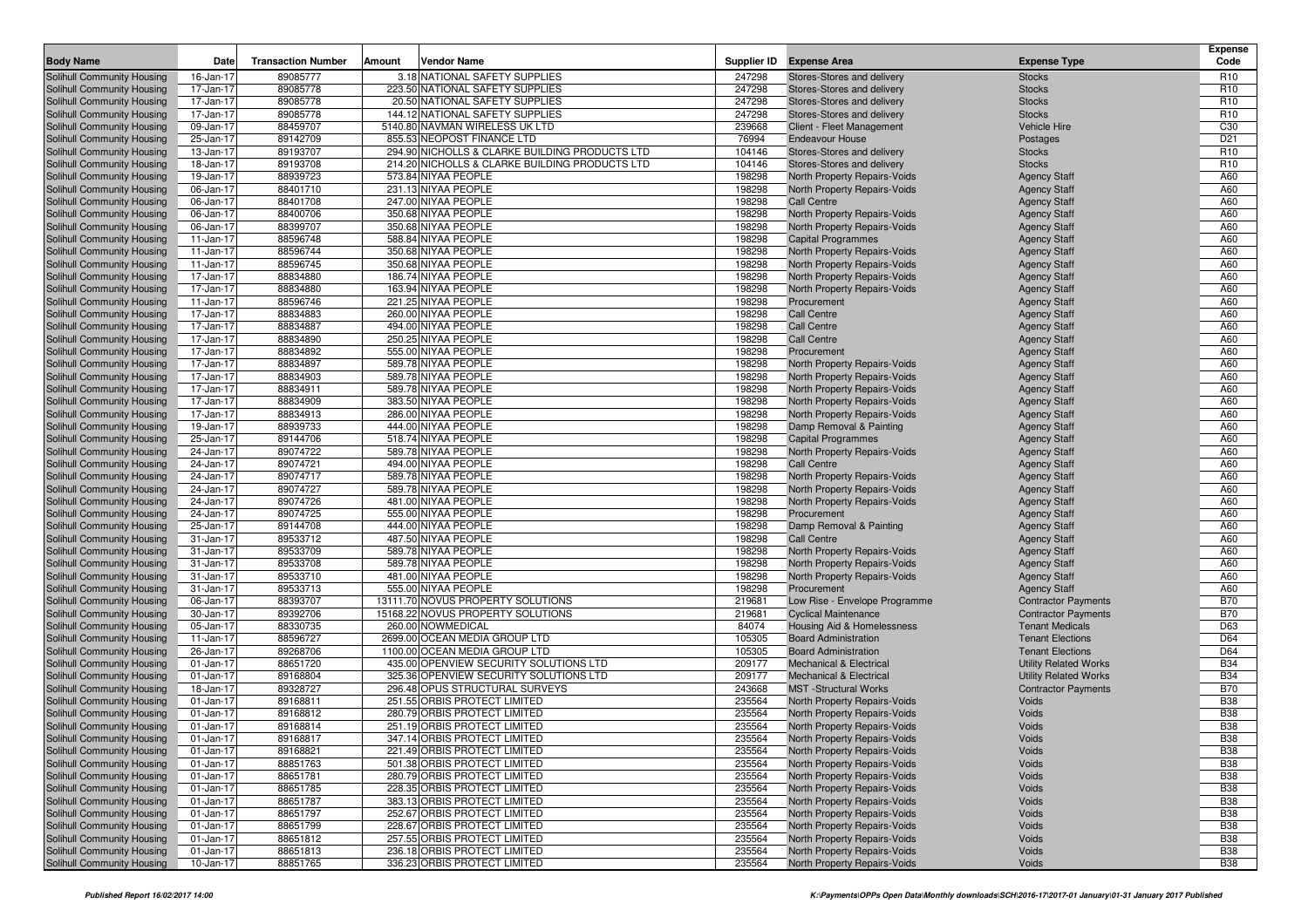| <b>Body Name</b>                                         | Date                   | <b>Transaction Number</b> | Amount | <b>Vendor Name</b>                                           | Supplier ID      | <b>Expense Area</b>                                          | <b>Expense Type</b>                        | <b>Expense</b><br>Code   |
|----------------------------------------------------------|------------------------|---------------------------|--------|--------------------------------------------------------------|------------------|--------------------------------------------------------------|--------------------------------------------|--------------------------|
| <b>Solihull Community Housing</b>                        | 16-Jan-17              | 89085777                  |        | 3.18 NATIONAL SAFETY SUPPLIES                                | 247298           | Stores-Stores and delivery                                   | <b>Stocks</b>                              | R <sub>10</sub>          |
| Solihull Community Housing                               | 17-Jan-17              | 89085778                  |        | 223.50 NATIONAL SAFETY SUPPLIES                              | 247298           | Stores-Stores and delivery                                   | <b>Stocks</b>                              | R <sub>10</sub>          |
| Solihull Community Housing                               | 17-Jan-17              | 89085778                  |        | 20.50 NATIONAL SAFETY SUPPLIES                               | 247298           | Stores-Stores and delivery                                   | <b>Stocks</b>                              | R <sub>10</sub>          |
| Solihull Community Housing                               | 17-Jan-17              | 89085778                  |        | 144.12 NATIONAL SAFETY SUPPLIES                              | 247298           | Stores-Stores and delivery                                   | <b>Stocks</b>                              | R <sub>10</sub>          |
| Solihull Community Housing                               | 09-Jan-17              | 88459707                  |        | 5140.80 NAVMAN WIRELESS UK LTD                               | 239668           | Client - Fleet Management                                    | <b>Vehicle Hire</b>                        | C <sub>30</sub>          |
| Solihull Community Housing                               | 25-Jan-17              | 89142709                  |        | 855.53 NEOPOST FINANCE LTD                                   | 76994            | <b>Endeavour House</b>                                       | Postages                                   | D <sub>21</sub>          |
| Solihull Community Housing                               | 13-Jan-17              | 89193707                  |        | 294.90 NICHOLLS & CLARKE BUILDING PRODUCTS LTD               | 104146           | Stores-Stores and delivery                                   | <b>Stocks</b>                              | R <sub>10</sub>          |
| Solihull Community Housing                               | 18-Jan-17              | 89193708                  |        | 214.20 NICHOLLS & CLARKE BUILDING PRODUCTS LTD               | 104146           | Stores-Stores and delivery                                   | <b>Stocks</b>                              | R <sub>10</sub>          |
| Solihull Community Housing                               | 19-Jan-17              | 88939723                  |        | 573.84 NIYAA PEOPLE                                          | 198298           | North Property Repairs-Voids                                 | <b>Agency Staff</b>                        | A60                      |
| Solihull Community Housing                               | 06-Jan-17              | 88401710                  |        | 231.13 NIYAA PEOPLE                                          | 198298           | North Property Repairs-Voids                                 | <b>Agency Staff</b>                        | A60                      |
| Solihull Community Housing                               | 06-Jan-17              | 88401708                  |        | 247.00 NIYAA PEOPLE                                          | 198298           | Call Centre                                                  | <b>Agency Staff</b>                        | A60                      |
| Solihull Community Housing<br>Solihull Community Housing | 06-Jan-17              | 88400706<br>88399707      |        | 350.68 NIYAA PEOPLE<br>350.68 NIYAA PEOPLE                   | 198298           | North Property Repairs-Voids                                 | <b>Agency Staff</b>                        | A60<br>A60               |
| Solihull Community Housing                               | 06-Jan-17<br>11-Jan-17 | 88596748                  |        | 588.84 NIYAA PEOPLE                                          | 198298<br>198298 | North Property Repairs-Voids<br><b>Capital Programmes</b>    | <b>Agency Staff</b><br><b>Agency Staff</b> | A60                      |
| Solihull Community Housing                               | 11-Jan-17              | 88596744                  |        | 350.68 NIYAA PEOPLE                                          | 198298           | North Property Repairs-Voids                                 | <b>Agency Staff</b>                        | A60                      |
| Solihull Community Housing                               | 11-Jan-17              | 88596745                  |        | 350.68 NIYAA PEOPLE                                          | 198298           | North Property Repairs-Voids                                 | <b>Agency Staff</b>                        | A60                      |
| Solihull Community Housing                               | 17-Jan-17              | 88834880                  |        | 186.74 NIYAA PEOPLE                                          | 198298           | North Property Repairs-Voids                                 | <b>Agency Staff</b>                        | A60                      |
| Solihull Community Housing                               | 17-Jan-17              | 88834880                  |        | 163.94 NIYAA PEOPLE                                          | 198298           | North Property Repairs-Voids                                 | <b>Agency Staff</b>                        | A60                      |
| Solihull Community Housing                               | 11-Jan-17              | 88596746                  |        | 221.25 NIYAA PEOPLE                                          | 198298           | Procurement                                                  | <b>Agency Staff</b>                        | A60                      |
| Solihull Community Housing                               | 17-Jan-17              | 88834883                  |        | 260.00 NIYAA PEOPLE                                          | 198298           | <b>Call Centre</b>                                           | <b>Agency Staff</b>                        | A60                      |
| Solihull Community Housing                               | 17-Jan-17              | 88834887                  |        | 494.00 NIYAA PEOPLE                                          | 198298           | <b>Call Centre</b>                                           | <b>Agency Staff</b>                        | A60                      |
| Solihull Community Housing                               | 17-Jan-17              | 88834890                  |        | 250.25 NIYAA PEOPLE                                          | 198298           | <b>Call Centre</b>                                           | <b>Agency Staff</b>                        | A60                      |
| Solihull Community Housing                               | 17-Jan-17              | 88834892                  |        | 555.00 NIYAA PEOPLE                                          | 198298           | Procurement                                                  | <b>Agency Staff</b>                        | A60                      |
| Solihull Community Housing                               | 17-Jan-17              | 88834897                  |        | 589.78 NIYAA PEOPLE                                          | 198298           | North Property Repairs-Voids                                 | <b>Agency Staff</b>                        | A60                      |
| Solihull Community Housing                               | 17-Jan-17              | 88834903                  |        | 589.78 NIYAA PEOPLE                                          | 198298           | North Property Repairs-Voids                                 | <b>Agency Staff</b>                        | A60                      |
| Solihull Community Housing                               | 17-Jan-17              | 88834911                  |        | 589.78 NIYAA PEOPLE                                          | 198298           | North Property Repairs-Voids                                 | <b>Agency Staff</b>                        | A60                      |
| Solihull Community Housing                               | 17-Jan-17              | 88834909                  |        | 383.50 NIYAA PEOPLE                                          | 198298           | North Property Repairs-Voids                                 | <b>Agency Staff</b>                        | A60                      |
| Solihull Community Housing                               | 17-Jan-17              | 88834913                  |        | 286.00 NIYAA PEOPLE                                          | 198298           | North Property Repairs-Voids                                 | <b>Agency Staff</b>                        | A60                      |
| Solihull Community Housing                               | 19-Jan-17              | 88939733                  |        | 444.00 NIYAA PEOPLE                                          | 198298           | Damp Removal & Painting                                      | <b>Agency Staff</b>                        | A60                      |
| Solihull Community Housing                               | 25-Jan-17              | 89144706                  |        | 518.74 NIYAA PEOPLE                                          | 198298           | <b>Capital Programmes</b>                                    | <b>Agency Staff</b>                        | A60                      |
| Solihull Community Housing                               | 24-Jan-17              | 89074722                  |        | 589.78 NIYAA PEOPLE                                          | 198298           | North Property Repairs-Voids                                 | <b>Agency Staff</b>                        | A60                      |
| Solihull Community Housing                               | 24-Jan-17              | 89074721                  |        | 494.00 NIYAA PEOPLE                                          | 198298           | Call Centre                                                  | <b>Agency Staff</b>                        | A60                      |
| Solihull Community Housing                               | 24-Jan-17              | 89074717                  |        | 589.78 NIYAA PEOPLE                                          | 198298           | North Property Repairs-Voids                                 | <b>Agency Staff</b>                        | A60                      |
| Solihull Community Housing                               | 24-Jan-17              | 89074727                  |        | 589.78 NIYAA PEOPLE                                          | 198298           | <b>North Property Repairs-Voids</b>                          | <b>Agency Staff</b>                        | A60                      |
| Solihull Community Housing                               | 24-Jan-17              | 89074726                  |        | 481.00 NIYAA PEOPLE                                          | 198298           | North Property Repairs-Voids                                 | <b>Agency Staff</b>                        | A60                      |
| Solihull Community Housing                               | 24-Jan-17              | 89074725                  |        | 555.00 NIYAA PEOPLE                                          | 198298           | Procurement                                                  | <b>Agency Staff</b>                        | A60<br>A60               |
| Solihull Community Housing                               | 25-Jan-17              | 89144708<br>89533712      |        | 444.00 NIYAA PEOPLE<br>487.50 NIYAA PEOPLE                   | 198298<br>198298 | Damp Removal & Painting<br>Call Centre                       | <b>Agency Staff</b>                        | A60                      |
| Solihull Community Housing<br>Solihull Community Housing | 31-Jan-17<br>31-Jan-17 | 89533709                  |        | 589.78 NIYAA PEOPLE                                          | 198298           | North Property Repairs-Voids                                 | <b>Agency Staff</b><br><b>Agency Staff</b> | A60                      |
| Solihull Community Housing                               | 31-Jan-17              | 89533708                  |        | 589.78 NIYAA PEOPLE                                          | 198298           | North Property Repairs-Voids                                 | <b>Agency Staff</b>                        | A60                      |
| Solihull Community Housing                               | 31-Jan-17              | 89533710                  |        | 481.00 NIYAA PEOPLE                                          | 198298           | North Property Repairs-Voids                                 | <b>Agency Staff</b>                        | A60                      |
| Solihull Community Housing                               | 31-Jan-17              | 89533713                  |        | 555.00 NIYAA PEOPLE                                          | 198298           | Procurement                                                  | <b>Agency Staff</b>                        | A60                      |
| Solihull Community Housing                               | 06-Jan-17              | 88393707                  |        | 13111.70 NOVUS PROPERTY SOLUTIONS                            | 219681           | Low Rise - Envelope Programme                                | <b>Contractor Payments</b>                 | <b>B70</b>               |
| Solihull Community Housing                               | 30-Jan-17              | 89392706                  |        | 15168.22 NOVUS PROPERTY SOLUTIONS                            | 219681           | <b>Cyclical Maintenance</b>                                  | <b>Contractor Payments</b>                 | <b>B70</b>               |
| Solihull Community Housing                               | 05-Jan-17              | 88330735                  |        | 260.00 NOWMEDICAL                                            | 84074            | Housing Aid & Homelessness                                   | <b>Tenant Medicals</b>                     | D63                      |
| Solihull Community Housing                               | 11-Jan-17              | 88596727                  |        | 2699.00 OCEAN MEDIA GROUP LTD                                | 105305           | <b>Board Administration</b>                                  | <b>Tenant Elections</b>                    | D64                      |
| Solihull Community Housing                               | 26-Jan-17              | 89268706                  |        | 1100.00 OCEAN MEDIA GROUP LTD                                | 105305           | <b>Board Administration</b>                                  | <b>Tenant Elections</b>                    | D64                      |
| Solihull Community Housing                               | 01-Jan-17              | 88651720                  |        | 435.00 OPENVIEW SECURITY SOLUTIONS LTD                       | 209177           | <b>Mechanical &amp; Electrical</b>                           | <b>Utility Related Works</b>               | <b>B34</b>               |
| Solihull Community Housing                               | 01-Jan-17              | 89168804                  |        | 325.36 OPENVIEW SECURITY SOLUTIONS LTD                       | 209177           | <b>Mechanical &amp; Electrical</b>                           | <b>Utility Related Works</b>               | <b>B34</b>               |
| Solihull Community Housing                               | 18-Jan-17              | 89328727                  |        | 296.48 OPUS STRUCTURAL SURVEYS                               | 243668           | <b>MST</b> -Structural Works                                 | <b>Contractor Payments</b>                 | <b>B70</b>               |
| Solihull Community Housing                               | 01-Jan-17              | 89168811                  |        | 251.55 ORBIS PROTECT LIMITED                                 | 235564           | North Property Repairs-Voids                                 | Voids                                      | <b>B38</b>               |
| Solihull Community Housing                               | 01-Jan-17              | 89168812                  |        | 280.79 ORBIS PROTECT LIMITED                                 | 235564           | North Property Repairs-Voids                                 | Voids                                      | <b>B38</b>               |
| Solihull Community Housing                               | 01-Jan-17              | 89168814                  |        | 251.19 ORBIS PROTECT LIMITED                                 | 235564           | North Property Repairs-Voids                                 | Voids                                      | <b>B38</b>               |
| Solihull Community Housing                               | $01$ -Jan-17           | 89168817                  |        | 347.14 ORBIS PROTECT LIMITED                                 | 235564           | North Property Repairs-Voids                                 | Voids                                      | <b>B38</b>               |
| Solihull Community Housing                               | 01-Jan-17              | 89168821                  |        | 221.49 ORBIS PROTECT LIMITED                                 | 235564           | North Property Repairs-Voids                                 | Voids                                      | <b>B38</b>               |
| Solihull Community Housing                               | 01-Jan-17              | 88851763                  |        | 501.38 ORBIS PROTECT LIMITED                                 | 235564           | North Property Repairs-Voids                                 | Voids                                      | <b>B38</b>               |
| Solihull Community Housing                               | 01-Jan-17              | 88651781                  |        | 280.79 ORBIS PROTECT LIMITED                                 | 235564           | North Property Repairs-Voids                                 | Voids                                      | <b>B38</b>               |
| Solihull Community Housing                               | 01-Jan-17              | 88651785                  |        | 228.35 ORBIS PROTECT LIMITED                                 | 235564           | North Property Repairs-Voids                                 | Voids                                      | <b>B38</b>               |
| Solihull Community Housing<br>Solihull Community Housing | 01-Jan-17<br>01-Jan-17 | 88651787<br>88651797      |        | 383.13 ORBIS PROTECT LIMITED<br>252.67 ORBIS PROTECT LIMITED | 235564<br>235564 | North Property Repairs-Voids                                 | Voids<br>Voids                             | <b>B38</b><br><b>B38</b> |
| Solihull Community Housing                               | 01-Jan-17              | 88651799                  |        | 228.67 ORBIS PROTECT LIMITED                                 | 235564           | North Property Repairs-Voids<br>North Property Repairs-Voids | Voids                                      | <b>B38</b>               |
| Solihull Community Housing                               | 01-Jan-17              | 88651812                  |        | 257.55 ORBIS PROTECT LIMITED                                 | 235564           | North Property Repairs-Voids                                 | Voids                                      | <b>B38</b>               |
| Solihull Community Housing                               | 01-Jan-17              | 88651813                  |        | 236.18 ORBIS PROTECT LIMITED                                 | 235564           | North Property Repairs-Voids                                 | Voids                                      | <b>B38</b>               |
| Solihull Community Housing                               | 10-Jan-17              | 88851765                  |        | 336.23 ORBIS PROTECT LIMITED                                 | 235564           | North Property Repairs-Voids                                 | Voids                                      | <b>B38</b>               |
|                                                          |                        |                           |        |                                                              |                  |                                                              |                                            |                          |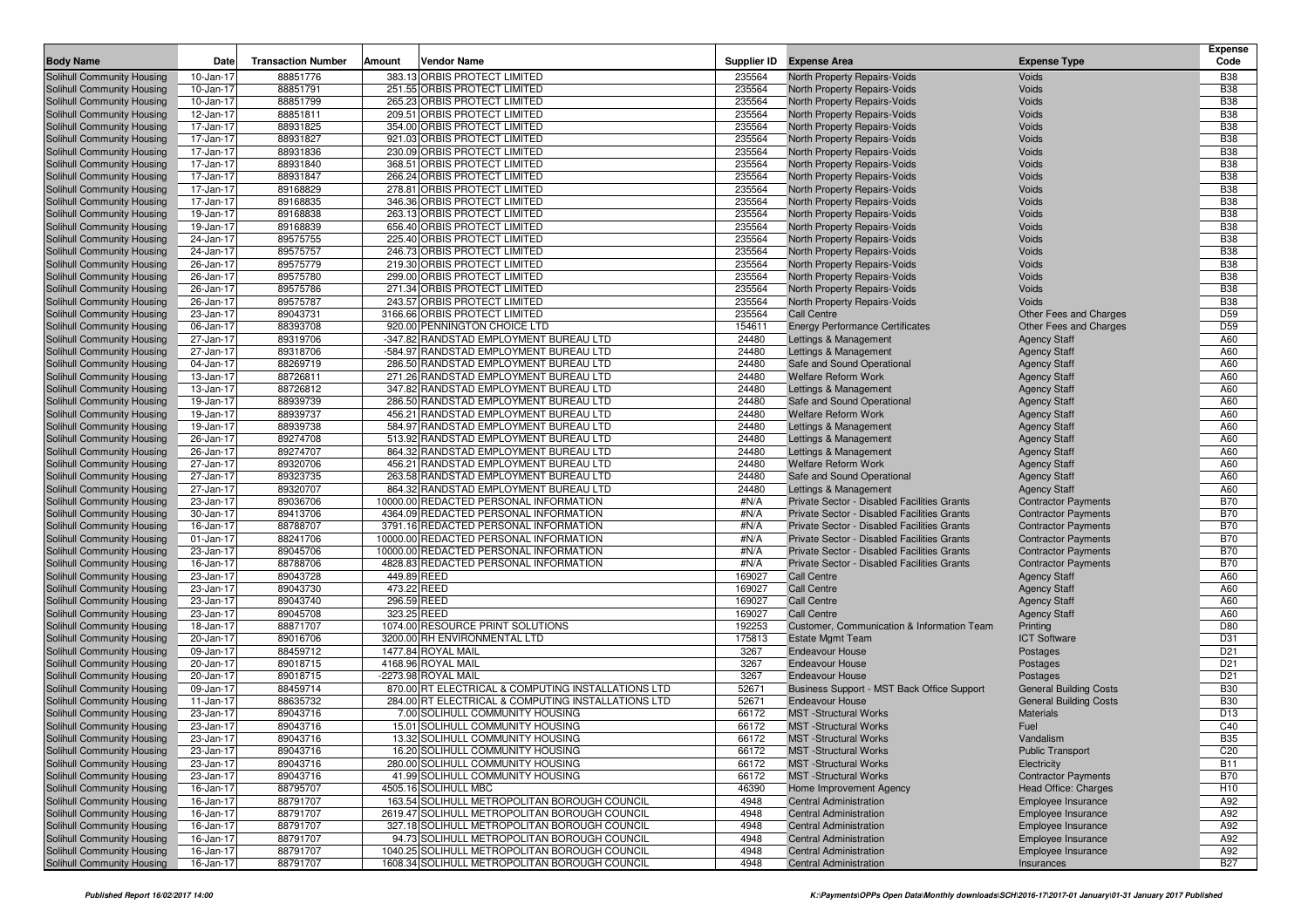|                                                          |                        |                           |        |                                                                                                |                  |                                                                |                                            | <b>Expense</b>           |
|----------------------------------------------------------|------------------------|---------------------------|--------|------------------------------------------------------------------------------------------------|------------------|----------------------------------------------------------------|--------------------------------------------|--------------------------|
| <b>Body Name</b>                                         | Date                   | <b>Transaction Number</b> | Amount | <b>Vendor Name</b>                                                                             | Supplier ID      | <b>Expense Area</b>                                            | <b>Expense Type</b>                        | Code                     |
| Solihull Community Housing                               | 10-Jan-17              | 88851776                  |        | 383.13 ORBIS PROTECT LIMITED                                                                   | 235564           | North Property Repairs-Voids                                   | Voids                                      | <b>B38</b>               |
| Solihull Community Housing                               | 10-Jan-17              | 88851791                  |        | 251.55 ORBIS PROTECT LIMITED                                                                   | 235564           | North Property Repairs-Voids                                   | Voids                                      | <b>B38</b>               |
| Solihull Community Housing                               | 10-Jan-17              | 88851799                  |        | 265.23 ORBIS PROTECT LIMITED<br>209.51 ORBIS PROTECT LIMITED                                   | 235564           | North Property Repairs-Voids                                   | Voids<br>Voids                             | <b>B38</b><br><b>B38</b> |
| Solihull Community Housing<br>Solihull Community Housing | 12-Jan-17<br>17-Jan-17 | 88851811<br>88931825      |        | 354.00 ORBIS PROTECT LIMITED                                                                   | 235564<br>235564 | North Property Repairs-Voids<br>North Property Repairs-Voids   | Voids                                      | <b>B38</b>               |
| Solihull Community Housing                               | 17-Jan-17              | 88931827                  |        | 921.03 ORBIS PROTECT LIMITED                                                                   | 235564           | North Property Repairs-Voids                                   | Voids                                      | <b>B38</b>               |
| Solihull Community Housing                               | 17-Jan-17              | 88931836                  |        | 230.09 ORBIS PROTECT LIMITED                                                                   | 235564           | North Property Repairs-Voids                                   | Voids                                      | <b>B38</b>               |
| Solihull Community Housing                               | 17-Jan-17              | 88931840                  |        | 368.51 ORBIS PROTECT LIMITED                                                                   | 235564           | North Property Repairs-Voids                                   | Voids                                      | <b>B38</b>               |
| Solihull Community Housing                               | 17-Jan-17              | 88931847                  |        | 266.24 ORBIS PROTECT LIMITED                                                                   | 235564           | North Property Repairs-Voids                                   | Voids                                      | <b>B38</b>               |
| Solihull Community Housing                               | 17-Jan-17              | 89168829                  |        | 278.81 ORBIS PROTECT LIMITED                                                                   | 235564           | North Property Repairs-Voids                                   | Voids                                      | <b>B38</b>               |
| Solihull Community Housing                               | 17-Jan-17              | 89168835                  |        | 346.36 ORBIS PROTECT LIMITED                                                                   | 235564           | North Property Repairs-Voids                                   | Voids                                      | <b>B38</b>               |
| Solihull Community Housing                               | 19-Jan-17              | 89168838                  |        | 263.13 ORBIS PROTECT LIMITED                                                                   | 235564           | North Property Repairs-Voids                                   | Voids                                      | <b>B38</b>               |
| Solihull Community Housing                               | 19-Jan-17              | 89168839                  |        | 656.40 ORBIS PROTECT LIMITED                                                                   | 235564           | North Property Repairs-Voids                                   | Voids                                      | <b>B38</b>               |
| Solihull Community Housing                               | 24-Jan-17              | 89575755                  |        | 225.40 ORBIS PROTECT LIMITED                                                                   | 235564           | North Property Repairs-Voids                                   | Voids                                      | <b>B38</b>               |
| Solihull Community Housing                               | 24-Jan-17              | 89575757                  |        | 246.73 ORBIS PROTECT LIMITED                                                                   | 235564           | North Property Repairs-Voids                                   | Voids                                      | <b>B38</b>               |
| Solihull Community Housing                               | 26-Jan-17              | 89575779                  |        | 219.30 ORBIS PROTECT LIMITED                                                                   | 235564           | North Property Repairs-Voids                                   | Voids                                      | <b>B38</b>               |
| Solihull Community Housing                               | 26-Jan-17              | 89575780                  |        | 299.00 ORBIS PROTECT LIMITED                                                                   | 235564           | North Property Repairs-Voids                                   | Voids                                      | <b>B38</b>               |
| Solihull Community Housing                               | 26-Jan-17              | 89575786                  |        | 271.34 ORBIS PROTECT LIMITED                                                                   | 235564           | North Property Repairs-Voids                                   | Voids                                      | <b>B38</b>               |
| Solihull Community Housing                               | 26-Jan-17              | 89575787                  |        | 243.57 ORBIS PROTECT LIMITED                                                                   | 235564           | North Property Repairs-Voids                                   | Voids                                      | <b>B38</b>               |
| Solihull Community Housing                               | 23-Jan-17              | 89043731                  |        | 3166.66 ORBIS PROTECT LIMITED                                                                  | 235564           | <b>Call Centre</b>                                             | <b>Other Fees and Charges</b>              | D <sub>59</sub>          |
| Solihull Community Housing                               | 06-Jan-17              | 88393708                  |        | 920.00 PENNINGTON CHOICE LTD                                                                   | 154611           | <b>Energy Performance Certificates</b>                         | Other Fees and Charges                     | D <sub>59</sub>          |
| Solihull Community Housing                               | 27-Jan-17<br>27-Jan-17 | 89319706                  |        | -347.82 RANDSTAD EMPLOYMENT BUREAU LTD                                                         | 24480<br>24480   | Lettings & Management                                          | <b>Agency Staff</b>                        | A60<br>A60               |
| Solihull Community Housing<br>Solihull Community Housing | 04-Jan-17              | 89318706<br>88269719      |        | -584.97 RANDSTAD EMPLOYMENT BUREAU LTD<br>286.50 RANDSTAD EMPLOYMENT BUREAU LTD                | 24480            | Lettings & Management<br>Safe and Sound Operational            | <b>Agency Staff</b><br><b>Agency Staff</b> | A60                      |
| Solihull Community Housing                               | 13-Jan-17              | 88726811                  |        | 271.26 RANDSTAD EMPLOYMENT BUREAU LTD                                                          | 24480            | <b>Welfare Reform Work</b>                                     | <b>Agency Staff</b>                        | A60                      |
| Solihull Community Housing                               | 13-Jan-17              | 88726812                  |        | 347.82 RANDSTAD EMPLOYMENT BUREAU LTD                                                          | 24480            | Lettings & Management                                          | <b>Agency Staff</b>                        | A60                      |
| Solihull Community Housing                               | 19-Jan-17              | 88939739                  |        | 286.50 RANDSTAD EMPLOYMENT BUREAU LTD                                                          | 24480            | Safe and Sound Operational                                     | <b>Agency Staff</b>                        | A60                      |
| Solihull Community Housing                               | 19-Jan-17              | 88939737                  |        | 456.21 RANDSTAD EMPLOYMENT BUREAU LTD                                                          | 24480            | <b>Welfare Reform Work</b>                                     | <b>Agency Staff</b>                        | A60                      |
| Solihull Community Housing                               | 19-Jan-17              | 88939738                  |        | 584.97 RANDSTAD EMPLOYMENT BUREAU LTD                                                          | 24480            | Lettings & Management                                          | <b>Agency Staff</b>                        | A60                      |
| Solihull Community Housing                               | 26-Jan-17              | 89274708                  |        | 513.92 RANDSTAD EMPLOYMENT BUREAU LTD                                                          | 24480            | Lettings & Management                                          | <b>Agency Staff</b>                        | A60                      |
| Solihull Community Housing                               | 26-Jan-17              | 89274707                  |        | 864.32 RANDSTAD EMPLOYMENT BUREAU LTD                                                          | 24480            | Lettings & Management                                          | <b>Agency Staff</b>                        | A60                      |
| Solihull Community Housing                               | 27-Jan-17              | 89320706                  |        | 456.21 RANDSTAD EMPLOYMENT BUREAU LTD                                                          | 24480            | <b>Welfare Reform Work</b>                                     | <b>Agency Staff</b>                        | A60                      |
| Solihull Community Housing                               | 27-Jan-17              | 89323735                  |        | 263.58 RANDSTAD EMPLOYMENT BUREAU LTD                                                          | 24480            | Safe and Sound Operational                                     | <b>Agency Staff</b>                        | A60                      |
| Solihull Community Housing                               | 27-Jan-17              | 89320707                  |        | 864.32 RANDSTAD EMPLOYMENT BUREAU LTD                                                          | 24480            | Lettings & Management                                          | <b>Agency Staff</b>                        | A60                      |
| Solihull Community Housing                               | 23-Jan-17              | 89036706                  |        | 10000.00 REDACTED PERSONAL INFORMATION                                                         | #N/A             | <b>Private Sector - Disabled Facilities Grants</b>             | <b>Contractor Payments</b>                 | <b>B70</b>               |
| Solihull Community Housing                               | 30-Jan-17              | 89413706                  |        | 4364.09 REDACTED PERSONAL INFORMATION                                                          | #N/A             | Private Sector - Disabled Facilities Grants                    | <b>Contractor Payments</b>                 | <b>B70</b>               |
| Solihull Community Housing                               | 16-Jan-17              | 88788707                  |        | 3791.16 REDACTED PERSONAL INFORMATION                                                          | #N/A             | Private Sector - Disabled Facilities Grants                    | <b>Contractor Payments</b>                 | <b>B70</b>               |
| Solihull Community Housing                               | 01-Jan-17              | 88241706                  |        | 10000.00 REDACTED PERSONAL INFORMATION                                                         | #N/A             | Private Sector - Disabled Facilities Grants                    | <b>Contractor Payments</b>                 | <b>B70</b>               |
| Solihull Community Housing                               | 23-Jan-17              | 89045706                  |        | 10000.00 REDACTED PERSONAL INFORMATION                                                         | #N/A             | Private Sector - Disabled Facilities Grants                    | <b>Contractor Payments</b>                 | <b>B70</b>               |
| Solihull Community Housing                               | 16-Jan-17              | 88788706                  |        | 4828.83 REDACTED PERSONAL INFORMATION                                                          | #N/A             | Private Sector - Disabled Facilities Grants                    | <b>Contractor Payments</b>                 | <b>B70</b>               |
| Solihull Community Housing                               | 23-Jan-17              | 89043728                  |        | 449.89 REED                                                                                    | 169027           | <b>Call Centre</b>                                             | <b>Agency Staff</b>                        | A60                      |
| Solihull Community Housing                               | 23-Jan-17              | 89043730                  |        | 473.22 REED<br>296.59 REED                                                                     | 169027           | <b>Call Centre</b><br>Call Centre                              | <b>Agency Staff</b>                        | A60<br>A60               |
| Solihull Community Housing<br>Solihull Community Housing | 23-Jan-17<br>23-Jan-17 | 89043740<br>89045708      |        | 323.25 REED                                                                                    | 169027<br>169027 | <b>Call Centre</b>                                             | <b>Agency Staff</b><br><b>Agency Staff</b> | A60                      |
| Solihull Community Housing                               | 18-Jan-17              | 88871707                  |        | 1074.00 RESOURCE PRINT SOLUTIONS                                                               | 192253           | Customer, Communication & Information Team                     | Printing                                   | D80                      |
| Solihull Community Housing                               | 20-Jan-17              | 89016706                  |        | 3200.00 RH ENVIRONMENTAL LTD                                                                   | 175813           | <b>Estate Mgmt Team</b>                                        | <b>ICT Software</b>                        | D31                      |
| Solihull Community Housing                               | 09-Jan-17              | 88459712                  |        | 1477.84 ROYAL MAIL                                                                             | 3267             | <b>Endeavour House</b>                                         | Postages                                   | D <sub>21</sub>          |
| Solihull Community Housing                               | 20-Jan-17              | 89018715                  |        | 4168.96 ROYAL MAIL                                                                             | 3267             | <b>Endeavour House</b>                                         | Postages                                   | D <sub>21</sub>          |
| Solihull Community Housing                               | 20-Jan-17              | 89018715                  |        | -2273.98 ROYAL MAIL                                                                            | 3267             | <b>Endeavour House</b>                                         | Postages                                   | D <sub>21</sub>          |
| Solihull Community Housing                               | 09-Jan-17              | 88459714                  |        | 870.00 RT ELECTRICAL & COMPUTING INSTALLATIONS LTD                                             | 52671            | Business Support - MST Back Office Support                     | <b>General Building Costs</b>              | <b>B30</b>               |
| Solihull Community Housing                               | 11-Jan-17              | 88635732                  |        | 284.00 RT ELECTRICAL & COMPUTING INSTALLATIONS LTD                                             | 52671            | <b>Endeavour House</b>                                         | <b>General Building Costs</b>              | <b>B30</b>               |
| Solihull Community Housing                               | 23-Jan-17              | 89043716                  |        | 7.00 SOLIHULL COMMUNITY HOUSING                                                                | 66172            | <b>MST</b> -Structural Works                                   | <b>Materials</b>                           | D13                      |
| Solihull Community Housing                               | 23-Jan-17              | 89043716                  |        | 15.01 SOLIHULL COMMUNITY HOUSING                                                               | 66172            | <b>MST</b> -Structural Works                                   | Fuel                                       | C40                      |
| Solihull Community Housing                               | 23-Jan-17              | 89043716                  |        | 13.32 SOLIHULL COMMUNITY HOUSING                                                               | 66172            | MST - Structural Works                                         | Vandalism                                  | <b>B35</b>               |
| Solihull Community Housing                               | 23-Jan-17              | 89043716                  |        | 16.20 SOLIHULL COMMUNITY HOUSING                                                               | 66172            | <b>MST</b> -Structural Works                                   | <b>Public Transport</b>                    | C <sub>20</sub>          |
| Solihull Community Housing                               | 23-Jan-17              | 89043716                  |        | 280.00 SOLIHULL COMMUNITY HOUSING                                                              | 66172            | <b>MST</b> -Structural Works                                   | Electricity                                | <b>B11</b>               |
| Solihull Community Housing                               | 23-Jan-17              | 89043716                  |        | 41.99 SOLIHULL COMMUNITY HOUSING                                                               | 66172            | <b>MST</b> - Structural Works                                  | <b>Contractor Payments</b>                 | <b>B70</b>               |
| Solihull Community Housing                               | 16-Jan-17              | 88795707                  |        | 4505.16 SOLIHULL MBC                                                                           | 46390            | Home Improvement Agency                                        | <b>Head Office: Charges</b>                | H <sub>10</sub>          |
| Solihull Community Housing                               | 16-Jan-17              | 88791707                  |        | 163.54 SOLIHULL METROPOLITAN BOROUGH COUNCIL                                                   | 4948             | <b>Central Administration</b>                                  | Employee Insurance                         | A92                      |
| Solihull Community Housing                               | 16-Jan-17              | 88791707                  |        | 2619.47 SOLIHULL METROPOLITAN BOROUGH COUNCIL                                                  | 4948             | <b>Central Administration</b>                                  | Employee Insurance                         | A92                      |
| Solihull Community Housing                               | 16-Jan-17              | 88791707                  |        | 327.18 SOLIHULL METROPOLITAN BOROUGH COUNCIL                                                   | 4948             | <b>Central Administration</b>                                  | Employee Insurance                         | A92                      |
| Solihull Community Housing                               | 16-Jan-17              | 88791707                  |        | 94.73 SOLIHULL METROPOLITAN BOROUGH COUNCIL                                                    | 4948             | <b>Central Administration</b>                                  | Employee Insurance                         | A92                      |
| Solihull Community Housing<br>Solihull Community Housing | 16-Jan-17<br>16-Jan-17 | 88791707<br>88791707      |        | 1040.25 SOLIHULL METROPOLITAN BOROUGH COUNCIL<br>1608.34 SOLIHULL METROPOLITAN BOROUGH COUNCIL | 4948<br>4948     | <b>Central Administration</b><br><b>Central Administration</b> | Employee Insurance<br>Insurances           | A92<br><b>B27</b>        |
|                                                          |                        |                           |        |                                                                                                |                  |                                                                |                                            |                          |